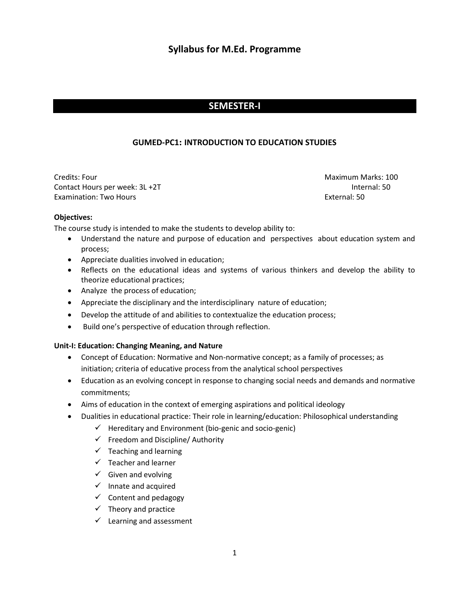# **Syllabus for M.Ed. Programme**

# **SEMESTER-I**

# **GUMED-PC1: INTRODUCTION TO EDUCATION STUDIES**

Credits: Four Maximum Marks: 100 Contact Hours per week: 3L +2T Internal: 50 Examination: Two Hours **External: 50** 

#### **Objectives:**

The course study is intended to make the students to develop ability to:

- Understand the nature and purpose of education and perspectives about education system and process;
- Appreciate dualities involved in education;
- Reflects on the educational ideas and systems of various thinkers and develop the ability to theorize educational practices;
- Analyze the process of education;
- Appreciate the disciplinary and the interdisciplinary nature of education;
- Develop the attitude of and abilities to contextualize the education process;
- Build one's perspective of education through reflection.

# **Unit-I: Education: Changing Meaning, and Nature**

- Concept of Education: Normative and Non-normative concept; as a family of processes; as initiation; criteria of educative process from the analytical school perspectives
- Education as an evolving concept in response to changing social needs and demands and normative commitments;
- Aims of education in the context of emerging aspirations and political ideology
- Dualities in educational practice: Their role in learning/education: Philosophical understanding
	- $\checkmark$  Hereditary and Environment (bio-genic and socio-genic)
	- $\checkmark$  Freedom and Discipline/ Authority
	- $\checkmark$  Teaching and learning
	- $\checkmark$  Teacher and learner
	- $\checkmark$  Given and evolving
	- $\checkmark$  Innate and acquired
	- $\checkmark$  Content and pedagogy
	- $\checkmark$  Theory and practice
	- $\checkmark$  Learning and assessment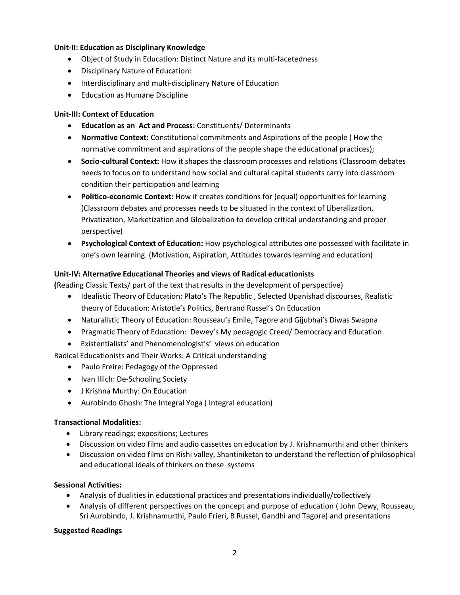# **Unit-II: Education as Disciplinary Knowledge**

- Object of Study in Education: Distinct Nature and its multi-facetedness
- Disciplinary Nature of Education:
- Interdisciplinary and multi-disciplinary Nature of Education
- **•** Education as Humane Discipline

# **Unit-III: Context of Education**

- **Education as an Act and Process:** Constituents/ Determinants
- **Normative Context:** Constitutional commitments and Aspirations of the people ( How the normative commitment and aspirations of the people shape the educational practices);
- **Socio-cultural Context:** How it shapes the classroom processes and relations (Classroom debates needs to focus on to understand how social and cultural capital students carry into classroom condition their participation and learning
- **Politico-economic Context:** How it creates conditions for (equal) opportunities for learning (Classroom debates and processes needs to be situated in the context of Liberalization, Privatization, Marketization and Globalization to develop critical understanding and proper perspective)
- **Psychological Context of Education:** How psychological attributes one possessed with facilitate in one's own learning. (Motivation, Aspiration, Attitudes towards learning and education)

# **Unit-IV: Alternative Educational Theories and views of Radical educationists**

**(**Reading Classic Texts/ part of the text that results in the development of perspective)

- Idealistic Theory of Education: Plato's The Republic, Selected Upanishad discourses, Realistic theory of Education: Aristotle's Politics, Bertrand Russel's On Education
- Naturalistic Theory of Education: Rousseau's Emile, Tagore and Gijubhai's Diwas Swapna
- Pragmatic Theory of Education: Dewey's My pedagogic Creed/ Democracy and Education
- Existentialists' and Phenomenologist's' views on education

Radical Educationists and Their Works: A Critical understanding

- Paulo Freire: Pedagogy of the Oppressed
- Ivan Illich: De-Schooling Society
- J Krishna Murthy: On Education
- Aurobindo Ghosh: The Integral Yoga ( Integral education)

# **Transactional Modalities:**

- Library readings; expositions; Lectures
- Discussion on video films and audio cassettes on education by J. Krishnamurthi and other thinkers
- Discussion on video films on Rishi valley, Shantiniketan to understand the reflection of philosophical and educational ideals of thinkers on these systems

# **Sessional Activities:**

- Analysis of dualities in educational practices and presentations individually/collectively
- Analysis of different perspectives on the concept and purpose of education ( John Dewy, Rousseau, Sri Aurobindo, J. Krishnamurthi, Paulo Frieri, B Russel, Gandhi and Tagore) and presentations

# **Suggested Readings**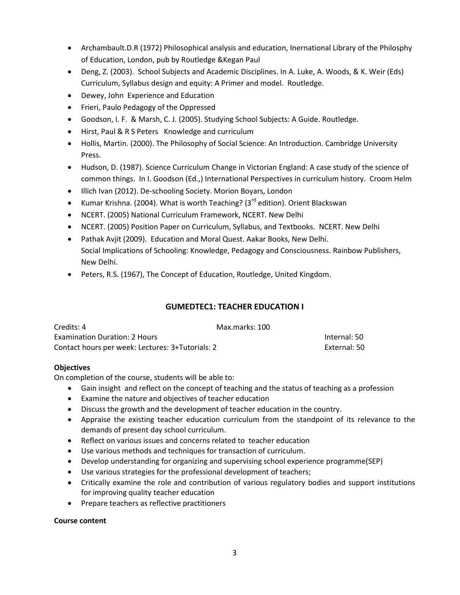- Archambault.D.R (1972) Philosophical analysis and education, Inernational Library of the Philosphy of Education, London, pub by Routledge &Kegan Paul
- Deng, Z. (2003). School Subjects and Academic Disciplines. In A. Luke, A. Woods, & K. Weir (Eds) Curriculum, Syllabus design and equity: A Primer and model. Routledge.
- Dewey, John Experience and Education
- Frieri, Paulo Pedagogy of the Oppressed
- Goodson, I. F. & Marsh, C. J. (2005). Studying School Subjects: A Guide. Routledge.
- Hirst, Paul & R S Peters Knowledge and curriculum
- Hollis, Martin. (2000). The Philosophy of Social Science: An Introduction. Cambridge University Press.
- Hudson, D. (1987). Science Curriculum Change in Victorian England: A case study of the science of common things. In I. Goodson (Ed.,) International Perspectives in curriculum history. Croom Helm
- Illich Ivan (2012). De-schooling Society. Morion Boyars, London
- Kumar Krishna. (2004). What is worth Teaching? (3<sup>rd</sup> edition). Orient Blackswan
- NCERT. (2005) National Curriculum Framework, NCERT. New Delhi
- NCERT. (2005) Position Paper on Curriculum, Syllabus, and Textbooks. NCERT. New Delhi
- Pathak Avjit (2009). Education and Moral Quest. Aakar Books, New Delhi. Social Implications of Schooling: Knowledge, Pedagogy and Consciousness. Rainbow Publishers, New Delhi.
- Peters, R.S. (1967), The Concept of Education, Routledge, United Kingdom.

# **GUMEDTEC1: TEACHER EDUCATION I**

| Credits: 4                                       | Max.marks: 100 |              |
|--------------------------------------------------|----------------|--------------|
| <b>Examination Duration: 2 Hours</b>             |                | Internal: 50 |
| Contact hours per week: Lectures: 3+Tutorials: 2 |                | External: 50 |

# **Objectives**

On completion of the course, students will be able to:

- Gain insight and reflect on the concept of teaching and the status of teaching as a profession
- Examine the nature and objectives of teacher education
- Discuss the growth and the development of teacher education in the country.
- Appraise the existing teacher education curriculum from the standpoint of its relevance to the demands of present day school curriculum.
- Reflect on various issues and concerns related to teacher education
- Use various methods and techniques for transaction of curriculum.
- Develop understanding for organizing and supervising school experience programme(SEP)
- Use various strategies for the professional development of teachers;
- Critically examine the role and contribution of various regulatory bodies and support institutions for improving quality teacher education
- Prepare teachers as reflective practitioners

# **Course content**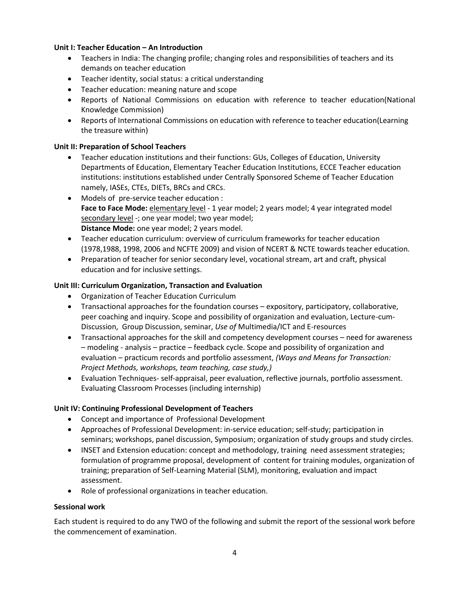# **Unit I: Teacher Education – An Introduction**

- Teachers in India: The changing profile; changing roles and responsibilities of teachers and its demands on teacher education
- Teacher identity, social status: a critical understanding
- Teacher education: meaning nature and scope
- Reports of National Commissions on education with reference to teacher education(National Knowledge Commission)
- Reports of International Commissions on education with reference to teacher education(Learning the treasure within)

# **Unit II: Preparation of School Teachers**

- Teacher education institutions and their functions: GUs, Colleges of Education, University Departments of Education, Elementary Teacher Education Institutions, ECCE Teacher education institutions: institutions established under Centrally Sponsored Scheme of Teacher Education namely, IASEs, CTEs, DIETs, BRCs and CRCs.
- Models of pre-service teacher education : **Face to Face Mode:** elementary level - 1 year model; 2 years model; 4 year integrated model secondary level -; one year model; two year model; **Distance Mode:** one year model; 2 years model.
- Teacher education curriculum: overview of curriculum frameworks for teacher education (1978,1988, 1998, 2006 and NCFTE 2009) and vision of NCERT & NCTE towards teacher education.
- Preparation of teacher for senior secondary level, vocational stream, art and craft, physical education and for inclusive settings.

# **Unit III: Curriculum Organization, Transaction and Evaluation**

- Organization of Teacher Education Curriculum
- Transactional approaches for the foundation courses expository, participatory, collaborative, peer coaching and inquiry. Scope and possibility of organization and evaluation, Lecture-cum-Discussion, Group Discussion, seminar, *Use of* Multimedia/ICT and E-resources
- Transactional approaches for the skill and competency development courses need for awareness – modeling - analysis – practice – feedback cycle. Scope and possibility of organization and evaluation – practicum records and portfolio assessment, *(Ways and Means for Transaction: Project Methods, workshops, team teaching, case study,)*
- Evaluation Techniques- self-appraisal, peer evaluation, reflective journals, portfolio assessment. Evaluating Classroom Processes (including internship)

# **Unit IV: Continuing Professional Development of Teachers**

- Concept and importance of Professional Development
- Approaches of Professional Development: in-service education; self-study; participation in seminars; workshops, panel discussion, Symposium; organization of study groups and study circles.
- INSET and Extension education: concept and methodology, training need assessment strategies; formulation of programme proposal, development of content for training modules, organization of training; preparation of Self-Learning Material (SLM), monitoring, evaluation and impact assessment.
- Role of professional organizations in teacher education.

# **Sessional work**

Each student is required to do any TWO of the following and submit the report of the sessional work before the commencement of examination.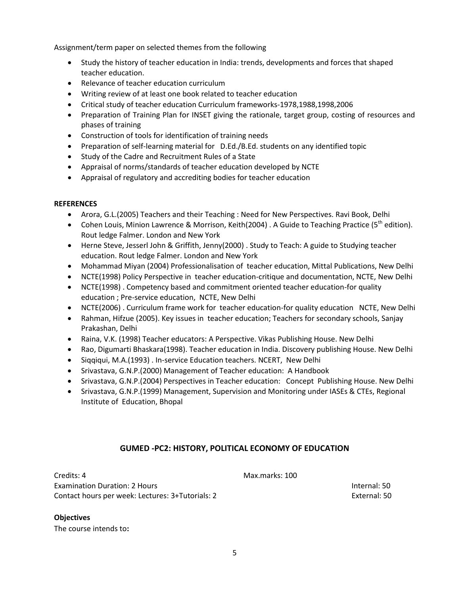Assignment/term paper on selected themes from the following

- Study the history of teacher education in India: trends, developments and forces that shaped teacher education.
- Relevance of teacher education curriculum
- Writing review of at least one book related to teacher education
- Critical study of teacher education Curriculum frameworks-1978,1988,1998,2006
- Preparation of Training Plan for INSET giving the rationale, target group, costing of resources and phases of training
- Construction of tools for identification of training needs
- Preparation of self-learning material for D.Ed./B.Ed. students on any identified topic
- Study of the Cadre and Recruitment Rules of a State
- Appraisal of norms/standards of teacher education developed by NCTE
- Appraisal of regulatory and accrediting bodies for teacher education

# **REFERENCES**

- Arora, G.L.(2005) Teachers and their Teaching : Need for New Perspectives. Ravi Book, Delhi
- Cohen Louis, Minion Lawrence & Morrison, Keith(2004) . A Guide to Teaching Practice (5<sup>th</sup> edition). Rout ledge Falmer. London and New York
- Herne Steve, Jesserl John & Griffith, Jenny(2000) . Study to Teach: A guide to Studying teacher education. Rout ledge Falmer. London and New York
- Mohammad Miyan (2004) Professionalisation of teacher education, Mittal Publications, New Delhi
- NCTE(1998) Policy Perspective in teacher education-critique and documentation, NCTE, New Delhi
- NCTE(1998) . Competency based and commitment oriented teacher education-for quality education ; Pre-service education, NCTE, New Delhi
- NCTE(2006) . Curriculum frame work for teacher education-for quality education NCTE, New Delhi
- Rahman, Hifzue (2005). Key issues in teacher education; Teachers for secondary schools, Sanjay Prakashan, Delhi
- Raina, V.K. (1998) Teacher educators: A Perspective. Vikas Publishing House. New Delhi
- Rao, Digumarti Bhaskara(1998). Teacher education in India. Discovery publishing House. New Delhi
- Siggiqui, M.A.(1993) . In-service Education teachers. NCERT, New Delhi
- Srivastava, G.N.P. (2000) Management of Teacher education: A Handbook
- Srivastava, G.N.P.(2004) Perspectives in Teacher education: Concept Publishing House. New Delhi
- Srivastava, G.N.P.(1999) Management, Supervision and Monitoring under IASEs & CTEs, Regional Institute of Education, Bhopal

# **GUMED -PC2: HISTORY, POLITICAL ECONOMY OF EDUCATION**

Credits: 4 Max.marks: 100 Examination Duration: 2 Hours Internal: 50 Contact hours per week: Lectures: 3+Tutorials: 2 External: 50

# **Objectives**

The course intends to**:**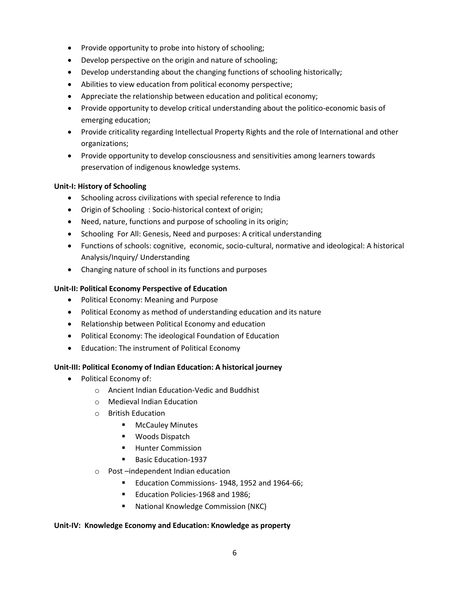- Provide opportunity to probe into history of schooling;
- Develop perspective on the origin and nature of schooling;
- Develop understanding about the changing functions of schooling historically;
- Abilities to view education from political economy perspective;
- Appreciate the relationship between education and political economy;
- Provide opportunity to develop critical understanding about the politico-economic basis of emerging education;
- Provide criticality regarding Intellectual Property Rights and the role of International and other organizations;
- Provide opportunity to develop consciousness and sensitivities among learners towards preservation of indigenous knowledge systems.

# **Unit-I: History of Schooling**

- Schooling across civilizations with special reference to India
- Origin of Schooling : Socio-historical context of origin;
- Need, nature, functions and purpose of schooling in its origin;
- Schooling For All: Genesis, Need and purposes: A critical understanding
- Functions of schools: cognitive, economic, socio-cultural, normative and ideological: A historical Analysis/Inquiry/ Understanding
- Changing nature of school in its functions and purposes

# **Unit-II: Political Economy Perspective of Education**

- Political Economy: Meaning and Purpose
- Political Economy as method of understanding education and its nature
- Relationship between Political Economy and education
- Political Economy: The ideological Foundation of Education
- Education: The instrument of Political Economy

# **Unit-III: Political Economy of Indian Education: A historical journey**

- Political Economy of:
	- o Ancient Indian Education-Vedic and Buddhist
	- o Medieval Indian Education
	- o British Education
		- **NcCauley Minutes**
		- **U** Woods Dispatch
		- **Hunter Commission**
		- Basic Education-1937
	- o Post –independent Indian education
		- **Education Commissions-1948, 1952 and 1964-66;**
		- **Education Policies-1968 and 1986;**
		- National Knowledge Commission (NKC)

# **Unit-IV: Knowledge Economy and Education: Knowledge as property**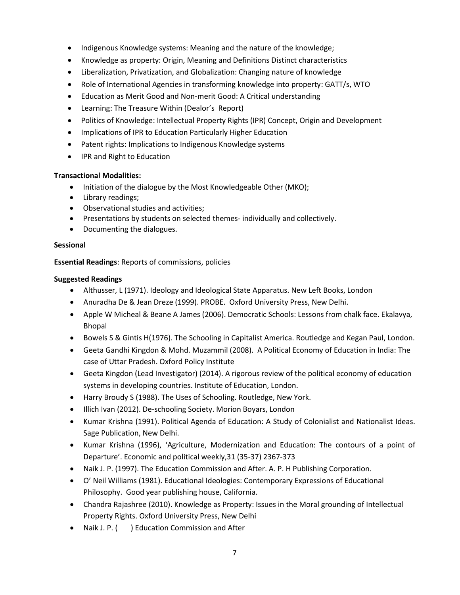- Indigenous Knowledge systems: Meaning and the nature of the knowledge;
- Knowledge as property: Origin, Meaning and Definitions Distinct characteristics
- Liberalization, Privatization, and Globalization: Changing nature of knowledge
- Role of International Agencies in transforming knowledge into property: GATT/s, WTO
- Education as Merit Good and Non-merit Good: A Critical understanding
- Learning: The Treasure Within (Dealor's Report)
- Politics of Knowledge: Intellectual Property Rights (IPR) Concept, Origin and Development
- Implications of IPR to Education Particularly Higher Education
- Patent rights: Implications to Indigenous Knowledge systems
- IPR and Right to Education

# **Transactional Modalities:**

- Initiation of the dialogue by the Most Knowledgeable Other (MKO);
- Library readings;
- Observational studies and activities;
- Presentations by students on selected themes- individually and collectively.
- Documenting the dialogues.

# **Sessional**

**Essential Readings**: Reports of commissions, policies

# **Suggested Readings**

- Althusser, L (1971). Ideology and Ideological State Apparatus. New Left Books, London
- Anuradha De & Jean Dreze (1999). PROBE. Oxford University Press, New Delhi.
- Apple W Micheal & Beane A James (2006). Democratic Schools: Lessons from chalk face. Ekalavya, Bhopal
- Bowels S & Gintis H(1976). The Schooling in Capitalist America. Routledge and Kegan Paul, London.
- Geeta Gandhi Kingdon & Mohd. Muzammil (2008). A Political Economy of Education in India: The case of Uttar Pradesh. Oxford Policy Institute
- Geeta Kingdon (Lead Investigator) (2014). A rigorous review of the political economy of education systems in developing countries. Institute of Education, London.
- Harry Broudy S (1988). The Uses of Schooling. Routledge, New York.
- Illich Ivan (2012). De-schooling Society. Morion Boyars, London
- Kumar Krishna (1991). Political Agenda of Education: A Study of Colonialist and Nationalist Ideas. Sage Publication, New Delhi.
- Kumar Krishna (1996), 'Agriculture, Modernization and Education: The contours of a point of Departure͛. Economic and political weekly,31 (35-37) 2367-373
- Naik J. P. (1997). The Education Commission and After. A. P. H Publishing Corporation.
- O͛ Neil Williams (1981). Educational Ideologies: Contemporary Expressions of Educational Philosophy. Good year publishing house, California.
- Chandra Rajashree (2010). Knowledge as Property: Issues in the Moral grounding of Intellectual Property Rights. Oxford University Press, New Delhi
- Naik J. P. ( ) Education Commission and After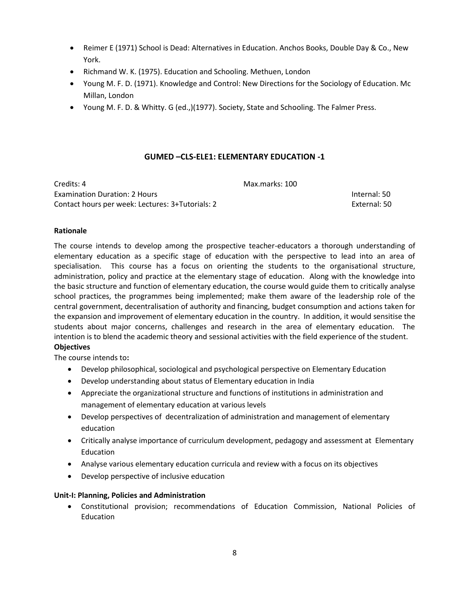- Reimer E (1971) School is Dead: Alternatives in Education. Anchos Books, Double Day & Co., New York.
- Richmand W. K. (1975). Education and Schooling. Methuen, London
- Young M. F. D. (1971). Knowledge and Control: New Directions for the Sociology of Education. Mc Millan, London
- Young M. F. D. & Whitty. G (ed.,)(1977). Society, State and Schooling. The Falmer Press.

# **GUMED –CLS-ELE1: ELEMENTARY EDUCATION -1**

| Credits: 4                                       | Max.marks: 100 |  |
|--------------------------------------------------|----------------|--|
| <b>Examination Duration: 2 Hours</b>             | Internal: 50   |  |
| Contact hours per week: Lectures: 3+Tutorials: 2 | External: 50   |  |

#### **Rationale**

The course intends to develop among the prospective teacher-educators a thorough understanding of elementary education as a specific stage of education with the perspective to lead into an area of specialisation. This course has a focus on orienting the students to the organisational structure, administration, policy and practice at the elementary stage of education. Along with the knowledge into the basic structure and function of elementary education, the course would guide them to critically analyse school practices, the programmes being implemented; make them aware of the leadership role of the central government, decentralisation of authority and financing, budget consumption and actions taken for the expansion and improvement of elementary education in the country. In addition, it would sensitise the students about major concerns, challenges and research in the area of elementary education. The intention is to blend the academic theory and sessional activities with the field experience of the student. **Objectives** 

The course intends to**:** 

- Develop philosophical, sociological and psychological perspective on Elementary Education
- Develop understanding about status of Elementary education in India
- Appreciate the organizational structure and functions of institutions in administration and management of elementary education at various levels
- Develop perspectives of decentralization of administration and management of elementary education
- Critically analyse importance of curriculum development, pedagogy and assessment at Elementary Education
- Analyse various elementary education curricula and review with a focus on its objectives
- Develop perspective of inclusive education

# **Unit-I: Planning, Policies and Administration**

 Constitutional provision; recommendations of Education Commission, National Policies of Education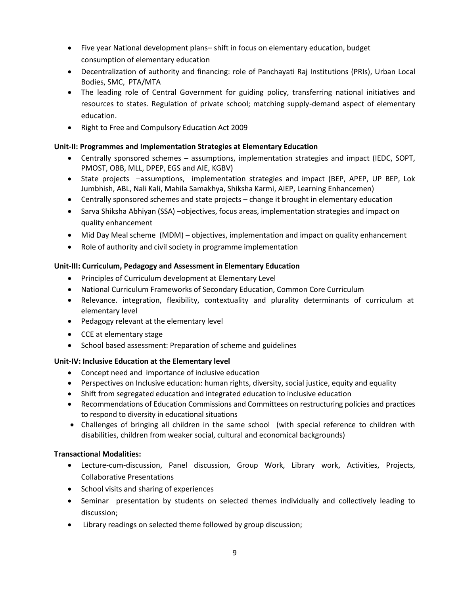- Five year National development plans– shift in focus on elementary education, budget consumption of elementary education
- Decentralization of authority and financing: role of Panchayati Raj Institutions (PRIs), Urban Local Bodies, SMC, PTA/MTA
- The leading role of Central Government for guiding policy, transferring national initiatives and resources to states. Regulation of private school; matching supply-demand aspect of elementary education.
- Right to Free and Compulsory Education Act 2009

# **Unit-II: Programmes and Implementation Strategies at Elementary Education**

- Centrally sponsored schemes assumptions, implementation strategies and impact (IEDC, SOPT, PMOST, OBB, MLL, DPEP, EGS and AIE, KGBV)
- State projects –assumptions, implementation strategies and impact (BEP, APEP, UP BEP, Lok Jumbhish, ABL, Nali Kali, Mahila Samakhya, Shiksha Karmi, AIEP, Learning Enhancemen)
- Centrally sponsored schemes and state projects change it brought in elementary education
- Sarva Shiksha Abhiyan (SSA) –objectives, focus areas, implementation strategies and impact on quality enhancement
- Mid Day Meal scheme (MDM) objectives, implementation and impact on quality enhancement
- Role of authority and civil society in programme implementation

# **Unit-III: Curriculum, Pedagogy and Assessment in Elementary Education**

- Principles of Curriculum development at Elementary Level
- National Curriculum Frameworks of Secondary Education, Common Core Curriculum
- Relevance. integration, flexibility, contextuality and plurality determinants of curriculum at elementary level
- Pedagogy relevant at the elementary level
- CCE at elementary stage
- School based assessment: Preparation of scheme and guidelines

# **Unit-IV: Inclusive Education at the Elementary level**

- Concept need and importance of inclusive education
- Perspectives on Inclusive education: human rights, diversity, social justice, equity and equality
- Shift from segregated education and integrated education to inclusive education
- Recommendations of Education Commissions and Committees on restructuring policies and practices to respond to diversity in educational situations
- Challenges of bringing all children in the same school (with special reference to children with disabilities, children from weaker social, cultural and economical backgrounds)

# **Transactional Modalities:**

- Lecture-cum-discussion, Panel discussion, Group Work, Library work, Activities, Projects, Collaborative Presentations
- School visits and sharing of experiences
- Seminar presentation by students on selected themes individually and collectively leading to discussion;
- Library readings on selected theme followed by group discussion;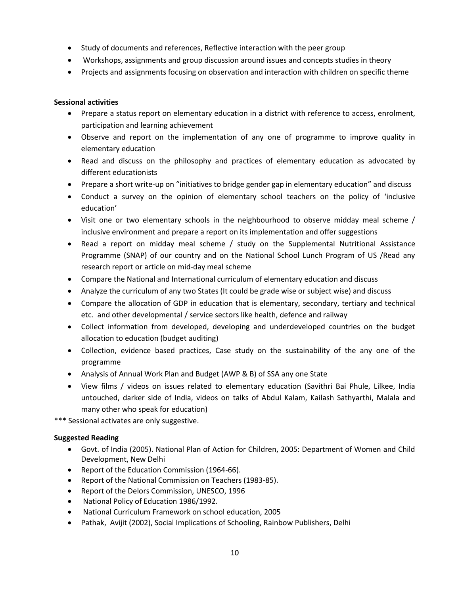- Study of documents and references, Reflective interaction with the peer group
- Workshops, assignments and group discussion around issues and concepts studies in theory
- Projects and assignments focusing on observation and interaction with children on specific theme

# **Sessional activities**

- Prepare a status report on elementary education in a district with reference to access, enrolment, participation and learning achievement
- Observe and report on the implementation of any one of programme to improve quality in elementary education
- Read and discuss on the philosophy and practices of elementary education as advocated by different educationists
- Prepare a short write-up on "initiatives to bridge gender gap in elementary education" and discuss
- Conduct a survey on the opinion of elementary school teachers on the policy of 'inclusive education'
- Visit one or two elementary schools in the neighbourhood to observe midday meal scheme / inclusive environment and prepare a report on its implementation and offer suggestions
- Read a report on midday meal scheme / study on the Supplemental Nutritional Assistance Programme (SNAP) of our country and on the National School Lunch Program of US /Read any research report or article on mid-day meal scheme
- Compare the National and International curriculum of elementary education and discuss
- Analyze the curriculum of any two States (It could be grade wise or subject wise) and discuss
- Compare the allocation of GDP in education that is elementary, secondary, tertiary and technical etc. and other developmental / service sectors like health, defence and railway
- Collect information from developed, developing and underdeveloped countries on the budget allocation to education (budget auditing)
- Collection, evidence based practices, Case study on the sustainability of the any one of the programme
- Analysis of Annual Work Plan and Budget (AWP & B) of SSA any one State
- View films / videos on issues related to elementary education (Savithri Bai Phule, Lilkee, India untouched, darker side of India, videos on talks of Abdul Kalam, Kailash Sathyarthi, Malala and many other who speak for education)

\*\*\* Sessional activates are only suggestive.

# **Suggested Reading**

- Govt. of India (2005). National Plan of Action for Children, 2005: Department of Women and Child Development, New Delhi
- Report of the Education Commission (1964-66).
- Report of the National Commission on Teachers (1983-85).
- Report of the Delors Commission, UNESCO, 1996
- National Policy of Education 1986/1992.
- National Curriculum Framework on school education, 2005
- Pathak, Avijit (2002), Social Implications of Schooling, Rainbow Publishers, Delhi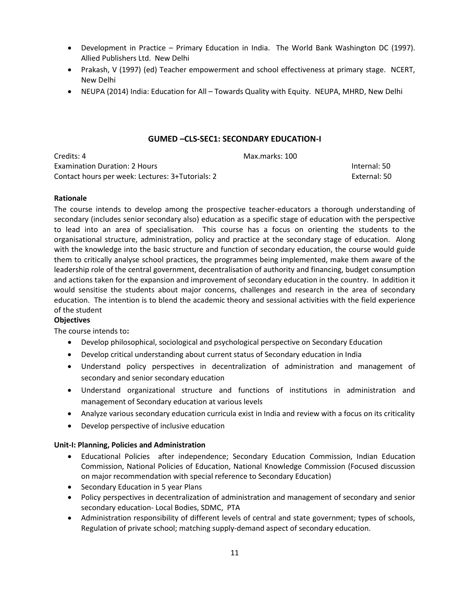- Development in Practice Primary Education in India. The World Bank Washington DC (1997). Allied Publishers Ltd. New Delhi
- Prakash, V (1997) (ed) Teacher empowerment and school effectiveness at primary stage. NCERT, New Delhi
- NEUPA (2014) India: Education for All Towards Quality with Equity. NEUPA, MHRD, New Delhi

# **GUMED –CLS-SEC1: SECONDARY EDUCATION-I**

Credits: 4 Max.marks: 100 Examination Duration: 2 Hours Internal: 50 Contact hours per week: Lectures: 3+Tutorials: 2 External: 50

# **Rationale**

The course intends to develop among the prospective teacher-educators a thorough understanding of secondary (includes senior secondary also) education as a specific stage of education with the perspective to lead into an area of specialisation. This course has a focus on orienting the students to the organisational structure, administration, policy and practice at the secondary stage of education. Along with the knowledge into the basic structure and function of secondary education, the course would guide them to critically analyse school practices, the programmes being implemented, make them aware of the leadership role of the central government, decentralisation of authority and financing, budget consumption and actions taken for the expansion and improvement of secondary education in the country. In addition it would sensitise the students about major concerns, challenges and research in the area of secondary education. The intention is to blend the academic theory and sessional activities with the field experience of the student

# **Objectives**

The course intends to**:** 

- Develop philosophical, sociological and psychological perspective on Secondary Education
- Develop critical understanding about current status of Secondary education in India
- Understand policy perspectives in decentralization of administration and management of secondary and senior secondary education
- Understand organizational structure and functions of institutions in administration and management of Secondary education at various levels
- Analyze various secondary education curricula exist in India and review with a focus on its criticality
- Develop perspective of inclusive education

# **Unit-I: Planning, Policies and Administration**

- Educational Policies after independence; Secondary Education Commission, Indian Education Commission, National Policies of Education, National Knowledge Commission (Focused discussion on major recommendation with special reference to Secondary Education)
- Secondary Education in 5 year Plans
- Policy perspectives in decentralization of administration and management of secondary and senior secondary education- Local Bodies, SDMC, PTA
- Administration responsibility of different levels of central and state government; types of schools, Regulation of private school; matching supply-demand aspect of secondary education.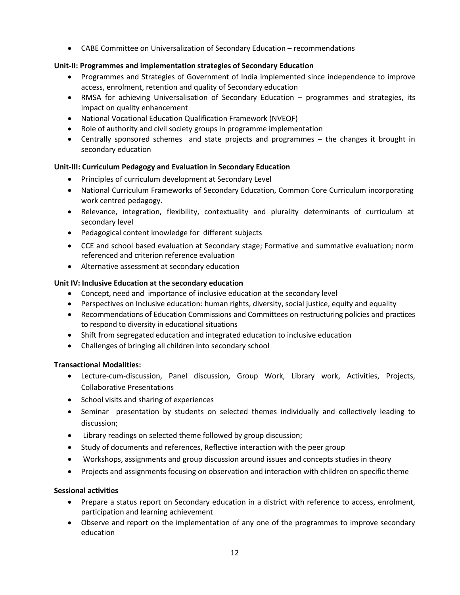CABE Committee on Universalization of Secondary Education – recommendations

# **Unit-II: Programmes and implementation strategies of Secondary Education**

- Programmes and Strategies of Government of India implemented since independence to improve access, enrolment, retention and quality of Secondary education
- RMSA for achieving Universalisation of Secondary Education programmes and strategies, its impact on quality enhancement
- National Vocational Education Qualification Framework (NVEQF)
- Role of authority and civil society groups in programme implementation
- Centrally sponsored schemes and state projects and programmes the changes it brought in secondary education

# **Unit-III: Curriculum Pedagogy and Evaluation in Secondary Education**

- Principles of curriculum development at Secondary Level
- National Curriculum Frameworks of Secondary Education, Common Core Curriculum incorporating work centred pedagogy.
- Relevance, integration, flexibility, contextuality and plurality determinants of curriculum at secondary level
- Pedagogical content knowledge for different subjects
- CCE and school based evaluation at Secondary stage; Formative and summative evaluation; norm referenced and criterion reference evaluation
- Alternative assessment at secondary education

# **Unit IV: Inclusive Education at the secondary education**

- Concept, need and importance of inclusive education at the secondary level
- Perspectives on Inclusive education: human rights, diversity, social justice, equity and equality
- Recommendations of Education Commissions and Committees on restructuring policies and practices to respond to diversity in educational situations
- Shift from segregated education and integrated education to inclusive education
- Challenges of bringing all children into secondary school

# **Transactional Modalities:**

- Lecture-cum-discussion, Panel discussion, Group Work, Library work, Activities, Projects, Collaborative Presentations
- School visits and sharing of experiences
- Seminar presentation by students on selected themes individually and collectively leading to discussion;
- Library readings on selected theme followed by group discussion;
- Study of documents and references, Reflective interaction with the peer group
- Workshops, assignments and group discussion around issues and concepts studies in theory
- Projects and assignments focusing on observation and interaction with children on specific theme

# **Sessional activities**

- Prepare a status report on Secondary education in a district with reference to access, enrolment, participation and learning achievement
- Observe and report on the implementation of any one of the programmes to improve secondary education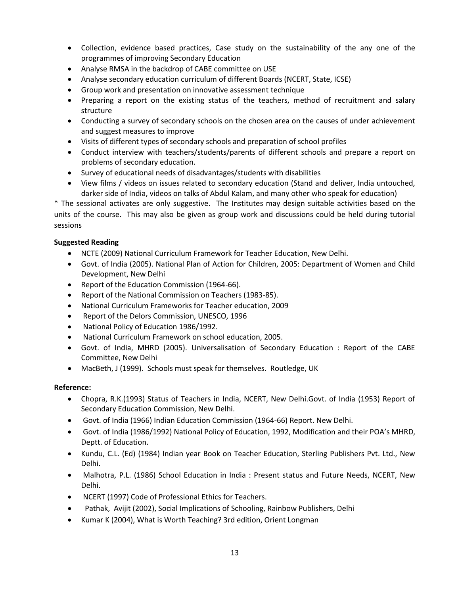- Collection, evidence based practices, Case study on the sustainability of the any one of the programmes of improving Secondary Education
- Analyse RMSA in the backdrop of CABE committee on USE
- Analyse secondary education curriculum of different Boards (NCERT, State, ICSE)
- Group work and presentation on innovative assessment technique
- Preparing a report on the existing status of the teachers, method of recruitment and salary structure
- Conducting a survey of secondary schools on the chosen area on the causes of under achievement and suggest measures to improve
- Visits of different types of secondary schools and preparation of school profiles
- Conduct interview with teachers/students/parents of different schools and prepare a report on problems of secondary education.
- Survey of educational needs of disadvantages/students with disabilities
- View films / videos on issues related to secondary education (Stand and deliver, India untouched, darker side of India, videos on talks of Abdul Kalam, and many other who speak for education)

\* The sessional activates are only suggestive. The Institutes may design suitable activities based on the units of the course. This may also be given as group work and discussions could be held during tutorial sessions

# **Suggested Reading**

- NCTE (2009) National Curriculum Framework for Teacher Education, New Delhi.
- Govt. of India (2005). National Plan of Action for Children, 2005: Department of Women and Child Development, New Delhi
- Report of the Education Commission (1964-66).
- Report of the National Commission on Teachers (1983-85).
- National Curriculum Frameworks for Teacher education, 2009
- Report of the Delors Commission, UNESCO, 1996
- National Policy of Education 1986/1992.
- National Curriculum Framework on school education, 2005.
- Govt. of India, MHRD (2005). Universalisation of Secondary Education : Report of the CABE Committee, New Delhi
- MacBeth, J (1999). Schools must speak for themselves. Routledge, UK

# **Reference:**

- Chopra, R.K.(1993) Status of Teachers in India, NCERT, New Delhi.Govt. of India (1953) Report of Secondary Education Commission, New Delhi.
- Govt. of India (1966) Indian Education Commission (1964-66) Report. New Delhi.
- Govt. of India (1986/1992) National Policy of Education, 1992, Modification and their POA's MHRD, Deptt. of Education.
- Kundu, C.L. (Ed) (1984) Indian year Book on Teacher Education, Sterling Publishers Pvt. Ltd., New Delhi.
- Malhotra, P.L. (1986) School Education in India : Present status and Future Needs, NCERT, New Delhi.
- NCERT (1997) Code of Professional Ethics for Teachers.
- Pathak, Avijit (2002), Social Implications of Schooling, Rainbow Publishers, Delhi
- Kumar K (2004), What is Worth Teaching? 3rd edition, Orient Longman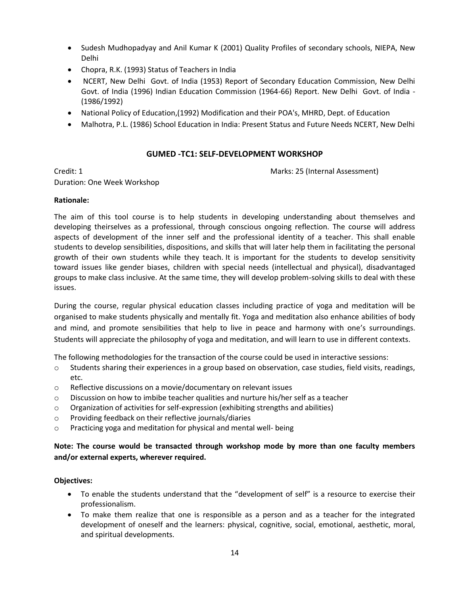- Sudesh Mudhopadyay and Anil Kumar K (2001) Quality Profiles of secondary schools, NIEPA, New Delhi
- Chopra, R.K. (1993) Status of Teachers in India
- NCERT, New Delhi Govt. of India (1953) Report of Secondary Education Commission, New Delhi Govt. of India (1996) Indian Education Commission (1964-66) Report. New Delhi Govt. of India - (1986/1992)
- National Policy of Education,(1992) Modification and their POA's, MHRD, Dept. of Education
- Malhotra, P.L. (1986) School Education in India: Present Status and Future Needs NCERT, New Delhi

# **GUMED -TC1: SELF-DEVELOPMENT WORKSHOP**

Duration: One Week Workshop

Credit: 1 Marks: 25 (Internal Assessment)

# **Rationale:**

The aim of this tool course is to help students in developing understanding about themselves and developing theirselves as a professional, through conscious ongoing reflection. The course will address aspects of development of the inner self and the professional identity of a teacher. This shall enable students to develop sensibilities, dispositions, and skills that will later help them in facilitating the personal growth of their own students while they teach. It is important for the students to develop sensitivity toward issues like gender biases, children with special needs (intellectual and physical), disadvantaged groups to make class inclusive. At the same time, they will develop problem-solving skills to deal with these issues.

During the course, regular physical education classes including practice of yoga and meditation will be organised to make students physically and mentally fit. Yoga and meditation also enhance abilities of body and mind, and promote sensibilities that help to live in peace and harmony with one's surroundings. Students will appreciate the philosophy of yoga and meditation, and will learn to use in different contexts.

The following methodologies for the transaction of the course could be used in interactive sessions:

- o Students sharing their experiences in a group based on observation, case studies, field visits, readings, etc.
- o Reflective discussions on a movie/documentary on relevant issues
- $\circ$  Discussion on how to imbibe teacher qualities and nurture his/her self as a teacher
- $\circ$  Organization of activities for self-expression (exhibiting strengths and abilities)
- o Providing feedback on their reflective journals/diaries
- o Practicing yoga and meditation for physical and mental well- being

# **Note: The course would be transacted through workshop mode by more than one faculty members and/or external experts, wherever required.**

# **Objectives:**

- To enable the students understand that the "development of self" is a resource to exercise their professionalism.
- To make them realize that one is responsible as a person and as a teacher for the integrated development of oneself and the learners: physical, cognitive, social, emotional, aesthetic, moral, and spiritual developments.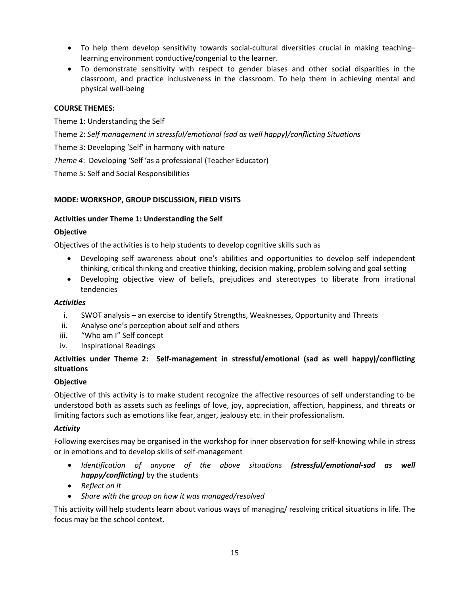- To help them develop sensitivity towards social-cultural diversities crucial in making teaching– learning environment conductive/congenial to the learner.
- To demonstrate sensitivity with respect to gender biases and other social disparities in the classroom, and practice inclusiveness in the classroom. To help them in achieving mental and physical well-being

# **COURSE THEMES:**

Theme 1: Understanding the Self

- Theme 2: *Self management in stressful/emotional (sad as well happy)/conflicting Situations*
- Theme 3: Developing 'Self' in harmony with nature
- *Theme 4*: Developing 'Self 'as a professional (Teacher Educator)

Theme 5: Self and Social Responsibilities

# **MODE***:* **WORKSHOP, GROUP DISCUSSION, FIELD VISITS**

# **Activities under Theme 1: Understanding the Self**

# **Objective**

Objectives of the activities is to help students to develop cognitive skills such as

- Developing self awareness about one's abilities and opportunities to develop self independent thinking, critical thinking and creative thinking, decision making, problem solving and goal setting
- Developing objective view of beliefs, prejudices and stereotypes to liberate from irrational tendencies

# *Activities*

- i. SWOT analysis an exercise to identify Strengths, Weaknesses, Opportunity and Threats
- ii. Analyse one's perception about self and others
- iii. "Who am I" Self concept
- iv. Inspirational Readings

# **Activities under Theme 2: Self-management in stressful/emotional (sad as well happy)/conflicting situations**

# **Objective**

Objective of this activity is to make student recognize the affective resources of self understanding to be understood both as assets such as feelings of love, joy, appreciation, affection, happiness, and threats or limiting factors such as emotions like fear, anger, jealousy etc. in their professionalism.

# *Activity*

Following exercises may be organised in the workshop for inner observation for self-knowing while in stress or in emotions and to develop skills of self-management

- *Identification of anyone of the above situations (stressful/emotional-sad as well happy/conflicting)* by the students
- *Reflect on it*
- *Share with the group on how it was managed/resolved*

This activity will help students learn about various ways of managing/ resolving critical situations in life. The focus may be the school context.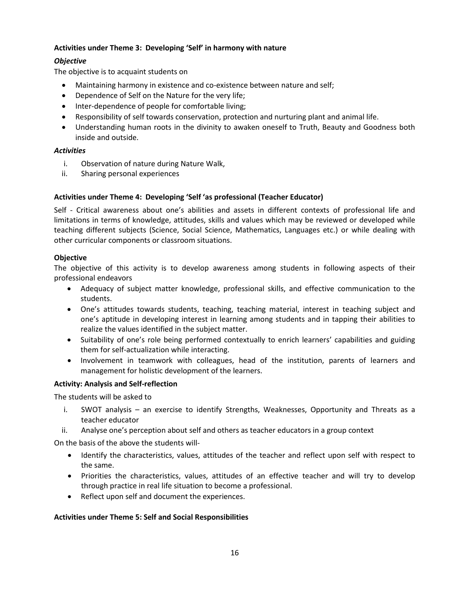# **Activities under Theme 3: Developing 'Self' in harmony with nature**

# *Objective*

The objective is to acquaint students on

- Maintaining harmony in existence and co-existence between nature and self;
- Dependence of Self on the Nature for the very life;
- Inter-dependence of people for comfortable living;
- Responsibility of self towards conservation, protection and nurturing plant and animal life.
- Understanding human roots in the divinity to awaken oneself to Truth, Beauty and Goodness both inside and outside.

# *Activities*

- i. Observation of nature during Nature Walk,
- ii. Sharing personal experiences

# **Activities under Theme 4: Developing ͚Self ͚as professional (Teacher Educator)**

Self - Critical awareness about one's abilities and assets in different contexts of professional life and limitations in terms of knowledge, attitudes, skills and values which may be reviewed or developed while teaching different subjects (Science, Social Science, Mathematics, Languages etc.) or while dealing with other curricular components or classroom situations.

# **Objective**

The objective of this activity is to develop awareness among students in following aspects of their professional endeavors

- Adequacy of subject matter knowledge, professional skills, and effective communication to the students.
- One's attitudes towards students, teaching, teaching material, interest in teaching subject and one's aptitude in developing interest in learning among students and in tapping their abilities to realize the values identified in the subject matter.
- Suitability of one's role being performed contextually to enrich learners' capabilities and guiding them for self-actualization while interacting.
- Involvement in teamwork with colleagues, head of the institution, parents of learners and management for holistic development of the learners.

# **Activity: Analysis and Self-reflection**

The students will be asked to

- i. SWOT analysis an exercise to identify Strengths, Weaknesses, Opportunity and Threats as a teacher educator
- ii. Analyse one's perception about self and others as teacher educators in a group context

On the basis of the above the students will-

- Identify the characteristics, values, attitudes of the teacher and reflect upon self with respect to the same.
- Priorities the characteristics, values, attitudes of an effective teacher and will try to develop through practice in real life situation to become a professional.
- Reflect upon self and document the experiences.

# **Activities under Theme 5: Self and Social Responsibilities**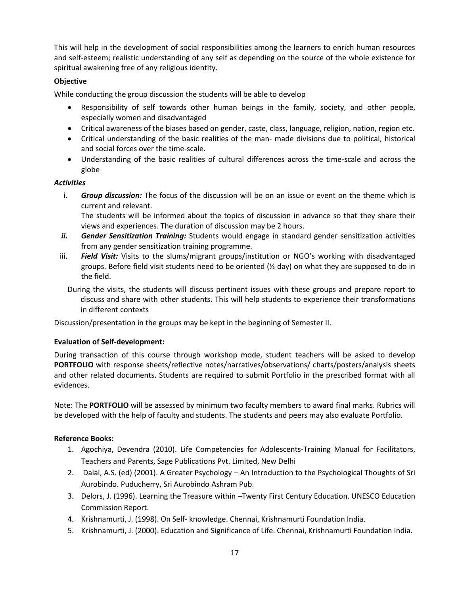This will help in the development of social responsibilities among the learners to enrich human resources and self-esteem; realistic understanding of any self as depending on the source of the whole existence for spiritual awakening free of any religious identity.

# **Objective**

While conducting the group discussion the students will be able to develop

- Responsibility of self towards other human beings in the family, society, and other people, especially women and disadvantaged
- Critical awareness of the biases based on gender, caste, class, language, religion, nation, region etc.
- Critical understanding of the basic realities of the man- made divisions due to political, historical and social forces over the time-scale.
- Understanding of the basic realities of cultural differences across the time-scale and across the globe

# *Activities*

i. *Group discussion:* The focus of the discussion will be on an issue or event on the theme which is current and relevant.

The students will be informed about the topics of discussion in advance so that they share their views and experiences. The duration of discussion may be 2 hours.

- *ii. Gender Sensitization Training:* Students would engage in standard gender sensitization activities from any gender sensitization training programme.
- iii. **Field Visit:** Visits to the slums/migrant groups/institution or NGO's working with disadvantaged groups. Before field visit students need to be oriented  $(Y_2 \text{ day})$  on what they are supposed to do in the field.

During the visits, the students will discuss pertinent issues with these groups and prepare report to discuss and share with other students. This will help students to experience their transformations in different contexts

Discussion/presentation in the groups may be kept in the beginning of Semester II.

# **Evaluation of Self-development:**

During transaction of this course through workshop mode, student teachers will be asked to develop **PORTFOLIO** with response sheets/reflective notes/narratives/observations/ charts/posters/analysis sheets and other related documents. Students are required to submit Portfolio in the prescribed format with all evidences.

Note: The **PORTFOLIO** will be assessed by minimum two faculty members to award final marks. Rubrics will be developed with the help of faculty and students. The students and peers may also evaluate Portfolio.

# **Reference Books:**

- 1. Agochiya, Devendra (2010). Life Competencies for Adolescents-Training Manual for Facilitators, Teachers and Parents, Sage Publications Pvt. Limited, New Delhi
- 2. Dalal, A.S. (ed) (2001). A Greater Psychology An Introduction to the Psychological Thoughts of Sri Aurobindo. Puducherry, Sri Aurobindo Ashram Pub.
- 3. Delors, J. (1996). Learning the Treasure within –Twenty First Century Education. UNESCO Education Commission Report.
- 4. Krishnamurti, J. (1998). On Self- knowledge. Chennai, Krishnamurti Foundation India.
- 5. Krishnamurti, J. (2000). Education and Significance of Life. Chennai, Krishnamurti Foundation India.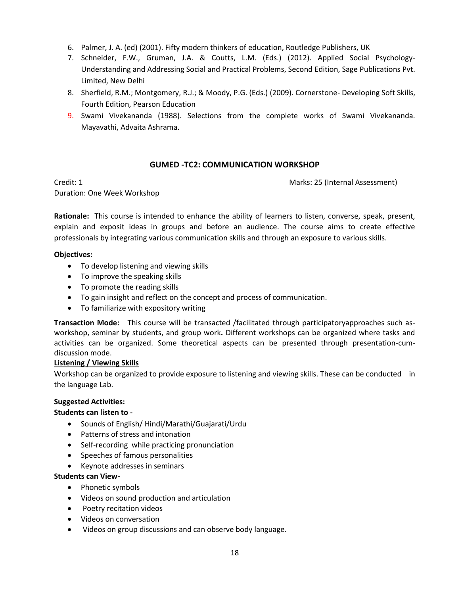- 6. Palmer, J. A. (ed) (2001). Fifty modern thinkers of education, Routledge Publishers, UK
- 7. Schneider, F.W., Gruman, J.A. & Coutts, L.M. (Eds.) (2012). Applied Social Psychology-Understanding and Addressing Social and Practical Problems, Second Edition, Sage Publications Pvt. Limited, New Delhi
- 8. Sherfield, R.M.; Montgomery, R.J.; & Moody, P.G. (Eds.) (2009). Cornerstone- Developing Soft Skills, Fourth Edition, Pearson Education
- 9. Swami Vivekananda (1988). Selections from the complete works of Swami Vivekananda. Mayavathi, Advaita Ashrama.

# **GUMED -TC2: COMMUNICATION WORKSHOP**

Credit: 1 Marks: 25 (Internal Assessment)

Duration: One Week Workshop

**Rationale:** This course is intended to enhance the ability of learners to listen, converse, speak, present, explain and exposit ideas in groups and before an audience. The course aims to create effective professionals by integrating various communication skills and through an exposure to various skills.

# **Objectives:**

- To develop listening and viewing skills
- To improve the speaking skills
- To promote the reading skills
- To gain insight and reflect on the concept and process of communication.
- To familiarize with expository writing

**Transaction Mode:** This course will be transacted /facilitated through participatoryapproaches such asworkshop, seminar by students, and group work**.** Different workshops can be organized where tasks and activities can be organized. Some theoretical aspects can be presented through presentation-cumdiscussion mode.

# **Listening / Viewing Skills**

Workshop can be organized to provide exposure to listening and viewing skills. These can be conducted in the language Lab.

# **Suggested Activities:**

# **Students can listen to -**

- Sounds of English/Hindi/Marathi/Guajarati/Urdu
- Patterns of stress and intonation
- Self-recording while practicing pronunciation
- Speeches of famous personalities
- Keynote addresses in seminars

# **Students can View-**

- Phonetic symbols
- Videos on sound production and articulation
- Poetry recitation videos
- Videos on conversation
- Videos on group discussions and can observe body language.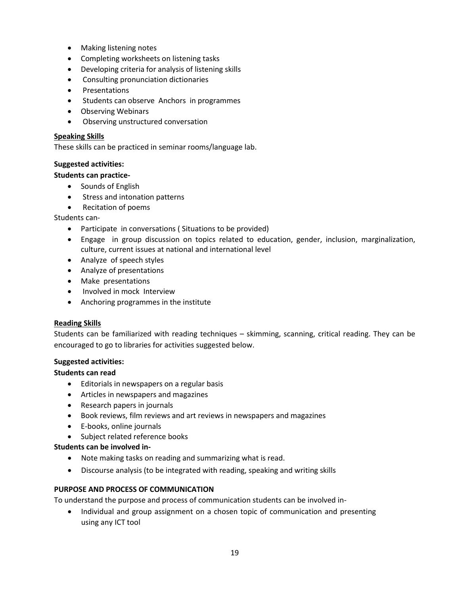- Making listening notes
- Completing worksheets on listening tasks
- Developing criteria for analysis of listening skills
- Consulting pronunciation dictionaries
- **•** Presentations
- Students can observe Anchors in programmes
- Observing Webinars
- Observing unstructured conversation

### **Speaking Skills**

These skills can be practiced in seminar rooms/language lab.

### **Suggested activities:**

### **Students can practice-**

- Sounds of English
- Stress and intonation patterns
- Recitation of poems

Students can-

- Participate in conversations ( Situations to be provided)
- Engage in group discussion on topics related to education, gender, inclusion, marginalization, culture, current issues at national and international level
- Analyze of speech styles
- Analyze of presentations
- Make presentations
- Involved in mock Interview
- Anchoring programmes in the institute

# **Reading Skills**

Students can be familiarized with reading techniques – skimming, scanning, critical reading. They can be encouraged to go to libraries for activities suggested below.

# **Suggested activities:**

# **Students can read**

- **•** Editorials in newspapers on a regular basis
- Articles in newspapers and magazines
- Research papers in journals
- Book reviews, film reviews and art reviews in newspapers and magazines
- E-books, online journals
- Subject related reference books

# **Students can be involved in-**

- Note making tasks on reading and summarizing what is read.
- Discourse analysis (to be integrated with reading, speaking and writing skills

# **PURPOSE AND PROCESS OF COMMUNICATION**

To understand the purpose and process of communication students can be involved in-

• Individual and group assignment on a chosen topic of communication and presenting using any ICT tool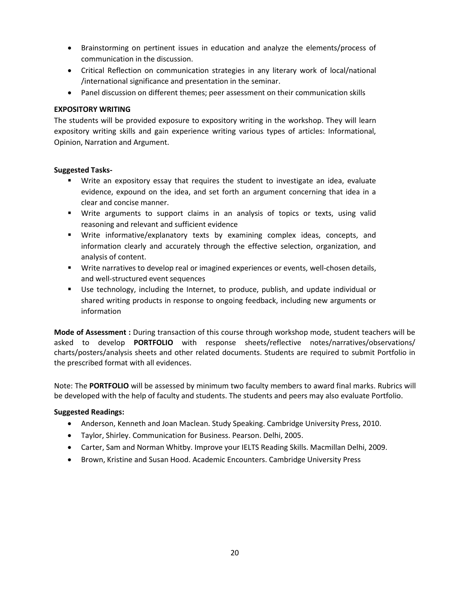- Brainstorming on pertinent issues in education and analyze the elements/process of communication in the discussion.
- Critical Reflection on communication strategies in any literary work of local/national /international significance and presentation in the seminar.
- Panel discussion on different themes; peer assessment on their communication skills

# **EXPOSITORY WRITING**

The students will be provided exposure to expository writing in the workshop. They will learn expository writing skills and gain experience writing various types of articles: Informational, Opinion, Narration and Argument.

# **Suggested Tasks-**

- Write an expository essay that requires the student to investigate an idea, evaluate evidence, expound on the idea, and set forth an argument concerning that idea in a clear and concise manner.
- Write arguments to support claims in an analysis of topics or texts, using valid reasoning and relevant and sufficient evidence
- Write informative/explanatory texts by examining complex ideas, concepts, and information clearly and accurately through the effective selection, organization, and analysis of content.
- **Write narratives to develop real or imagined experiences or events, well-chosen details,** and well-structured event sequences
- Use technology, including the Internet, to produce, publish, and update individual or shared writing products in response to ongoing feedback, including new arguments or information

**Mode of Assessment :** During transaction of this course through workshop mode, student teachers will be asked to develop **PORTFOLIO** with response sheets/reflective notes/narratives/observations/ charts/posters/analysis sheets and other related documents. Students are required to submit Portfolio in the prescribed format with all evidences.

Note: The **PORTFOLIO** will be assessed by minimum two faculty members to award final marks. Rubrics will be developed with the help of faculty and students. The students and peers may also evaluate Portfolio.

# **Suggested Readings:**

- Anderson, Kenneth and Joan Maclean. Study Speaking. Cambridge University Press, 2010.
- Taylor, Shirley. Communication for Business. Pearson. Delhi, 2005.
- Carter, Sam and Norman Whitby. Improve your IELTS Reading Skills. Macmillan Delhi, 2009.
- Brown, Kristine and Susan Hood. Academic Encounters. Cambridge University Press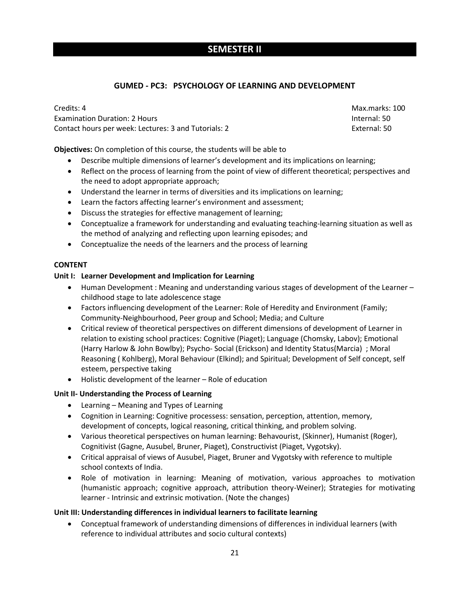# **SEMESTER II**

# **GUMED - PC3: PSYCHOLOGY OF LEARNING AND DEVELOPMENT**

Credits: 4 Max.marks: 100 Examination Duration: 2 Hours Internal: 50 Contact hours per week: Lectures: 3 and Tutorials: 2 External: 50

**Objectives:** On completion of this course, the students will be able to

- Describe multiple dimensions of learner's development and its implications on learning;
- Reflect on the process of learning from the point of view of different theoretical; perspectives and the need to adopt appropriate approach;
- Understand the learner in terms of diversities and its implications on learning;
- Learn the factors affecting learner's environment and assessment;
- Discuss the strategies for effective management of learning;
- Conceptualize a framework for understanding and evaluating teaching-learning situation as well as the method of analyzing and reflecting upon learning episodes; and
- Conceptualize the needs of the learners and the process of learning

# **CONTENT**

# **Unit I: Learner Development and Implication for Learning**

- Human Development : Meaning and understanding various stages of development of the Learner childhood stage to late adolescence stage
- Factors influencing development of the Learner: Role of Heredity and Environment (Family; Community-Neighbourhood, Peer group and School; Media; and Culture
- Critical review of theoretical perspectives on different dimensions of development of Learner in relation to existing school practices: Cognitive (Piaget); Language (Chomsky, Labov); Emotional (Harry Harlow & John Bowlby); Psycho- Social (Erickson) and Identity Status(Marcia) ; Moral Reasoning ( Kohlberg), Moral Behaviour (Elkind); and Spiritual; Development of Self concept, self esteem, perspective taking
- Holistic development of the learner Role of education

# **Unit II- Understanding the Process of Learning**

- Learning Meaning and Types of Learning
- Cognition in Learning: Cognitive processess: sensation, perception, attention, memory, development of concepts, logical reasoning, critical thinking, and problem solving.
- Various theoretical perspectives on human learning: Behavourist, (Skinner), Humanist (Roger), Cognitivist (Gagne, Ausubel, Bruner, Piaget), Constructivist (Piaget, Vygotsky).
- Critical appraisal of views of Ausubel, Piaget, Bruner and Vygotsky with reference to multiple school contexts of India.
- Role of motivation in learning: Meaning of motivation, various approaches to motivation (humanistic approach; cognitive approach, attribution theory-Weiner); Strategies for motivating learner - Intrinsic and extrinsic motivation. (Note the changes)

# **Unit III: Understanding differences in individual learners to facilitate learning**

 Conceptual framework of understanding dimensions of differences in individual learners (with reference to individual attributes and socio cultural contexts)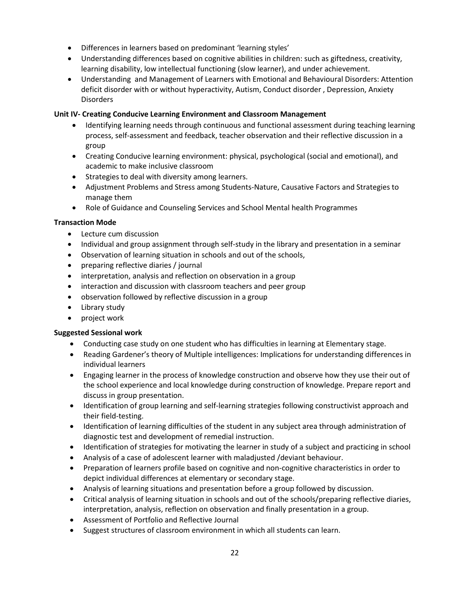- Differences in learners based on predominant 'learning styles'
- Understanding differences based on cognitive abilities in children: such as giftedness, creativity, learning disability, low intellectual functioning (slow learner), and under achievement.
- Understanding and Management of Learners with Emotional and Behavioural Disorders: Attention deficit disorder with or without hyperactivity, Autism, Conduct disorder , Depression, Anxiety **Disorders**

# **Unit IV- Creating Conducive Learning Environment and Classroom Management**

- Identifying learning needs through continuous and functional assessment during teaching learning process, self-assessment and feedback, teacher observation and their reflective discussion in a group
- Creating Conducive learning environment: physical, psychological (social and emotional), and academic to make inclusive classroom
- Strategies to deal with diversity among learners.
- Adjustment Problems and Stress among Students-Nature, Causative Factors and Strategies to manage them
- Role of Guidance and Counseling Services and School Mental health Programmes

# **Transaction Mode**

- Lecture cum discussion
- Individual and group assignment through self-study in the library and presentation in a seminar
- Observation of learning situation in schools and out of the schools,
- preparing reflective diaries / journal
- interpretation, analysis and reflection on observation in a group
- interaction and discussion with classroom teachers and peer group
- observation followed by reflective discussion in a group
- Library study
- project work

# **Suggested Sessional work**

- Conducting case study on one student who has difficulties in learning at Elementary stage.
- Reading Gardener's theory of Multiple intelligences: Implications for understanding differences in individual learners
- Engaging learner in the process of knowledge construction and observe how they use their out of the school experience and local knowledge during construction of knowledge. Prepare report and discuss in group presentation.
- Identification of group learning and self-learning strategies following constructivist approach and their field-testing.
- Identification of learning difficulties of the student in any subject area through administration of diagnostic test and development of remedial instruction.
- Identification of strategies for motivating the learner in study of a subject and practicing in school
- Analysis of a case of adolescent learner with maladjusted /deviant behaviour.
- Preparation of learners profile based on cognitive and non-cognitive characteristics in order to depict individual differences at elementary or secondary stage.
- Analysis of learning situations and presentation before a group followed by discussion.
- Critical analysis of learning situation in schools and out of the schools/preparing reflective diaries, interpretation, analysis, reflection on observation and finally presentation in a group.
- Assessment of Portfolio and Reflective Journal
- Suggest structures of classroom environment in which all students can learn.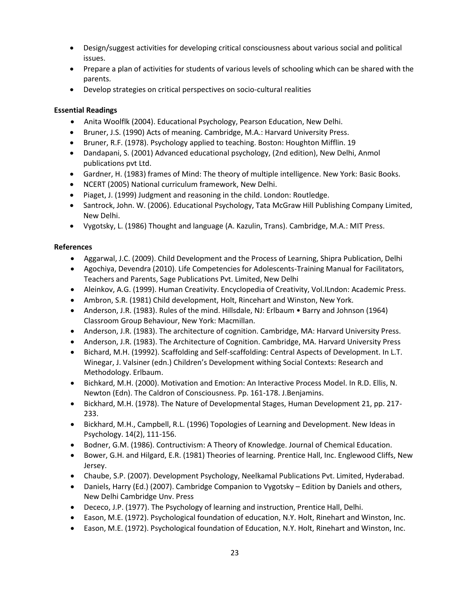- Design/suggest activities for developing critical consciousness about various social and political issues.
- Prepare a plan of activities for students of various levels of schooling which can be shared with the parents.
- Develop strategies on critical perspectives on socio-cultural realities

# **Essential Readings**

- Anita Woolflk (2004). Educational Psychology, Pearson Education, New Delhi.
- Bruner, J.S. (1990) Acts of meaning. Cambridge, M.A.: Harvard University Press.
- Bruner, R.F. (1978). Psychology applied to teaching. Boston: Houghton Mifflin. 19
- Dandapani, S. (2001) Advanced educational psychology, (2nd edition), New Delhi, Anmol publications pvt Ltd.
- Gardner, H. (1983) frames of Mind: The theory of multiple intelligence. New York: Basic Books.
- NCERT (2005) National curriculum framework, New Delhi.
- Piaget, J. (1999) Judgment and reasoning in the child. London: Routledge.
- Santrock, John. W. (2006). Educational Psychology, Tata McGraw Hill Publishing Company Limited, New Delhi.
- Vygotsky, L. (1986) Thought and language (A. Kazulin, Trans). Cambridge, M.A.: MIT Press.

# **References**

- Aggarwal, J.C. (2009). Child Development and the Process of Learning, Shipra Publication, Delhi
- Agochiya, Devendra (2010). Life Competencies for Adolescents-Training Manual for Facilitators, Teachers and Parents, Sage Publications Pvt. Limited, New Delhi
- Aleinkov, A.G. (1999). Human Creativity. Encyclopedia of Creativity, Vol.ILndon: Academic Press.
- Ambron, S.R. (1981) Child development, Holt, Rincehart and Winston, New York.
- Anderson, J.R. (1983). Rules of the mind. Hillsdale, NJ: Erlbaum Barry and Johnson (1964) Classroom Group Behaviour, New York: Macmillan.
- Anderson, J.R. (1983). The architecture of cognition. Cambridge, MA: Harvard University Press.
- Anderson, J.R. (1983). The Architecture of Cognition. Cambridge, MA. Harvard University Press
- Bichard, M.H. (19992). Scaffolding and Self-scaffolding: Central Aspects of Development. In L.T. Winegar, J. Valsiner (edn.) Children's Development withing Social Contexts: Research and Methodology. Erlbaum.
- Bichkard, M.H. (2000). Motivation and Emotion: An Interactive Process Model. In R.D. Ellis, N. Newton (Edn). The Caldron of Consciousness. Pp. 161-178. J.Benjamins.
- Bickhard, M.H. (1978). The Nature of Developmental Stages, Human Development 21, pp. 217- 233.
- Bickhard, M.H., Campbell, R.L. (1996) Topologies of Learning and Development. New Ideas in Psychology. 14(2), 111-156.
- Bodner, G.M. (1986). Contructivism: A Theory of Knowledge. Journal of Chemical Education.
- Bower, G.H. and Hilgard, E.R. (1981) Theories of learning. Prentice Hall, Inc. Englewood Cliffs, New Jersey.
- Chaube, S.P. (2007). Development Psychology, Neelkamal Publications Pvt. Limited, Hyderabad.
- Daniels, Harry (Ed.) (2007). Cambridge Companion to Vygotsky Edition by Daniels and others, New Delhi Cambridge Unv. Press
- Dececo, J.P. (1977). The Psychology of learning and instruction, Prentice Hall, Delhi.
- Eason, M.E. (1972). Psychological foundation of education, N.Y. Holt, Rinehart and Winston, Inc.
- Eason, M.E. (1972). Psychological foundation of Education, N.Y. Holt, Rinehart and Winston, Inc.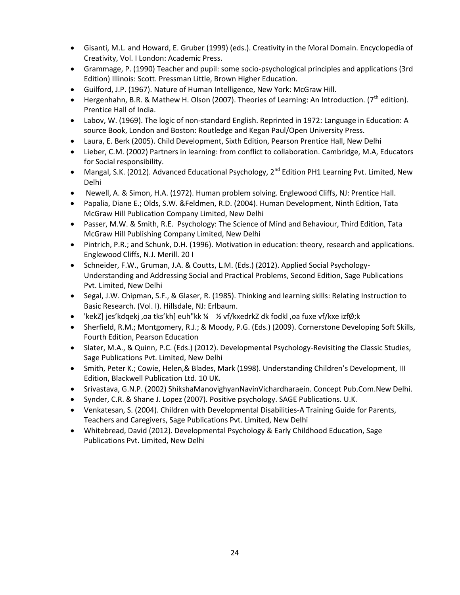- Gisanti, M.L. and Howard, E. Gruber (1999) (eds.). Creativity in the Moral Domain. Encyclopedia of Creativity, Vol. I London: Academic Press.
- Grammage, P. (1990) Teacher and pupil: some socio-psychological principles and applications (3rd Edition) Illinois: Scott. Pressman Little, Brown Higher Education.
- Guilford, J.P. (1967). Nature of Human Intelligence, New York: McGraw Hill.
- **Hergenhahn, B.R. & Mathew H. Olson (2007). Theories of Learning: An Introduction. (7<sup>th</sup> edition).** Prentice Hall of India.
- Labov, W. (1969). The logic of non-standard English. Reprinted in 1972: Language in Education: A source Book, London and Boston: Routledge and Kegan Paul/Open University Press.
- Laura, E. Berk (2005). Child Development, Sixth Edition, Pearson Prentice Hall, New Delhi
- Lieber, C.M. (2002) Partners in learning: from conflict to collaboration. Cambridge, M.A, Educators for Social responsibility.
- Mangal, S.K. (2012). Advanced Educational Psychology,  $2^{nd}$  Edition PH1 Learning Pvt. Limited, New Delhi
- Newell, A. & Simon, H.A. (1972). Human problem solving. Englewood Cliffs, NJ: Prentice Hall.
- Papalia, Diane E.; Olds, S.W. &Feldmen, R.D. (2004). Human Development, Ninth Edition, Tata McGraw Hill Publication Company Limited, New Delhi
- Passer, M.W. & Smith, R.E. Psychology: The Science of Mind and Behaviour, Third Edition, Tata McGraw Hill Publishing Company Limited, New Delhi
- Pintrich, P.R.; and Schunk, D.H. (1996). Motivation in education: theory, research and applications. Englewood Cliffs, N.J. Merill. 20 I
- Schneider, F.W., Gruman, J.A. & Coutts, L.M. (Eds.) (2012). Applied Social Psychology-Understanding and Addressing Social and Practical Problems, Second Edition, Sage Publications Pvt. Limited, New Delhi
- Segal, J.W. Chipman, S.F., & Glaser, R. (1985). Thinking and learning skills: Relating Instruction to Basic Research. (Vol. I). Hillsdale, NJ: Erlbaum.
- 'kekZ] jes͛kdqekj ,oa tks͛kh] euh"kk ¼ ½ vf/kxedrkZ dk fodkl ,oa fuxe vf/kxe izfØ;k
- Sherfield, R.M.; Montgomery, R.J.; & Moody, P.G. (Eds.) (2009). Cornerstone Developing Soft Skills, Fourth Edition, Pearson Education
- Slater, M.A., & Quinn, P.C. (Eds.) (2012). Developmental Psychology-Revisiting the Classic Studies, Sage Publications Pvt. Limited, New Delhi
- Smith, Peter K.; Cowie, Helen, & Blades, Mark (1998). Understanding Children's Development, III Edition, Blackwell Publication Ltd. 10 UK.
- Srivastava, G.N.P. (2002) ShikshaManovighyanNavinVichardharaein. Concept Pub.Com.New Delhi.
- Synder, C.R. & Shane J. Lopez (2007). Positive psychology. SAGE Publications. U.K.
- Venkatesan, S. (2004). Children with Developmental Disabilities-A Training Guide for Parents, Teachers and Caregivers, Sage Publications Pvt. Limited, New Delhi
- Whitebread, David (2012). Developmental Psychology & Early Childhood Education, Sage Publications Pvt. Limited, New Delhi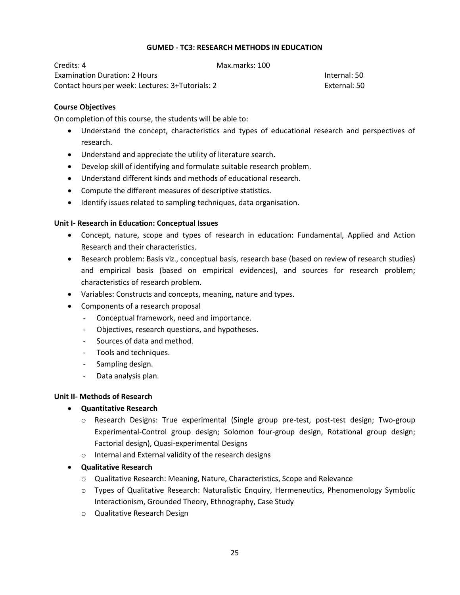# **GUMED - TC3: RESEARCH METHODS IN EDUCATION**

Credits: 4 Max.marks: 100 Examination Duration: 2 Hours Internal: 50 Contact hours per week: Lectures: 3+Tutorials: 2 External: 50

### **Course Objectives**

On completion of this course, the students will be able to:

- Understand the concept, characteristics and types of educational research and perspectives of research.
- Understand and appreciate the utility of literature search.
- Develop skill of identifying and formulate suitable research problem.
- Understand different kinds and methods of educational research.
- Compute the different measures of descriptive statistics.
- Identify issues related to sampling techniques, data organisation.

### **Unit I- Research in Education: Conceptual Issues**

- Concept, nature, scope and types of research in education: Fundamental, Applied and Action Research and their characteristics.
- Research problem: Basis viz., conceptual basis, research base (based on review of research studies) and empirical basis (based on empirical evidences), and sources for research problem; characteristics of research problem.
- Variables: Constructs and concepts, meaning, nature and types.
- Components of a research proposal
	- Conceptual framework, need and importance.
	- Objectives, research questions, and hypotheses.
	- Sources of data and method.
	- Tools and techniques.
	- Sampling design.
	- Data analysis plan.

# **Unit II- Methods of Research**

# **Quantitative Research**

- o Research Designs: True experimental (Single group pre-test, post-test design; Two-group Experimental-Control group design; Solomon four-group design, Rotational group design; Factorial design), Quasi-experimental Designs
- o Internal and External validity of the research designs
- **Qualitative Research**
	- o Qualitative Research: Meaning, Nature, Characteristics, Scope and Relevance
	- o Types of Qualitative Research: Naturalistic Enquiry, Hermeneutics, Phenomenology Symbolic Interactionism, Grounded Theory, Ethnography, Case Study
	- o Qualitative Research Design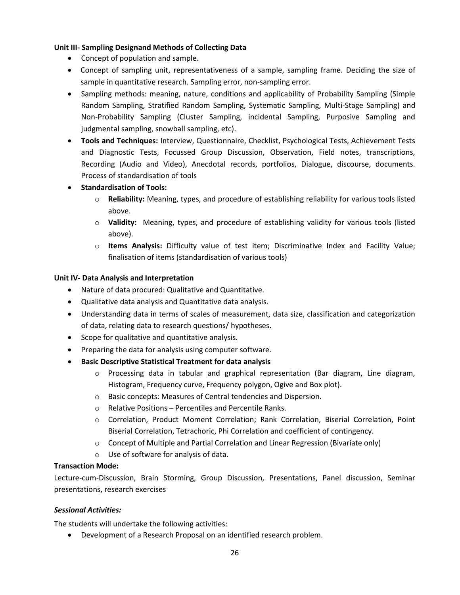# **Unit III- Sampling Designand Methods of Collecting Data**

- Concept of population and sample.
- Concept of sampling unit, representativeness of a sample, sampling frame. Deciding the size of sample in quantitative research. Sampling error, non-sampling error.
- Sampling methods: meaning, nature, conditions and applicability of Probability Sampling (Simple Random Sampling, Stratified Random Sampling, Systematic Sampling, Multi-Stage Sampling) and Non-Probability Sampling (Cluster Sampling, incidental Sampling, Purposive Sampling and judgmental sampling, snowball sampling, etc).
- **Tools and Techniques:** Interview, Questionnaire, Checklist, Psychological Tests, Achievement Tests and Diagnostic Tests, Focussed Group Discussion, Observation, Field notes, transcriptions, Recording (Audio and Video), Anecdotal records, portfolios, Dialogue, discourse, documents. Process of standardisation of tools
- **•** Standardisation of Tools:
	- o **Reliability:** Meaning, types, and procedure of establishing reliability for various tools listed above.
	- o **Validity:** Meaning, types, and procedure of establishing validity for various tools (listed above).
	- o **Items Analysis:** Difficulty value of test item; Discriminative Index and Facility Value; finalisation of items (standardisation of various tools)

# **Unit IV- Data Analysis and Interpretation**

- Nature of data procured: Qualitative and Quantitative.
- Qualitative data analysis and Quantitative data analysis.
- Understanding data in terms of scales of measurement, data size, classification and categorization of data, relating data to research questions/ hypotheses.
- Scope for qualitative and quantitative analysis.
- Preparing the data for analysis using computer software.
- **Basic Descriptive Statistical Treatment for data analysis**
	- $\circ$  Processing data in tabular and graphical representation (Bar diagram, Line diagram, Histogram, Frequency curve, Frequency polygon, Ogive and Box plot).
	- o Basic concepts: Measures of Central tendencies and Dispersion.
	- o Relative Positions Percentiles and Percentile Ranks.
	- o Correlation, Product Moment Correlation; Rank Correlation, Biserial Correlation, Point Biserial Correlation, Tetrachoric, Phi Correlation and coefficient of contingency.
	- $\circ$  Concept of Multiple and Partial Correlation and Linear Regression (Bivariate only)
	- o Use of software for analysis of data.

# **Transaction Mode:**

Lecture-cum-Discussion, Brain Storming, Group Discussion, Presentations, Panel discussion, Seminar presentations, research exercises

# *Sessional Activities:*

The students will undertake the following activities:

Development of a Research Proposal on an identified research problem.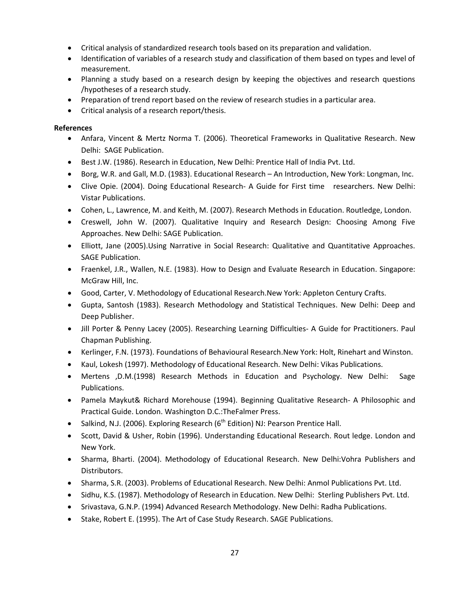- Critical analysis of standardized research tools based on its preparation and validation.
- Identification of variables of a research study and classification of them based on types and level of measurement.
- Planning a study based on a research design by keeping the objectives and research questions /hypotheses of a research study.
- Preparation of trend report based on the review of research studies in a particular area.
- Critical analysis of a research report/thesis.

# **References**

- Anfara, Vincent & Mertz Norma T. (2006). Theoretical Frameworks in Qualitative Research. New Delhi: SAGE Publication.
- **Best J.W. (1986). Research in Education, New Delhi: Prentice Hall of India Pvt. Ltd.**
- Borg, W.R. and Gall, M.D. (1983). Educational Research An Introduction, New York: Longman, Inc.
- Clive Opie. (2004). Doing Educational Research- A Guide for First time researchers. New Delhi: Vistar Publications.
- Cohen, L., Lawrence, M. and Keith, M. (2007). Research Methods in Education. Routledge, London.
- Creswell, John W. (2007). Qualitative Inquiry and Research Design: Choosing Among Five Approaches. New Delhi: SAGE Publication.
- Elliott, Jane (2005).Using Narrative in Social Research: Qualitative and Quantitative Approaches. SAGE Publication.
- Fraenkel, J.R., Wallen, N.E. (1983). How to Design and Evaluate Research in Education. Singapore: McGraw Hill, Inc.
- Good, Carter, V. Methodology of Educational Research.New York: Appleton Century Crafts.
- Gupta, Santosh (1983). Research Methodology and Statistical Techniques. New Delhi: Deep and Deep Publisher.
- Jill Porter & Penny Lacey (2005). Researching Learning Difficulties- A Guide for Practitioners. Paul Chapman Publishing.
- Kerlinger, F.N. (1973). Foundations of Behavioural Research.New York: Holt, Rinehart and Winston.
- Kaul, Lokesh (1997). Methodology of Educational Research. New Delhi: Vikas Publications.
- Mertens ,D.M.(1998) Research Methods in Education and Psychology. New Delhi: Sage Publications.
- Pamela Maykut& Richard Morehouse (1994). Beginning Qualitative Research- A Philosophic and Practical Guide. London. Washington D.C.:TheFalmer Press.
- Salkind, N.J. (2006). Exploring Research ( $6<sup>th</sup>$  Edition) NJ: Pearson Prentice Hall.
- Scott, David & Usher, Robin (1996). Understanding Educational Research. Rout ledge. London and New York.
- Sharma, Bharti. (2004). Methodology of Educational Research. New Delhi:Vohra Publishers and Distributors.
- Sharma, S.R. (2003). Problems of Educational Research. New Delhi: Anmol Publications Pvt. Ltd.
- Sidhu, K.S. (1987). Methodology of Research in Education. New Delhi: Sterling Publishers Pvt. Ltd.
- Srivastava, G.N.P. (1994) Advanced Research Methodology. New Delhi: Radha Publications.
- Stake, Robert E. (1995). The Art of Case Study Research. SAGE Publications.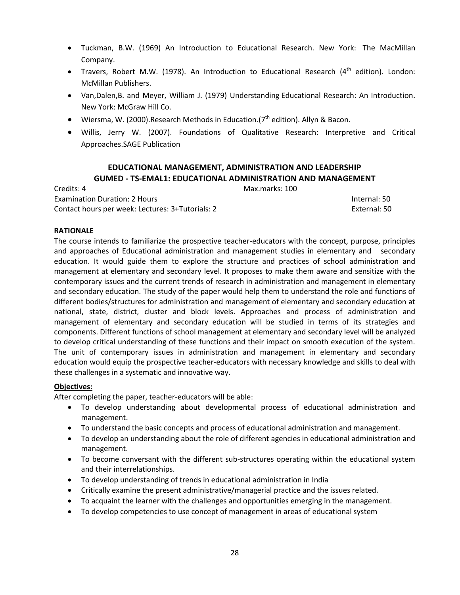- Tuckman, B.W. (1969) An Introduction to Educational Research. New York: The MacMillan Company.
- Travers, Robert M.W. (1978). An Introduction to Educational Research (4<sup>th</sup> edition). London: McMillan Publishers.
- Van,Dalen,B. and Meyer, William J. (1979) Understanding Educational Research: An Introduction. New York: McGraw Hill Co.
- Wiersma, W. (2000). Research Methods in Education.  $7<sup>th</sup>$  edition). Allyn & Bacon.
- Willis, Jerry W. (2007). Foundations of Qualitative Research: Interpretive and Critical Approaches.SAGE Publication

# **EDUCATIONAL MANAGEMENT, ADMINISTRATION AND LEADERSHIP GUMED - TS-EMAL1: EDUCATIONAL ADMINISTRATION AND MANAGEMENT**

Credits: 4 Max.marks: 100 Examination Duration: 2 Hours Internal: 50 Contact hours per week: Lectures: 3+Tutorials: 2 External: 50

# **RATIONALE**

The course intends to familiarize the prospective teacher-educators with the concept, purpose, principles and approaches of Educational administration and management studies in elementary and secondary education. It would guide them to explore the structure and practices of school administration and management at elementary and secondary level. It proposes to make them aware and sensitize with the contemporary issues and the current trends of research in administration and management in elementary and secondary education. The study of the paper would help them to understand the role and functions of different bodies/structures for administration and management of elementary and secondary education at national, state, district, cluster and block levels. Approaches and process of administration and management of elementary and secondary education will be studied in terms of its strategies and components. Different functions of school management at elementary and secondary level will be analyzed to develop critical understanding of these functions and their impact on smooth execution of the system. The unit of contemporary issues in administration and management in elementary and secondary education would equip the prospective teacher-educators with necessary knowledge and skills to deal with these challenges in a systematic and innovative way.

# **Objectives:**

After completing the paper, teacher-educators will be able:

- To develop understanding about developmental process of educational administration and management.
- To understand the basic concepts and process of educational administration and management.
- To develop an understanding about the role of different agencies in educational administration and management.
- To become conversant with the different sub-structures operating within the educational system and their interrelationships.
- To develop understanding of trends in educational administration in India
- Critically examine the present administrative/managerial practice and the issues related.
- To acquaint the learner with the challenges and opportunities emerging in the management.
- To develop competencies to use concept of management in areas of educational system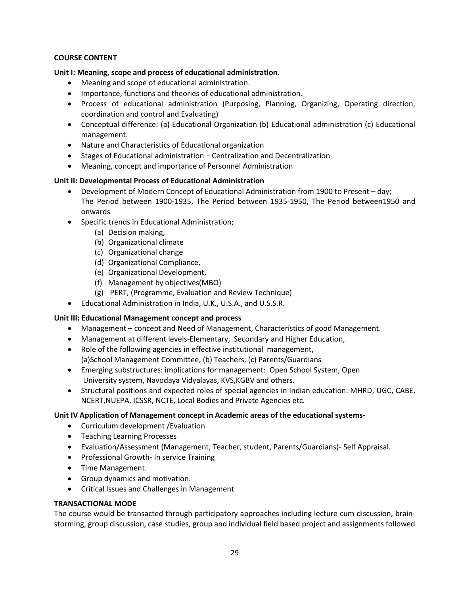# **COURSE CONTENT**

# **Unit I: Meaning, scope and process of educational administration**.

- Meaning and scope of educational administration.
- Importance, functions and theories of educational administration.
- Process of educational administration (Purposing, Planning, Organizing, Operating direction, coordination and control and Evaluating)
- Conceptual difference: (a) Educational Organization (b) Educational administration (c) Educational management.
- Nature and Characteristics of Educational organization
- Stages of Educational administration Centralization and Decentralization
- Meaning, concept and importance of Personnel Administration

# **Unit II: Developmental Process of Educational Administration**

- Development of Modern Concept of Educational Administration from 1900 to Present day; The Period between 1900-1935, The Period between 1935-1950, The Period between1950 and onwards
- Specific trends in Educational Administration;
	- (a) Decision making,
	- (b) Organizational climate
	- (c) Organizational change
	- (d) Organizational Compliance,
	- (e) Organizational Development,
	- (f) Management by objectives(MBO)
	- (g) PERT, (Programme, Evaluation and Review Technique)
- Educational Administration in India, U.K., U.S.A., and U.S.S.R.

# **Unit III: Educational Management concept and process**

- Management concept and Need of Management, Characteristics of good Management.
- Management at different levels-Elementary, Secondary and Higher Education,
- Role of the following agencies in effective institutional management, (a)School Management Committee, (b) Teachers, (c) Parents/Guardians
- Emerging substructures: implications for management: Open School System, Open University system, Navodaya Vidyalayas, KVS,KGBV and others.
- Structural positions and expected roles of special agencies in Indian education: MHRD, UGC, CABE, NCERT,NUEPA, ICSSR, NCTE, Local Bodies and Private Agencies etc.

# **Unit IV Application of Management concept in Academic areas of the educational systems-**

- Curriculum development /Evaluation
- Teaching Learning Processes
- Evaluation/Assessment (Management, Teacher, student, Parents/Guardians)- Self Appraisal.
- Professional Growth- In service Training
- Time Management.
- Group dynamics and motivation.
- Critical Issues and Challenges in Management

# **TRANSACTIONAL MODE**

The course would be transacted through participatory approaches including lecture cum discussion, brainstorming, group discussion, case studies, group and individual field based project and assignments followed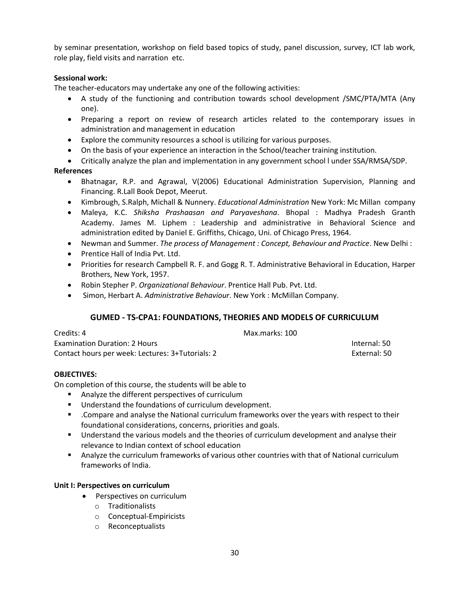by seminar presentation, workshop on field based topics of study, panel discussion, survey, ICT lab work, role play, field visits and narration etc.

# **Sessional work:**

The teacher-educators may undertake any one of the following activities:

- A study of the functioning and contribution towards school development /SMC/PTA/MTA (Any one).
- Preparing a report on review of research articles related to the contemporary issues in administration and management in education
- Explore the community resources a school is utilizing for various purposes.
- On the basis of your experience an interaction in the School/teacher training institution.
- Critically analyze the plan and implementation in any government school l under SSA/RMSA/SDP.

# **References**

- Bhatnagar, R.P. and Agrawal, V(2006) Educational Administration Supervision, Planning and Financing. R.Lall Book Depot, Meerut.
- Kimbrough, S.Ralph, Michall & Nunnery. *Educational Administration* New York: Mc Millan company
- Maleya, K.C. *Shiksha Prashaasan and Paryaveshana*. Bhopal : Madhya Pradesh Granth Academy. James M. Liphem : Leadership and administrative in Behavioral Science and administration edited by Daniel E. Griffiths, Chicago, Uni. of Chicago Press, 1964.
- Newman and Summer. *The process of Management : Concept, Behaviour and Practice*. New Delhi :
- Prentice Hall of India Pvt. Ltd.
- Priorities for research Campbell R. F. and Gogg R. T. Administrative Behavioral in Education, Harper Brothers, New York, 1957.
- Robin Stepher P. *Organizational Behaviour*. Prentice Hall Pub. Pvt. Ltd.
- Simon, Herbart A. *Administrative Behaviour*. New York : McMillan Company.

# **GUMED - TS-CPA1: FOUNDATIONS, THEORIES AND MODELS OF CURRICULUM**

| Credits: 4                                       | Max.marks: 100 |              |
|--------------------------------------------------|----------------|--------------|
| <b>Examination Duration: 2 Hours</b>             |                | Internal: 50 |
| Contact hours per week: Lectures: 3+Tutorials: 2 |                | External: 50 |

# **OBJECTIVES:**

On completion of this course, the students will be able to

- Analyze the different perspectives of curriculum
- **Understand the foundations of curriculum development.**
- .Compare and analyse the National curriculum frameworks over the years with respect to their foundational considerations, concerns, priorities and goals.
- Understand the various models and the theories of curriculum development and analyse their relevance to Indian context of school education
- Analyze the curriculum frameworks of various other countries with that of National curriculum frameworks of India.

# **Unit I: Perspectives on curriculum**

- Perspectives on curriculum
	- o Traditionalists
	- o Conceptual-Empiricists
	- o Reconceptualists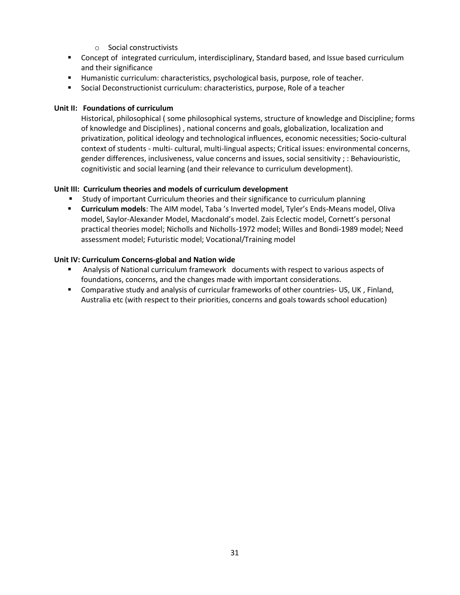- o Social constructivists
- **Concept of integrated curriculum, interdisciplinary, Standard based, and Issue based curriculum** and their significance
- Humanistic curriculum: characteristics, psychological basis, purpose, role of teacher.
- **Social Deconstructionist curriculum: characteristics, purpose, Role of a teacher**

# **Unit II: Foundations of curriculum**

Historical, philosophical ( some philosophical systems, structure of knowledge and Discipline; forms of knowledge and Disciplines) , national concerns and goals, globalization, localization and privatization, political ideology and technological influences, economic necessities; Socio-cultural context of students - multi- cultural, multi-lingual aspects; Critical issues: environmental concerns, gender differences, inclusiveness, value concerns and issues, social sensitivity ; : Behaviouristic, cognitivistic and social learning (and their relevance to curriculum development).

### **Unit III: Curriculum theories and models of curriculum development**

- Study of important Curriculum theories and their significance to curriculum planning
- **E** Curriculum models: The AIM model, Taba 's Inverted model, Tyler's Ends-Means model, Oliva model, Saylor-Alexander Model, Macdonald's model. Zais Eclectic model, Cornett's personal practical theories model; Nicholls and Nicholls-1972 model; Willes and Bondi-1989 model; Need assessment model; Futuristic model; Vocational/Training model

### **Unit IV: Curriculum Concerns-global and Nation wide**

- Analysis of National curriculum framework documents with respect to various aspects of foundations, concerns, and the changes made with important considerations.
- Comparative study and analysis of curricular frameworks of other countries- US, UK , Finland, Australia etc (with respect to their priorities, concerns and goals towards school education)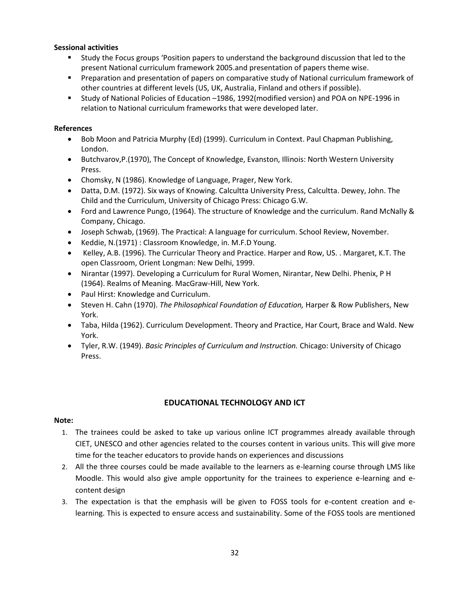# **Sessional activities**

- Study the Focus groups 'Position papers to understand the background discussion that led to the present National curriculum framework 2005.and presentation of papers theme wise.
- **Preparation and presentation of papers on comparative study of National curriculum framework of** other countries at different levels (US, UK, Australia, Finland and others if possible).
- Study of National Policies of Education –1986, 1992(modified version) and POA on NPE-1996 in relation to National curriculum frameworks that were developed later.

# **References**

- Bob Moon and Patricia Murphy (Ed) (1999). Curriculum in Context. Paul Chapman Publishing, London.
- Butchvarov,P.(1970), The Concept of Knowledge, Evanston, Illinois: North Western University Press.
- Chomsky, N (1986). Knowledge of Language, Prager, New York.
- Datta, D.M. (1972). Six ways of Knowing. Calcultta University Press, Calcultta. Dewey, John. The Child and the Curriculum, University of Chicago Press: Chicago G.W.
- Ford and Lawrence Pungo, (1964). The structure of Knowledge and the curriculum. Rand McNally & Company, Chicago.
- Joseph Schwab, (1969). The Practical: A language for curriculum. School Review, November.
- Keddie, N.(1971) : Classroom Knowledge, in. M.F.D Young.
- Kelley, A.B. (1996). The Curricular Theory and Practice. Harper and Row, US. . Margaret, K.T. The open Classroom, Orient Longman: New Delhi, 1999.
- Nirantar (1997). Developing a Curriculum for Rural Women, Nirantar, New Delhi. Phenix, P H (1964). Realms of Meaning. MacGraw-Hill, New York.
- Paul Hirst: Knowledge and Curriculum.
- Steven H. Cahn (1970). *The Philosophical Foundation of Education,* Harper & Row Publishers, New York.
- Taba, Hilda (1962). Curriculum Development. Theory and Practice, Har Court, Brace and Wald. New York.
- Tyler, R.W. (1949). *Basic Principles of Curriculum and Instruction.* Chicago: University of Chicago Press.

# **EDUCATIONAL TECHNOLOGY AND ICT**

# **Note:**

- 1. The trainees could be asked to take up various online ICT programmes already available through CIET, UNESCO and other agencies related to the courses content in various units. This will give more time for the teacher educators to provide hands on experiences and discussions
- 2. All the three courses could be made available to the learners as e-learning course through LMS like Moodle. This would also give ample opportunity for the trainees to experience e-learning and econtent design
- 3. The expectation is that the emphasis will be given to FOSS tools for e-content creation and elearning. This is expected to ensure access and sustainability. Some of the FOSS tools are mentioned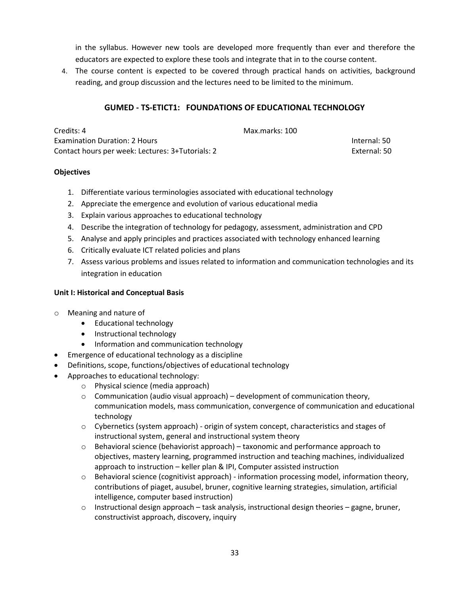in the syllabus. However new tools are developed more frequently than ever and therefore the educators are expected to explore these tools and integrate that in to the course content.

4. The course content is expected to be covered through practical hands on activities, background reading, and group discussion and the lectures need to be limited to the minimum.

# **GUMED - TS-ETICT1: FOUNDATIONS OF EDUCATIONAL TECHNOLOGY**

| Credits: 4                                       | Max.marks: 100 |              |
|--------------------------------------------------|----------------|--------------|
| <b>Examination Duration: 2 Hours</b>             |                | Internal: 50 |
| Contact hours per week: Lectures: 3+Tutorials: 2 |                | External: 50 |

# **Objectives**

- 1. Differentiate various terminologies associated with educational technology
- 2. Appreciate the emergence and evolution of various educational media
- 3. Explain various approaches to educational technology
- 4. Describe the integration of technology for pedagogy, assessment, administration and CPD
- 5. Analyse and apply principles and practices associated with technology enhanced learning
- 6. Critically evaluate ICT related policies and plans
- 7. Assess various problems and issues related to information and communication technologies and its integration in education

# **Unit I: Historical and Conceptual Basis**

- o Meaning and nature of
	- Educational technology
	- Instructional technology
	- Information and communication technology
- Emergence of educational technology as a discipline
- Definitions, scope, functions/objectives of educational technology
- Approaches to educational technology:
	- o Physical science (media approach)
	- $\circ$  Communication (audio visual approach) development of communication theory, communication models, mass communication, convergence of communication and educational technology
	- $\circ$  Cybernetics (system approach) origin of system concept, characteristics and stages of instructional system, general and instructional system theory
	- $\circ$  Behavioral science (behaviorist approach) taxonomic and performance approach to objectives, mastery learning, programmed instruction and teaching machines, individualized approach to instruction – keller plan & IPI, Computer assisted instruction
	- $\circ$  Behavioral science (cognitivist approach) information processing model, information theory, contributions of piaget, ausubel, bruner, cognitive learning strategies, simulation, artificial intelligence, computer based instruction)
	- $\circ$  Instructional design approach task analysis, instructional design theories gagne, bruner, constructivist approach, discovery, inquiry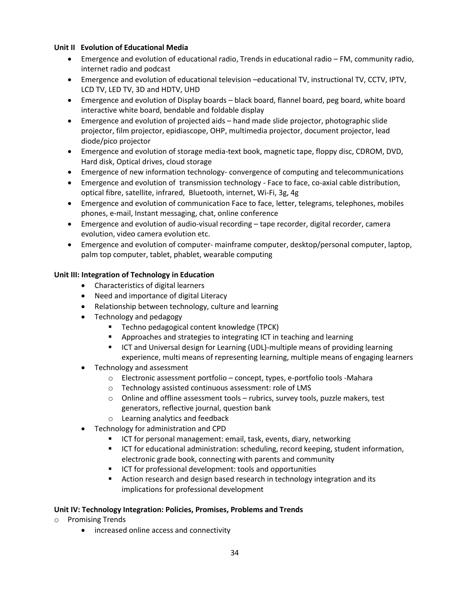# **Unit II Evolution of Educational Media**

- Emergence and evolution of educational radio, Trends in educational radio FM, community radio, internet radio and podcast
- Emergence and evolution of educational television –educational TV, instructional TV, CCTV, IPTV, LCD TV, LED TV, 3D and HDTV, UHD
- Emergence and evolution of Display boards black board, flannel board, peg board, white board interactive white board, bendable and foldable display
- Emergence and evolution of projected aids hand made slide projector, photographic slide projector, film projector, epidiascope, OHP, multimedia projector, document projector, lead diode/pico projector
- Emergence and evolution of storage media-text book, magnetic tape, floppy disc, CDROM, DVD, Hard disk, Optical drives, cloud storage
- Emergence of new information technology- convergence of computing and telecommunications
- Emergence and evolution of transmission technology Face to face, co-axial cable distribution, optical fibre, satellite, infrared, Bluetooth, internet, Wi-Fi, 3g, 4g
- Emergence and evolution of communication Face to face, letter, telegrams, telephones, mobiles phones, e-mail, Instant messaging, chat, online conference
- Emergence and evolution of audio-visual recording tape recorder, digital recorder, camera evolution, video camera evolution etc.
- Emergence and evolution of computer- mainframe computer, desktop/personal computer, laptop, palm top computer, tablet, phablet, wearable computing

# **Unit III: Integration of Technology in Education**

- Characteristics of digital learners
- Need and importance of digital Literacy
- Relationship between technology, culture and learning
- Technology and pedagogy
	- Techno pedagogical content knowledge (TPCK)
	- Approaches and strategies to integrating ICT in teaching and learning
	- **ICT** and Universal design for Learning (UDL)-multiple means of providing learning experience, multi means of representing learning, multiple means of engaging learners
- Technology and assessment
	- o Electronic assessment portfolio concept, types, e-portfolio tools -Mahara
	- o Technology assisted continuous assessment: role of LMS
	- $\circ$  Online and offline assessment tools rubrics, survey tools, puzzle makers, test generators, reflective journal, question bank
	- o Learning analytics and feedback
- Technology for administration and CPD
	- ICT for personal management: email, task, events, diary, networking
	- ICT for educational administration: scheduling, record keeping, student information, electronic grade book, connecting with parents and community
	- ICT for professional development: tools and opportunities
	- **EXECT** Action research and design based research in technology integration and its implications for professional development

# **Unit IV: Technology Integration: Policies, Promises, Problems and Trends**

- o Promising Trends
	- increased online access and connectivity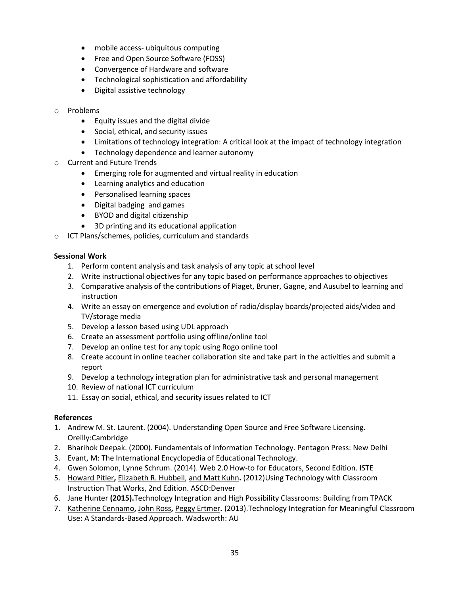- mobile access- ubiquitous computing
- Free and Open Source Software (FOSS)
- Convergence of Hardware and software
- Technological sophistication and affordability
- Digital assistive technology
- o Problems
	- Equity issues and the digital divide
	- Social, ethical, and security issues
	- Limitations of technology integration: A critical look at the impact of technology integration
	- Technology dependence and learner autonomy
- **Current and Future Trends** 
	- Emerging role for augmented and virtual reality in education
	- Learning analytics and education
	- Personalised learning spaces
	- Digital badging and games
	- BYOD and digital citizenship
	- 3D printing and its educational application
- o ICT Plans/schemes, policies, curriculum and standards

# **Sessional Work**

- 1. Perform content analysis and task analysis of any topic at school level
- 2. Write instructional objectives for any topic based on performance approaches to objectives
- 3. Comparative analysis of the contributions of Piaget, Bruner, Gagne, and Ausubel to learning and instruction
- 4. Write an essay on emergence and evolution of radio/display boards/projected aids/video and TV/storage media
- 5. Develop a lesson based using UDL approach
- 6. Create an assessment portfolio using offline/online tool
- 7. Develop an online test for any topic using Rogo online tool
- 8. Create account in online teacher collaboration site and take part in the activities and submit a report
- 9. Develop a technology integration plan for administrative task and personal management
- 10. Review of national ICT curriculum
- 11. Essay on social, ethical, and security issues related to ICT

# **References**

- 1. [Andrew M. St. Laurent.](http://www.amazon.com/Andrew-M.-St.-Laurent/e/B001IQXSBI/ref=dp_byline_cont_book_1) (2004). Understanding Open Source and Free Software Licensing. Oreilly:Cambridge
- 2. Bharihok Deepak. (2000). Fundamentals of Information Technology. Pentagon Press: New Delhi
- 3. Evant, M: The International Encyclopedia of Educational Technology.
- 4. [Gwen Solomon,](http://www.amazon.com/Gwen-Solomon/e/B00NGJNCHA/ref=dp_byline_cont_book_1) [Lynne Schrum.](http://www.amazon.com/Lynne-Schrum/e/B002UAF7YM/ref=dp_byline_cont_book_2) (2014). Web 2.0 How-to for Educators, Second Edition. ISTE
- 5. [Howard Pitler](http://www.amazon.com/Howard-Pitler/e/B001JRVGS8/ref=dp_byline_cont_book_1)**,** [Elizabeth R. Hubbell,](http://www.amazon.com/s/ref=dp_byline_sr_book_2?ie=UTF8&field-author=Elizabeth+R.+Hubbell&search-alias=books&text=Elizabeth+R.+Hubbell&sort=relevancerank) [and Matt Kuhn](http://www.amazon.com/s/ref=dp_byline_sr_book_3?ie=UTF8&field-author=and+Matt+Kuhn&search-alias=books&text=and+Matt+Kuhn&sort=relevancerank)**.** (2012)Using Technology with Classroom Instruction That Works, 2nd Edition. ASCD:Denver
- 6. [Jane Hunter](http://www.amazon.com/Jane-Hunter/e/B00THH69XE/ref=dp_byline_cont_book_1) **(2015).**Technology Integration and High Possibility Classrooms: Building from TPACK
- 7. [Katherine Cennamo](http://www.amazon.com/Katherine-Cennamo/e/B009HX52WM/ref=dp_byline_cont_book_1)**,** [John Ross](http://www.amazon.com/s/ref=dp_byline_sr_book_2?ie=UTF8&field-author=John+Ross&search-alias=books&text=John+Ross&sort=relevancerank)**,** [Peggy Ertmer](http://www.amazon.com/s/ref=dp_byline_sr_book_3?ie=UTF8&field-author=Peggy+Ertmer&search-alias=books&text=Peggy+Ertmer&sort=relevancerank)**.** (2013).Technology Integration for Meaningful Classroom Use: A Standards-Based Approach. Wadsworth: AU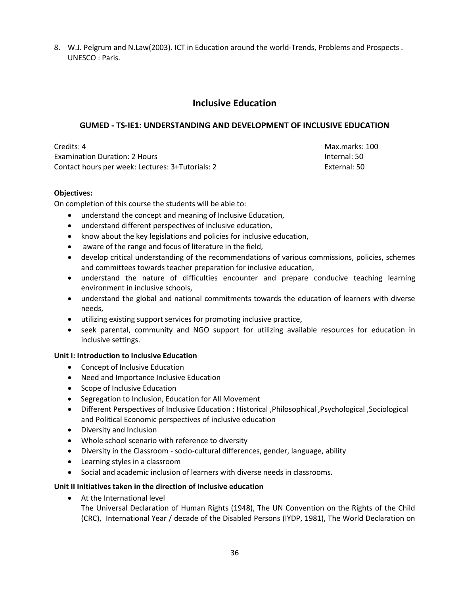8. W.J. Pelgrum and N.Law(2003). ICT in Education around the world-Trends, Problems and Prospects . UNESCO : Paris.

# **Inclusive Education**

# **GUMED - TS-IE1: UNDERSTANDING AND DEVELOPMENT OF INCLUSIVE EDUCATION**

Credits: 4 Max.marks: 100 Examination Duration: 2 Hours Internal: 50 Contact hours per week: Lectures: 3+Tutorials: 2 External: 50

# **Objectives:**

On completion of this course the students will be able to:

- understand the concept and meaning of Inclusive Education,
- understand different perspectives of inclusive education,
- know about the key legislations and policies for inclusive education,
- aware of the range and focus of literature in the field,
- develop critical understanding of the recommendations of various commissions, policies, schemes and committees towards teacher preparation for inclusive education,
- understand the nature of difficulties encounter and prepare conducive teaching learning environment in inclusive schools,
- understand the global and national commitments towards the education of learners with diverse needs,
- utilizing existing support services for promoting inclusive practice,
- seek parental, community and NGO support for utilizing available resources for education in inclusive settings.

# **Unit I: Introduction to Inclusive Education**

- Concept of Inclusive Education
- Need and Importance Inclusive Education
- Scope of Inclusive Education
- Segregation to Inclusion, Education for All Movement
- Different Perspectives of Inclusive Education : Historical ,Philosophical ,Psychological ,Sociological and Political Economic perspectives of inclusive education
- Diversity and Inclusion
- Whole school scenario with reference to diversity
- Diversity in the Classroom socio-cultural differences, gender, language, ability
- Learning styles in a classroom
- Social and academic inclusion of learners with diverse needs in classrooms.

# **Unit II Initiatives taken in the direction of Inclusive education**

At the International level

The Universal Declaration of Human Rights (1948), The UN Convention on the Rights of the Child (CRC), International Year / decade of the Disabled Persons (IYDP, 1981), The World Declaration on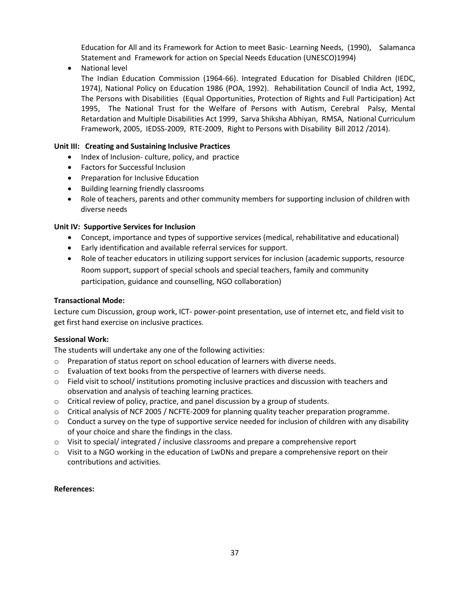Education for All and its Framework for Action to meet Basic- Learning Needs, (1990), Salamanca Statement and Framework for action on Special Needs Education (UNESCO)1994)

National level

The Indian Education Commission (1964-66). Integrated Education for Disabled Children (IEDC, 1974), National Policy on Education 1986 (POA, 1992). Rehabilitation Council of India Act, 1992, The Persons with Disabilities (Equal Opportunities, Protection of Rights and Full Participation) Act 1995, The National Trust for the Welfare of Persons with Autism, Cerebral Palsy, Mental Retardation and Multiple Disabilities Act 1999, Sarva Shiksha Abhiyan, RMSA, National Curriculum Framework, 2005, IEDSS-2009, RTE-2009, Right to Persons with Disability Bill 2012 /2014).

### **Unit III: Creating and Sustaining Inclusive Practices**

- Index of Inclusion- culture, policy, and practice
- Factors for Successful Inclusion
- Preparation for Inclusive Education
- Building learning friendly classrooms
- Role of teachers, parents and other community members for supporting inclusion of children with diverse needs

### **Unit IV: Supportive Services for Inclusion**

- Concept, importance and types of supportive services (medical, rehabilitative and educational)
- Early identification and available referral services for support.
- Role of teacher educators in utilizing support services for inclusion (academic supports, resource Room support, support of special schools and special teachers, family and community participation, guidance and counselling, NGO collaboration)

### **Transactional Mode:**

Lecture cum Discussion, group work, ICT- power-point presentation, use of internet etc, and field visit to get first hand exercise on inclusive practices.

### **Sessional Work:**

The students will undertake any one of the following activities:

- o Preparation of status report on school education of learners with diverse needs.
- o Evaluation of text books from the perspective of learners with diverse needs.
- $\circ$  Field visit to school/ institutions promoting inclusive practices and discussion with teachers and observation and analysis of teaching learning practices.
- $\circ$  Critical review of policy, practice, and panel discussion by a group of students.
- o Critical analysis of NCF 2005 / NCFTE-2009 for planning quality teacher preparation programme.
- $\circ$  Conduct a survey on the type of supportive service needed for inclusion of children with any disability of your choice and share the findings in the class.
- o Visit to special/ integrated / inclusive classrooms and prepare a comprehensive report
- $\circ$  Visit to a NGO working in the education of LwDNs and prepare a comprehensive report on their contributions and activities.

### **References:**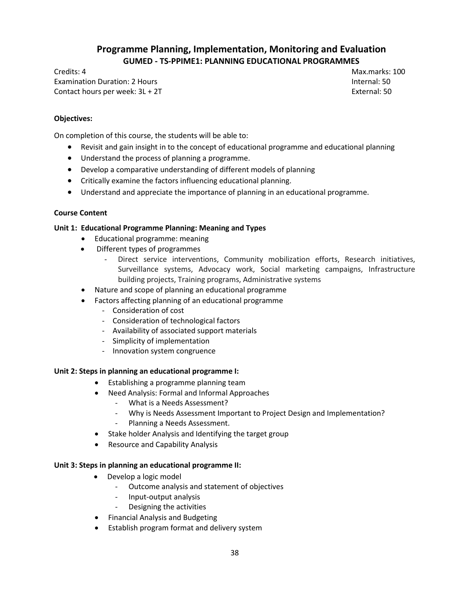# **Programme Planning, Implementation, Monitoring and Evaluation GUMED - TS-PPIME1: PLANNING EDUCATIONAL PROGRAMMES**

Credits: 4 Max.marks: 100 Examination Duration: 2 Hours Internal: 50 Contact hours per week:  $3L + 2T$  External: 50

### **Objectives:**

On completion of this course, the students will be able to:

- Revisit and gain insight in to the concept of educational programme and educational planning
- Understand the process of planning a programme.
- Develop a comparative understanding of different models of planning
- Critically examine the factors influencing educational planning.
- Understand and appreciate the importance of planning in an educational programme.

### **Course Content**

### **Unit 1: Educational Programme Planning: Meaning and Types**

- Educational programme: meaning
- Different types of programmes
	- Direct service interventions, Community mobilization efforts, Research initiatives, Surveillance systems, Advocacy work, Social marketing campaigns, Infrastructure building projects, Training programs, Administrative systems
- Nature and scope of planning an educational programme
- Factors affecting planning of an educational programme
	- Consideration of cost
	- Consideration of technological factors
	- Availability of associated support materials
	- Simplicity of implementation
	- Innovation system congruence

### **Unit 2: Steps in planning an educational programme I:**

- Establishing a programme planning team
- Need Analysis: Formal and Informal Approaches
	- What is a Needs Assessment?
	- Why is Needs Assessment Important to Project Design and Implementation?
	- Planning a Needs Assessment.
- Stake holder Analysis and Identifying the target group
- Resource and Capability Analysis

### **Unit 3: Steps in planning an educational programme II:**

- Develop a logic model
	- Outcome analysis and statement of objectives
	- Input-output analysis
	- Designing the activities
- Financial Analysis and Budgeting
- Establish program format and delivery system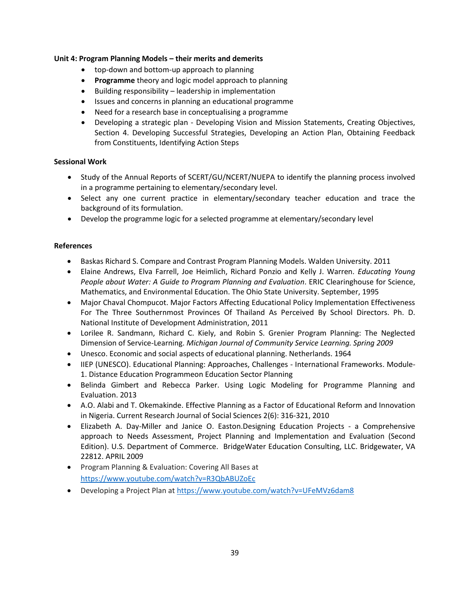#### **Unit 4: Program Planning Models – their merits and demerits**

- top-down and bottom-up approach to planning
- **Programme** theory and logic model approach to planning
- Building responsibility leadership in implementation
- Issues and concerns in planning an educational programme
- Need for a research base in conceptualising a programme
- Developing a strategic plan Developing Vision and Mission Statements, Creating Objectives, Section 4. Developing Successful Strategies, Developing an Action Plan, Obtaining Feedback from Constituents, Identifying Action Steps

### **Sessional Work**

- Study of the Annual Reports of SCERT/GU/NCERT/NUEPA to identify the planning process involved in a programme pertaining to elementary/secondary level.
- Select any one current practice in elementary/secondary teacher education and trace the background of its formulation.
- Develop the programme logic for a selected programme at elementary/secondary level

#### **References**

- Baskas Richard S. Compare and Contrast Program Planning Models. Walden University. 2011
- Elaine Andrews, Elva Farrell, Joe Heimlich, Richard Ponzio and Kelly J. Warren. *Educating Young People about Water: A Guide to Program Planning and Evaluation*. ERIC Clearinghouse for Science, Mathematics, and Environmental Education. The Ohio State University. September, 1995
- Major Chaval Chompucot. Major Factors Affecting Educational Policy Implementation Effectiveness For The Three Southernmost Provinces Of Thailand As Perceived By School Directors. Ph. D. National Institute of Development Administration, 2011
- Lorilee R. Sandmann, Richard C. Kiely, and Robin S. Grenier Program Planning: The Neglected Dimension of Service-Learning. *Michigan Journal of Community Service Learning. Spring 2009*
- Unesco. Economic and social aspects of educational planning. Netherlands. 1964
- IIEP (UNESCO). Educational Planning: Approaches, Challenges International Frameworks. Module-1. Distance Education Programmeon Education Sector Planning
- Belinda Gimbert and Rebecca Parker. Using Logic Modeling for Programme Planning and Evaluation. 2013
- A.O. Alabi and T. Okemakinde. Effective Planning as a Factor of Educational Reform and Innovation in Nigeria. Current Research Journal of Social Sciences 2(6): 316-321, 2010
- Elizabeth A. Day-Miller and Janice O. Easton.Designing Education Projects a Comprehensive approach to Needs Assessment, Project Planning and Implementation and Evaluation (Second Edition). U.S. Department of Commerce. BridgeWater Education Consulting, LLC. Bridgewater, VA 22812. APRIL 2009
- Program Planning & Evaluation: Covering All Bases at <https://www.youtube.com/watch?v=R3QbABUZoEc>
- Developing a Project Plan at<https://www.youtube.com/watch?v=UFeMVz6dam8>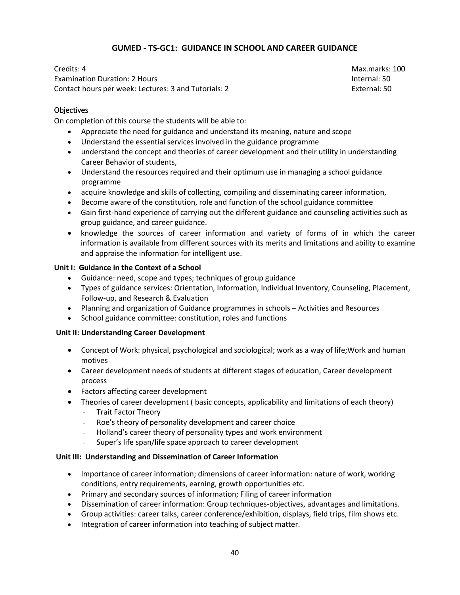## **GUMED - TS-GC1: GUIDANCE IN SCHOOL AND CAREER GUIDANCE**

Credits: 4 Max.marks: 100 Examination Duration: 2 Hours Internal: 50 Contact hours per week: Lectures: 3 and Tutorials: 2 External: 50

### **Objectives**

On completion of this course the students will be able to:

- Appreciate the need for guidance and understand its meaning, nature and scope
- Understand the essential services involved in the guidance programme
- understand the concept and theories of career development and their utility in understanding Career Behavior of students,
- Understand the resources required and their optimum use in managing a school guidance programme
- acquire knowledge and skills of collecting, compiling and disseminating career information,
- Become aware of the constitution, role and function of the school guidance committee
- Gain first-hand experience of carrying out the different guidance and counseling activities such as group guidance, and career guidance.
- knowledge the sources of career information and variety of forms of in which the career information is available from different sources with its merits and limitations and ability to examine and appraise the information for intelligent use.

### **Unit I: Guidance in the Context of a School**

- Guidance: need, scope and types; techniques of group guidance
- Types of guidance services: Orientation, Information, Individual Inventory, Counseling, Placement, Follow-up, and Research & Evaluation
- Planning and organization of Guidance programmes in schools Activities and Resources
- School guidance committee: constitution, roles and functions

### **Unit II: Understanding Career Development**

- Concept of Work: physical, psychological and sociological; work as a way of life;Work and human motives
- Career development needs of students at different stages of education, Career development process
- Factors affecting career development
- Theories of career development ( basic concepts, applicability and limitations of each theory)
	- Trait Factor Theory
	- Roe's theory of personality development and career choice
	- Holland's career theory of personality types and work environment
	- Super's life span/life space approach to career development

### **Unit III: Understanding and Dissemination of Career Information**

- Importance of career information; dimensions of career information: nature of work, working conditions, entry requirements, earning, growth opportunities etc.
- Primary and secondary sources of information; Filing of career information
- Dissemination of career information: Group techniques-objectives, advantages and limitations.
- Group activities: career talks, career conference/exhibition, displays, field trips, film shows etc.
- Integration of career information into teaching of subject matter.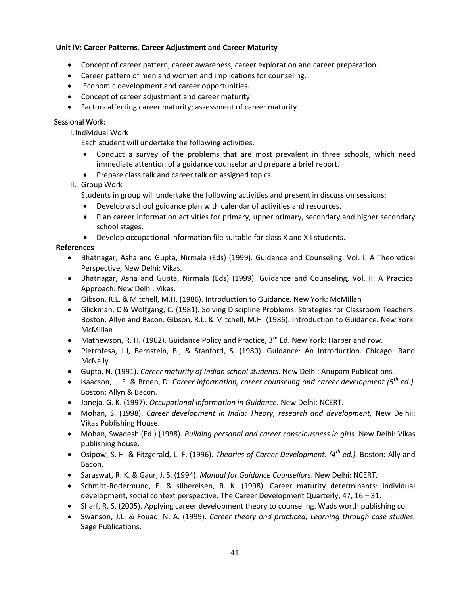### **Unit IV: Career Patterns, Career Adjustment and Career Maturity**

- Concept of career pattern, career awareness, career exploration and career preparation.
- Career pattern of men and women and implications for counseling.
- Economic development and career opportunities.
- Concept of career adjustment and career maturity
- Factors affecting career maturity; assessment of career maturity

### Sessional Work:

I. Individual Work

Each student will undertake the following activities:

- Conduct a survey of the problems that are most prevalent in three schools, which need immediate attention of a guidance counselor and prepare a brief report.
- Prepare class talk and career talk on assigned topics.

### II. Group Work

Students in group will undertake the following activities and present in discussion sessions:

- Develop a school guidance plan with calendar of activities and resources.
- Plan career information activities for primary, upper primary, secondary and higher secondary school stages.
- Develop occupational information file suitable for class X and XII students.

### **References**

- Bhatnagar, Asha and Gupta, Nirmala (Eds) (1999). Guidance and Counseling, Vol. I: A Theoretical Perspective, New Delhi: Vikas.
- Bhatnagar, Asha and Gupta, Nirmala (Eds) (1999). Guidance and Counseling, Vol. II: A Practical Approach. New Delhi: Vikas.
- Gibson, R.L. & Mitchell, M.H. (1986). Introduction to Guidance. New York: McMillan
- Glickman, C & Wolfgang, C. (1981). Solving Discipline Problems: Strategies for Classroom Teachers. Boston: Allyn and Bacon. Gibson, R.L. & Mitchell, M.H. (1986). Introduction to Guidance. New York: McMillan
- Mathewson, R. H. (1962). Guidance Policy and Practice,  $3^{rd}$  Ed. New York: Harper and row.
- Pietrofesa, J.J, Bernstein, B., & Stanford, S. (1980). Guidance: An Introduction. Chicago: Rand McNally.
- Gupta, N. (1991). *Career maturity of Indian school students*. New Delhi: Anupam Publications.
- Isaacson, L. E. & Broen, D: *Career information, career counseling and career development (5th ed.).*  Boston: Allyn & Bacon.
- Joneja, G. K. (1997). *Occupational Information in Guidance*. New Delhi: NCERT.
- Mohan, S. (1998). *Career development in India: Theory, research and development,* New Delhii: Vikas Publishing House.
- Mohan, Swadesh (Ed.) (1998). *Building personal and career consciousness in girls.* New Delhi: Vikas publishing house.
- Osipow, S. H. & Fitzgerald, L. F. (1996). *Theories of Career Development. (4th ed.).* Boston: Ally and Bacon.
- Saraswat, R. K. & Gaur, J. S. (1994). *Manual for Guidance Counsellors*. New Delhi: NCERT.
- Schmitt-Rodermund, E. & silbereisen, R. K. (1998). Career maturity determinants: individual development, social context perspective. The Career Development Quarterly, 47, 16 – 31.
- Sharf, R. S. (2005). Applying career development theory to counseling. Wads worth publishing co.
- Swanson, J.L. & Fouad, N. A. (1999). *Career theory and practiced; Learning through case studies.*  Sage Publications.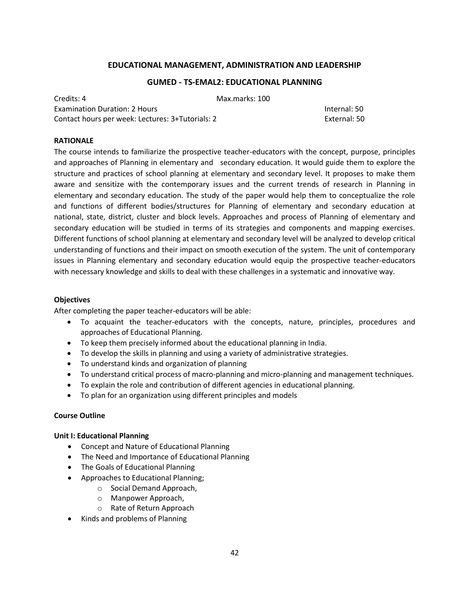### **EDUCATIONAL MANAGEMENT, ADMINISTRATION AND LEADERSHIP**

#### **GUMED - TS-EMAL2: EDUCATIONAL PLANNING**

Credits: 4 Max.marks: 100 Examination Duration: 2 Hours Internal: 50 Contact hours per week: Lectures: 3+Tutorials: 2 External: 50

#### **RATIONALE**

The course intends to familiarize the prospective teacher-educators with the concept, purpose, principles and approaches of Planning in elementary and secondary education. It would guide them to explore the structure and practices of school planning at elementary and secondary level. It proposes to make them aware and sensitize with the contemporary issues and the current trends of research in Planning in elementary and secondary education. The study of the paper would help them to conceptualize the role and functions of different bodies/structures for Planning of elementary and secondary education at national, state, district, cluster and block levels. Approaches and process of Planning of elementary and secondary education will be studied in terms of its strategies and components and mapping exercises. Different functions of school planning at elementary and secondary level will be analyzed to develop critical understanding of functions and their impact on smooth execution of the system. The unit of contemporary issues in Planning elementary and secondary education would equip the prospective teacher-educators with necessary knowledge and skills to deal with these challenges in a systematic and innovative way.

#### **Objectives**

After completing the paper teacher-educators will be able:

- To acquaint the teacher-educators with the concepts, nature, principles, procedures and approaches of Educational Planning.
- To keep them precisely informed about the educational planning in India.
- To develop the skills in planning and using a variety of administrative strategies.
- To understand kinds and organization of planning
- To understand critical process of macro-planning and micro-planning and management techniques.
- To explain the role and contribution of different agencies in educational planning.
- To plan for an organization using different principles and models

#### **Course Outline**

#### **Unit I: Educational Planning**

- Concept and Nature of Educational Planning
- The Need and Importance of Educational Planning
- The Goals of Educational Planning
- Approaches to Educational Planning;
	- o Social Demand Approach,
	- o Manpower Approach,
	- o Rate of Return Approach
- Kinds and problems of Planning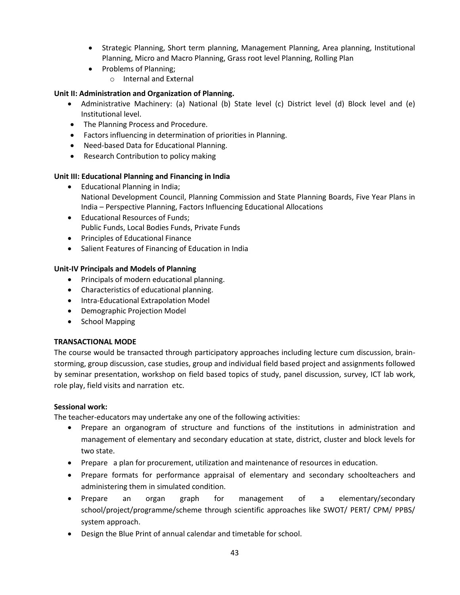- Strategic Planning, Short term planning, Management Planning, Area planning, Institutional Planning, Micro and Macro Planning, Grass root level Planning, Rolling Plan
- Problems of Planning;
	- o Internal and External

### **Unit II: Administration and Organization of Planning.**

- Administrative Machinery: (a) National (b) State level (c) District level (d) Block level and (e) Institutional level.
- The Planning Process and Procedure.
- Factors influencing in determination of priorities in Planning.
- Need-based Data for Educational Planning.
- Research Contribution to policy making

### **Unit III: Educational Planning and Financing in India**

- Educational Planning in India; National Development Council, Planning Commission and State Planning Boards, Five Year Plans in India – Perspective Planning, Factors Influencing Educational Allocations
- Educational Resources of Funds; Public Funds, Local Bodies Funds, Private Funds
- Principles of Educational Finance
- Salient Features of Financing of Education in India

### **Unit-IV Principals and Models of Planning**

- Principals of modern educational planning.
- Characteristics of educational planning.
- **•** Intra-Educational Extrapolation Model
- Demographic Projection Model
- School Mapping

### **TRANSACTIONAL MODE**

The course would be transacted through participatory approaches including lecture cum discussion, brainstorming, group discussion, case studies, group and individual field based project and assignments followed by seminar presentation, workshop on field based topics of study, panel discussion, survey, ICT lab work, role play, field visits and narration etc.

### **Sessional work:**

The teacher-educators may undertake any one of the following activities:

- Prepare an organogram of structure and functions of the institutions in administration and management of elementary and secondary education at state, district, cluster and block levels for two state.
- Prepare a plan for procurement, utilization and maintenance of resources in education.
- Prepare formats for performance appraisal of elementary and secondary schoolteachers and administering them in simulated condition.
- Prepare an organ graph for management of a elementary/secondary school/project/programme/scheme through scientific approaches like SWOT/ PERT/ CPM/ PPBS/ system approach.
- Design the Blue Print of annual calendar and timetable for school.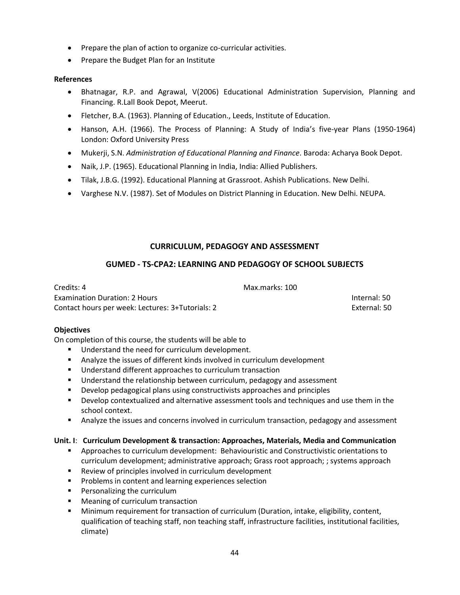- Prepare the plan of action to organize co-curricular activities.
- Prepare the Budget Plan for an Institute

### **References**

- Bhatnagar, R.P. and Agrawal, V(2006) Educational Administration Supervision, Planning and Financing. R.Lall Book Depot, Meerut.
- Fletcher, B.A. (1963). Planning of Education., Leeds, Institute of Education.
- Hanson, A.H. (1966). The Process of Planning: A Study of India's five-year Plans (1950-1964) London: Oxford University Press
- Mukerji, S.N. *Administration of Educational Planning and Finance*. Baroda: Acharya Book Depot.
- Naik, J.P. (1965). Educational Planning in India, India: Allied Publishers.
- Tilak, J.B.G. (1992). Educational Planning at Grassroot. Ashish Publications. New Delhi.
- Varghese N.V. (1987). Set of Modules on District Planning in Education. New Delhi. NEUPA.

## **CURRICULUM, PEDAGOGY AND ASSESSMENT**

### **GUMED - TS-CPA2: LEARNING AND PEDAGOGY OF SCHOOL SUBJECTS**

Credits: 4 Max.marks: 100 Examination Duration: 2 Hours Internal: 50 Contact hours per week: Lectures: 3+Tutorials: 2 External: 50

### **Objectives**

On completion of this course, the students will be able to

- **Understand the need for curriculum development.**
- Analyze the issues of different kinds involved in curriculum development
- **Understand different approaches to curriculum transaction**
- **Understand the relationship between curriculum, pedagogy and assessment**
- Develop pedagogical plans using constructivists approaches and principles
- Develop contextualized and alternative assessment tools and techniques and use them in the school context.
- **Analyze the issues and concerns involved in curriculum transaction, pedagogy and assessment**

### **Unit. I**: **Curriculum Development & transaction: Approaches, Materials, Media and Communication**

- Approaches to curriculum development: Behaviouristic and Constructivistic orientations to curriculum development; administrative approach; Grass root approach; ; systems approach
- **Review of principles involved in curriculum development**
- **Problems in content and learning experiences selection**
- **Personalizing the curriculum**
- Meaning of curriculum transaction
- Minimum requirement for transaction of curriculum (Duration, intake, eligibility, content, qualification of teaching staff, non teaching staff, infrastructure facilities, institutional facilities, climate)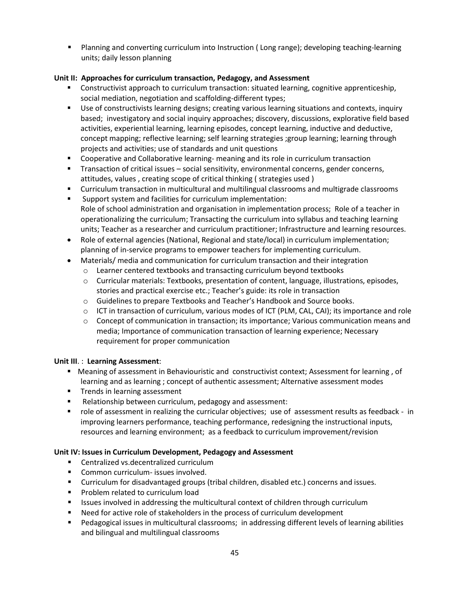Planning and converting curriculum into Instruction ( Long range); developing teaching-learning units; daily lesson planning

## **Unit II: Approaches for curriculum transaction, Pedagogy, and Assessment**

- Constructivist approach to curriculum transaction: situated learning, cognitive apprenticeship, social mediation, negotiation and scaffolding-different types;
- Use of constructivists learning designs; creating various learning situations and contexts, inquiry based; investigatory and social inquiry approaches; discovery, discussions, explorative field based activities, experiential learning, learning episodes, concept learning, inductive and deductive, concept mapping; reflective learning; self learning strategies ;group learning; learning through projects and activities; use of standards and unit questions
- Cooperative and Collaborative learning- meaning and its role in curriculum transaction
- **Transaction of critical issues social sensitivity, environmental concerns, gender concerns,** attitudes, values , creating scope of critical thinking ( strategies used )
- Curriculum transaction in multicultural and multilingual classrooms and multigrade classrooms
- Support system and facilities for curriculum implementation: Role of school administration and organisation in implementation process; Role of a teacher in operationalizing the curriculum; Transacting the curriculum into syllabus and teaching learning units; Teacher as a researcher and curriculum practitioner; Infrastructure and learning resources.
- Role of external agencies (National, Regional and state/local) in curriculum implementation; planning of in-service programs to empower teachers for implementing curriculum.
- Materials/ media and communication for curriculum transaction and their integration
	- o Learner centered textbooks and transacting curriculum beyond textbooks
	- o Curricular materials: Textbooks, presentation of content, language, illustrations, episodes, stories and practical exercise etc.; Teacher's guide: its role in transaction
	- o Guidelines to prepare Textbooks and Teacher͛s Handbook and Source books.
	- $\circ$  ICT in transaction of curriculum, various modes of ICT (PLM, CAL, CAI); its importance and role
	- $\circ$  Concept of communication in transaction; its importance; Various communication means and media; Importance of communication transaction of learning experience; Necessary requirement for proper communication

### **Unit III**. : **Learning Assessment**:

- Meaning of assessment in Behaviouristic and constructivist context; Assessment for learning , of learning and as learning ; concept of authentic assessment; Alternative assessment modes
- **Trends in learning assessment**
- **Relationship between curriculum, pedagogy and assessment:**
- role of assessment in realizing the curricular objectives; use of assessment results as feedback in improving learners performance, teaching performance, redesigning the instructional inputs, resources and learning environment; as a feedback to curriculum improvement/revision

## **Unit IV: Issues in Curriculum Development, Pedagogy and Assessment**

- Centralized vs.decentralized curriculum
- **Common curriculum- issues involved.**
- Curriculum for disadvantaged groups (tribal children, disabled etc.) concerns and issues.
- **Problem related to curriculum load**
- **In Itsues involved in addressing the multicultural context of children through curriculum**
- Need for active role of stakeholders in the process of curriculum development
- Pedagogical issues in multicultural classrooms; in addressing different levels of learning abilities and bilingual and multilingual classrooms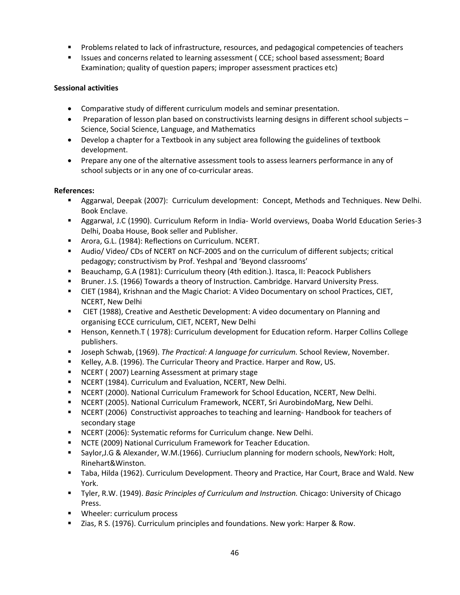- Problems related to lack of infrastructure, resources, and pedagogical competencies of teachers
- **In Itsues and concerns related to learning assessment (CCE; school based assessment; Board** Examination; quality of question papers; improper assessment practices etc)

### **Sessional activities**

- Comparative study of different curriculum models and seminar presentation.
- Preparation of lesson plan based on constructivists learning designs in different school subjects Science, Social Science, Language, and Mathematics
- Develop a chapter for a Textbook in any subject area following the guidelines of textbook development.
- Prepare any one of the alternative assessment tools to assess learners performance in any of school subjects or in any one of co-curricular areas.

### **References:**

- Aggarwal, Deepak (2007): Curriculum development: Concept, Methods and Techniques. New Delhi. Book Enclave.
- Aggarwal, J.C (1990). Curriculum Reform in India- World overviews, Doaba World Education Series-3 Delhi, Doaba House, Book seller and Publisher.
- **Arora, G.L. (1984): Reflections on Curriculum. NCERT.**
- Audio/ Video/ CDs of NCERT on NCF-2005 and on the curriculum of different subjects; critical pedagogy; constructivism by Prof. Yeshpal and 'Beyond classrooms'
- Beauchamp, G.A (1981): Curriculum theory (4th edition.). Itasca, II: Peacock Publishers
- Bruner. J.S. (1966) Towards a theory of Instruction. Cambridge. Harvard University Press.
- CIET (1984), Krishnan and the Magic Chariot: A Video Documentary on school Practices, CIET, NCERT, New Delhi
- CIET (1988), Creative and Aesthetic Development: A video documentary on Planning and organising ECCE curriculum, CIET, NCERT, New Delhi
- Henson, Kenneth.T ( 1978): Curriculum development for Education reform. Harper Collins College publishers.
- Joseph Schwab, (1969). *The Practical: A language for curriculum.* School Review, November.
- Kelley, A.B. (1996). The Curricular Theory and Practice. Harper and Row, US.
- **NCERT (2007) Learning Assessment at primary stage**
- NCERT (1984). Curriculum and Evaluation, NCERT, New Delhi.
- NCERT (2000). National Curriculum Framework for School Education, NCERT, New Delhi.
- NCERT (2005). National Curriculum Framework, NCERT, Sri AurobindoMarg, New Delhi.
- NCERT (2006) Constructivist approaches to teaching and learning- Handbook for teachers of secondary stage
- **NCERT (2006): Systematic reforms for Curriculum change. New Delhi.**
- NCTE (2009) National Curriculum Framework for Teacher Education.
- Saylor,J.G & Alexander, W.M.(1966). Curriuclum planning for modern schools, NewYork: Holt, Rinehart&Winston.
- Taba, Hilda (1962). Curriculum Development. Theory and Practice, Har Court, Brace and Wald. New York.
- Tyler, R.W. (1949). *Basic Principles of Curriculum and Instruction.* Chicago: University of Chicago Press.
- **Wheeler: curriculum process**
- Zias, R S. (1976). Curriculum principles and foundations. New york: Harper & Row.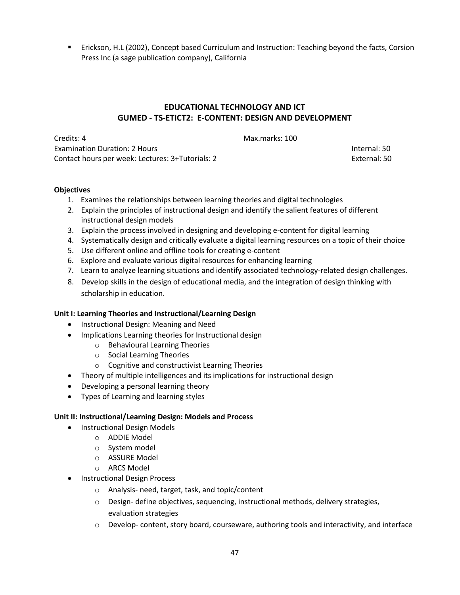Erickson, H.L (2002), Concept based Curriculum and Instruction: Teaching beyond the facts, Corsion Press Inc (a sage publication company), California

# **EDUCATIONAL TECHNOLOGY AND ICT GUMED - TS-ETICT2: E-CONTENT: DESIGN AND DEVELOPMENT**

Credits: 4 Max.marks: 100 Examination Duration: 2 Hours Internal: 50 Contact hours per week: Lectures: 3+Tutorials: 2 External: 50

#### **Objectives**

- 1. Examines the relationships between learning theories and digital technologies
- 2. Explain the principles of instructional design and identify the salient features of different instructional design models
- 3. Explain the process involved in designing and developing e-content for digital learning
- 4. Systematically design and critically evaluate a digital learning resources on a topic of their choice
- 5. Use different online and offline tools for creating e-content
- 6. Explore and evaluate various digital resources for enhancing learning
- 7. Learn to analyze learning situations and identify associated technology-related design challenges.
- 8. Develop skills in the design of educational media, and the integration of design thinking with scholarship in education.

### **Unit I: Learning Theories and Instructional/Learning Design**

- Instructional Design: Meaning and Need
- Implications Learning theories for Instructional design
	- o Behavioural Learning Theories
	- o Social Learning Theories
	- o Cognitive and constructivist Learning Theories
- Theory of multiple intelligences and its implications for instructional design
- Developing a personal learning theory
- Types of Learning and learning styles

### **Unit II: Instructional/Learning Design: Models and Process**

- Instructional Design Models
	- o ADDIE Model
	- o System model
	- o ASSURE Model
	- o ARCS Model
- Instructional Design Process
	- o Analysis- need, target, task, and topic/content
	- $\circ$  Design- define objectives, sequencing, instructional methods, delivery strategies, evaluation strategies
	- o Develop- content, story board, courseware, authoring tools and interactivity, and interface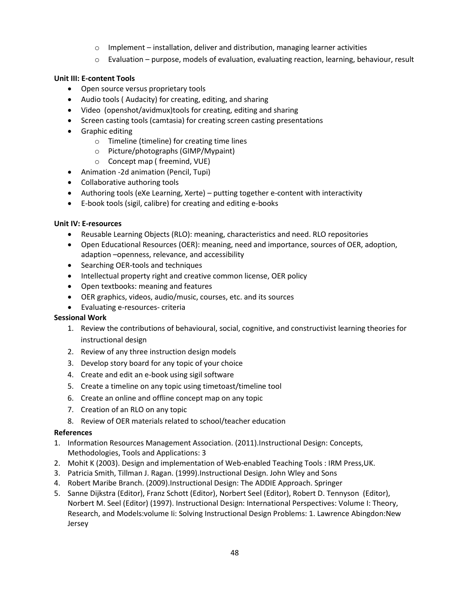- $\circ$  Implement installation, deliver and distribution, managing learner activities
- $\circ$  Evaluation purpose, models of evaluation, evaluating reaction, learning, behaviour, result

### **Unit III: E-content Tools**

- Open source versus proprietary tools
- Audio tools ( Audacity) for creating, editing, and sharing
- Video (openshot/avidmux)tools for creating, editing and sharing
- Screen casting tools (camtasia) for creating screen casting presentations
- **•** Graphic editing
	- o Timeline (timeline) for creating time lines
	- o Picture/photographs (GIMP/Mypaint)
	- o Concept map ( freemind, VUE)
- Animation -2d animation (Pencil, Tupi)
- Collaborative authoring tools
- Authoring tools (eXe Learning, Xerte) putting together e-content with interactivity
- E-book tools (sigil, calibre) for creating and editing e-books

#### **Unit IV: E-resources**

- Reusable Learning Objects (RLO): meaning, characteristics and need. RLO repositories
- Open Educational Resources (OER): meaning, need and importance, sources of OER, adoption, adaption –openness, relevance, and accessibility
- Searching OER-tools and techniques
- Intellectual property right and creative common license, OER policy
- Open textbooks: meaning and features
- OER graphics, videos, audio/music, courses, etc. and its sources
- Evaluating e-resources- criteria

### **Sessional Work**

- 1. Review the contributions of behavioural, social, cognitive, and constructivist learning theories for instructional design
- 2. Review of any three instruction design models
- 3. Develop story board for any topic of your choice
- 4. Create and edit an e-book using sigil software
- 5. Create a timeline on any topic using timetoast/timeline tool
- 6. Create an online and offline concept map on any topic
- 7. Creation of an RLO on any topic
- 8. Review of OER materials related to school/teacher education

### **References**

- 1. Information Resources Management Association. (2011).Instructional Design: Concepts, Methodologies, Tools and Applications: 3
- 2. Mohit K (2003). Design and implementation of Web-enabled Teaching Tools : IRM Press,UK.
- 3. Patricia Smith, Tillman J. Ragan. (1999).Instructional Design. John Wley and Sons
- 4. Robert Maribe Branch. (2009).Instructional Design: The ADDIE Approach. Springer
- 5. Sanne Dijkstra (Editor), Franz Schott (Editor), Norbert Seel (Editor), Robert D. Tennyson (Editor), Norbert M. Seel (Editor) (1997). Instructional Design: International Perspectives: Volume I: Theory, Research, and Models:volume Ii: Solving Instructional Design Problems: 1. Lawrence Abingdon:New Jersey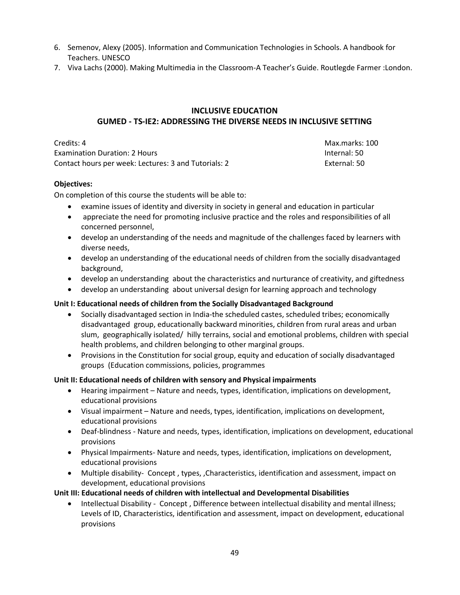- 6. Semenov, Alexy (2005). Information and Communication Technologies in Schools. A handbook for Teachers. UNESCO
- 7. Viva Lachs (2000). Making Multimedia in the Classroom-A Teacher's Guide. Routlegde Farmer : London.

# **INCLUSIVE EDUCATION GUMED - TS-IE2: ADDRESSING THE DIVERSE NEEDS IN INCLUSIVE SETTING**

**Credits: 4** Max.marks: 100 Examination Duration: 2 Hours Internal: 50 Contact hours per week: Lectures: 3 and Tutorials: 2 External: 50

### **Objectives:**

On completion of this course the students will be able to:

- examine issues of identity and diversity in society in general and education in particular
- appreciate the need for promoting inclusive practice and the roles and responsibilities of all concerned personnel,
- develop an understanding of the needs and magnitude of the challenges faced by learners with diverse needs,
- develop an understanding of the educational needs of children from the socially disadvantaged background,
- develop an understanding about the characteristics and nurturance of creativity, and giftedness
- develop an understanding about universal design for learning approach and technology

### **Unit I: Educational needs of children from the Socially Disadvantaged Background**

- Socially disadvantaged section in India-the scheduled castes, scheduled tribes; economically disadvantaged group, educationally backward minorities, children from rural areas and urban slum, geographically isolated/ hilly terrains, social and emotional problems, children with special health problems, and children belonging to other marginal groups.
- Provisions in the Constitution for social group, equity and education of socially disadvantaged groups (Education commissions, policies, programmes

### **Unit II: Educational needs of children with sensory and Physical impairments**

- Hearing impairment Nature and needs, types, identification, implications on development, educational provisions
- Visual impairment Nature and needs, types, identification, implications on development, educational provisions
- Deaf-blindness Nature and needs, types, identification, implications on development, educational provisions
- Physical Impairments- Nature and needs, types, identification, implications on development, educational provisions
- Multiple disability- Concept , types, ,Characteristics, identification and assessment, impact on development, educational provisions

### **Unit III: Educational needs of children with intellectual and Developmental Disabilities**

 Intellectual Disability - Concept , Difference between intellectual disability and mental illness; Levels of ID, Characteristics, identification and assessment, impact on development, educational provisions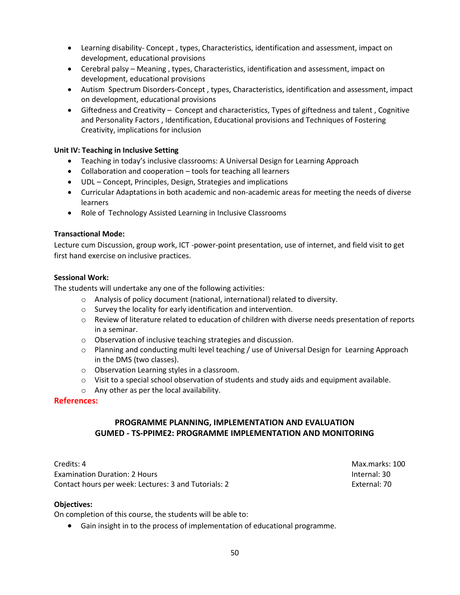- Learning disability- Concept , types, Characteristics, identification and assessment, impact on development, educational provisions
- Cerebral palsy Meaning , types, Characteristics, identification and assessment, impact on development, educational provisions
- Autism Spectrum Disorders-Concept , types, Characteristics, identification and assessment, impact on development, educational provisions
- Giftedness and Creativity Concept and characteristics, Types of giftedness and talent , Cognitive and Personality Factors , Identification, Educational provisions and Techniques of Fostering Creativity, implications for inclusion

### **Unit IV: Teaching in Inclusive Setting**

- Teaching in today's inclusive classrooms: A Universal Design for Learning Approach
- Collaboration and cooperation tools for teaching all learners
- UDL Concept, Principles, Design, Strategies and implications
- Curricular Adaptations in both academic and non-academic areas for meeting the needs of diverse learners
- Role of Technology Assisted Learning in Inclusive Classrooms

### **Transactional Mode:**

Lecture cum Discussion, group work, ICT -power-point presentation, use of internet, and field visit to get first hand exercise on inclusive practices.

### **Sessional Work:**

The students will undertake any one of the following activities:

- o Analysis of policy document (national, international) related to diversity.
- o Survey the locality for early identification and intervention.
- o Review of literature related to education of children with diverse needs presentation of reports in a seminar.
- o Observation of inclusive teaching strategies and discussion.
- o Planning and conducting multi level teaching / use of Universal Design for Learning Approach in the DMS (two classes).
- o Observation Learning styles in a classroom.
- $\circ$  Visit to a special school observation of students and study aids and equipment available.
- o Any other as per the local availability.

### **References:**

# **PROGRAMME PLANNING, IMPLEMENTATION AND EVALUATION GUMED - TS-PPIME2: PROGRAMME IMPLEMENTATION AND MONITORING**

Credits: 4 Max.marks: 100 Examination Duration: 2 Hours Internal: 30 Contact hours per week: Lectures: 3 and Tutorials: 2 External: 70

### **Objectives:**

On completion of this course, the students will be able to:

Gain insight in to the process of implementation of educational programme.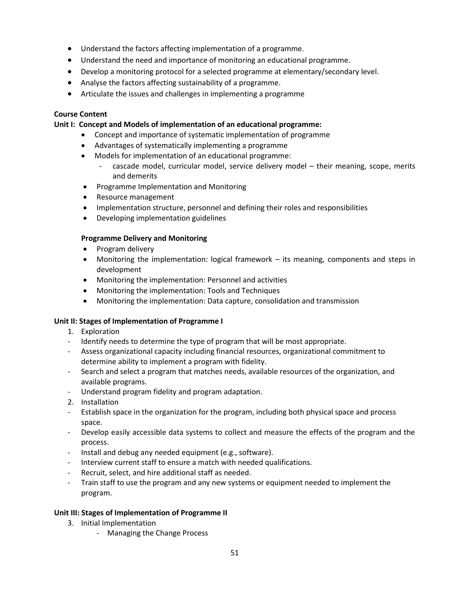- Understand the factors affecting implementation of a programme.
- Understand the need and importance of monitoring an educational programme.
- Develop a monitoring protocol for a selected programme at elementary/secondary level.
- Analyse the factors affecting sustainability of a programme.
- Articulate the issues and challenges in implementing a programme

### **Course Content**

#### **Unit I: Concept and Models of implementation of an educational programme:**

- Concept and importance of systematic implementation of programme
- Advantages of systematically implementing a programme
- Models for implementation of an educational programme:
	- cascade model, curricular model, service delivery model their meaning, scope, merits and demerits
- Programme Implementation and Monitoring
- Resource management
- Implementation structure, personnel and defining their roles and responsibilities
- Developing implementation guidelines

#### **Programme Delivery and Monitoring**

- Program delivery
- Monitoring the implementation: logical framework its meaning, components and steps in development
- Monitoring the implementation: Personnel and activities
- Monitoring the implementation: Tools and Techniques
- Monitoring the implementation: Data capture, consolidation and transmission

### **Unit II: Stages of Implementation of Programme I**

- 1. Exploration
- Identify needs to determine the type of program that will be most appropriate.
- Assess organizational capacity including financial resources, organizational commitment to determine ability to implement a program with fidelity.
- Search and select a program that matches needs, available resources of the organization, and available programs.
- Understand program fidelity and program adaptation.
- 2. Installation
- Establish space in the organization for the program, including both physical space and process space.
- Develop easily accessible data systems to collect and measure the effects of the program and the process.
- Install and debug any needed equipment (e.g., software).
- Interview current staff to ensure a match with needed qualifications.
- Recruit, select, and hire additional staff as needed.
- Train staff to use the program and any new systems or equipment needed to implement the program.

### **Unit III: Stages of Implementation of Programme II**

- 3. Initial Implementation
	- Managing the Change Process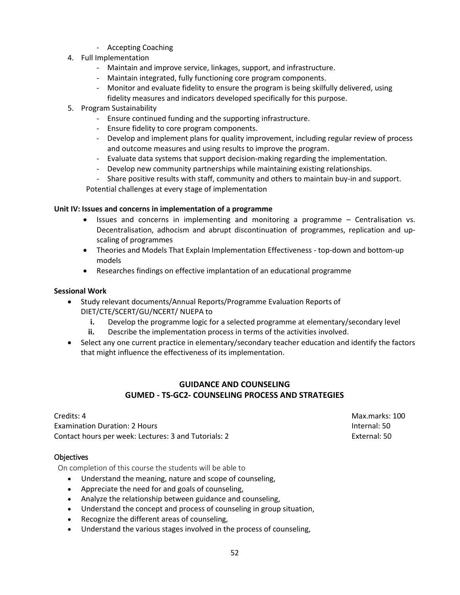- Accepting Coaching
- 4. Full Implementation
	- Maintain and improve service, linkages, support, and infrastructure.
	- Maintain integrated, fully functioning core program components.
	- Monitor and evaluate fidelity to ensure the program is being skilfully delivered, using fidelity measures and indicators developed specifically for this purpose.
- 5. Program Sustainability
	- Ensure continued funding and the supporting infrastructure.
	- Ensure fidelity to core program components.
	- Develop and implement plans for quality improvement, including regular review of process and outcome measures and using results to improve the program.
	- Evaluate data systems that support decision-making regarding the implementation.
	- Develop new community partnerships while maintaining existing relationships.
	- Share positive results with staff, community and others to maintain buy-in and support.

Potential challenges at every stage of implementation

### **Unit IV: Issues and concerns in implementation of a programme**

- Issues and concerns in implementing and monitoring a programme Centralisation vs. Decentralisation, adhocism and abrupt discontinuation of programmes, replication and upscaling of programmes
- Theories and Models That Explain Implementation Effectiveness top-down and bottom-up models
- Researches findings on effective implantation of an educational programme

### **Sessional Work**

- Study relevant documents/Annual Reports/Programme Evaluation Reports of DIET/CTE/SCERT/GU/NCERT/ NUEPA to
	- **i.** Develop the programme logic for a selected programme at elementary/secondary level
	- **ii.** Describe the implementation process in terms of the activities involved.
- Select any one current practice in elementary/secondary teacher education and identify the factors that might influence the effectiveness of its implementation.

## **GUIDANCE AND COUNSELING GUMED - TS-GC2- COUNSELING PROCESS AND STRATEGIES**

Credits: 4 Max.marks: 100 Examination Duration: 2 Hours Internal: 50 Contact hours per week: Lectures: 3 and Tutorials: 2 External: 50

### **Objectives**

On completion of this course the students will be able to

- Understand the meaning, nature and scope of counseling,
- Appreciate the need for and goals of counseling,
- Analyze the relationship between guidance and counseling,
- Understand the concept and process of counseling in group situation,
- Recognize the different areas of counseling,
- Understand the various stages involved in the process of counseling,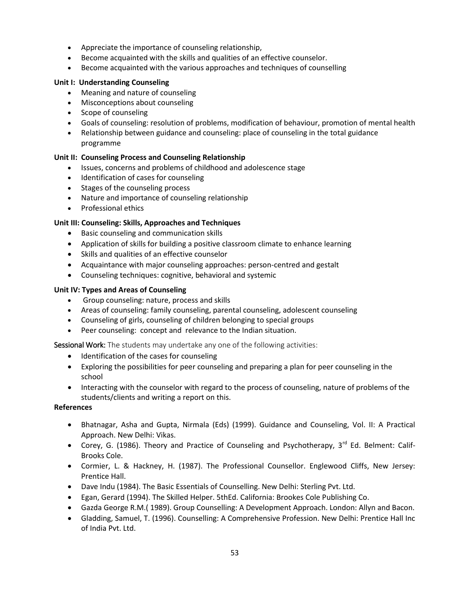- Appreciate the importance of counseling relationship,
- Become acquainted with the skills and qualities of an effective counselor.
- Become acquainted with the various approaches and techniques of counselling

### **Unit I: Understanding Counseling**

- Meaning and nature of counseling
- Misconceptions about counseling
- Scope of counseling
- Goals of counseling: resolution of problems, modification of behaviour, promotion of mental health
- Relationship between guidance and counseling: place of counseling in the total guidance programme

### **Unit II: Counseling Process and Counseling Relationship**

- Issues, concerns and problems of childhood and adolescence stage
- Identification of cases for counseling
- Stages of the counseling process
- Nature and importance of counseling relationship
- Professional ethics

### **Unit III: Counseling: Skills, Approaches and Techniques**

- Basic counseling and communication skills
- Application of skills for building a positive classroom climate to enhance learning
- Skills and qualities of an effective counselor
- Acquaintance with major counseling approaches: person-centred and gestalt
- Counseling techniques: cognitive, behavioral and systemic

### **Unit IV: Types and Areas of Counseling**

- Group counseling: nature, process and skills
- Areas of counseling: family counseling, parental counseling, adolescent counseling
- Counseling of girls, counseling of children belonging to special groups
- Peer counseling: concept and relevance to the Indian situation.

Sessional Work: The students may undertake any one of the following activities:

- Identification of the cases for counseling
- Exploring the possibilities for peer counseling and preparing a plan for peer counseling in the school
- Interacting with the counselor with regard to the process of counseling, nature of problems of the students/clients and writing a report on this.

### **References**

- Bhatnagar, Asha and Gupta, Nirmala (Eds) (1999). Guidance and Counseling, Vol. II: A Practical Approach. New Delhi: Vikas.
- Corey, G. (1986). Theory and Practice of Counseling and Psychotherapy,  $3^{rd}$  Ed. Belment: Calif-Brooks Cole.
- Cormier, L. & Hackney, H. (1987). The Professional Counsellor. Englewood Cliffs, New Jersey: Prentice Hall.
- Dave Indu (1984). The Basic Essentials of Counselling. New Delhi: Sterling Pvt. Ltd.
- Egan, Gerard (1994). The Skilled Helper. 5thEd. California: Brookes Cole Publishing Co.
- Gazda George R.M.( 1989). Group Counselling: A Development Approach. London: Allyn and Bacon.
- Gladding, Samuel, T. (1996). Counselling: A Comprehensive Profession. New Delhi: Prentice Hall Inc of India Pvt. Ltd.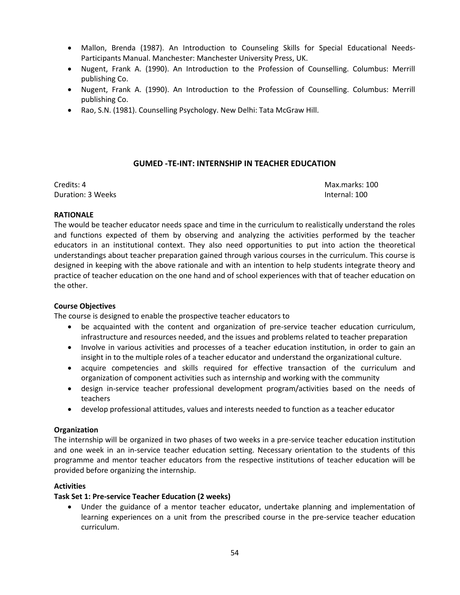- Mallon, Brenda (1987). An Introduction to Counseling Skills for Special Educational Needs-Participants Manual. Manchester: Manchester University Press, UK.
- Nugent, Frank A. (1990). An Introduction to the Profession of Counselling. Columbus: Merrill publishing Co.
- Nugent, Frank A. (1990). An Introduction to the Profession of Counselling. Columbus: Merrill publishing Co.
- Rao, S.N. (1981). Counselling Psychology. New Delhi: Tata McGraw Hill.

## **GUMED -TE-INT: INTERNSHIP IN TEACHER EDUCATION**

Credits: 4 Max.marks: 100 Duration: 3 Weeks **Internal: 100** 

### **RATIONALE**

The would be teacher educator needs space and time in the curriculum to realistically understand the roles and functions expected of them by observing and analyzing the activities performed by the teacher educators in an institutional context. They also need opportunities to put into action the theoretical understandings about teacher preparation gained through various courses in the curriculum. This course is designed in keeping with the above rationale and with an intention to help students integrate theory and practice of teacher education on the one hand and of school experiences with that of teacher education on the other.

### **Course Objectives**

The course is designed to enable the prospective teacher educators to

- be acquainted with the content and organization of pre-service teacher education curriculum, infrastructure and resources needed, and the issues and problems related to teacher preparation
- Involve in various activities and processes of a teacher education institution, in order to gain an insight in to the multiple roles of a teacher educator and understand the organizational culture.
- acquire competencies and skills required for effective transaction of the curriculum and organization of component activities such as internship and working with the community
- design in-service teacher professional development program/activities based on the needs of teachers
- develop professional attitudes, values and interests needed to function as a teacher educator

### **Organization**

The internship will be organized in two phases of two weeks in a pre-service teacher education institution and one week in an in-service teacher education setting. Necessary orientation to the students of this programme and mentor teacher educators from the respective institutions of teacher education will be provided before organizing the internship.

### **Activities**

### **Task Set 1: Pre-service Teacher Education (2 weeks)**

 Under the guidance of a mentor teacher educator, undertake planning and implementation of learning experiences on a unit from the prescribed course in the pre-service teacher education curriculum.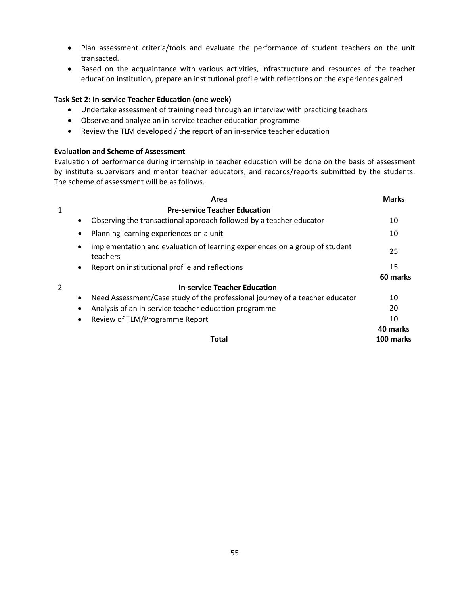- Plan assessment criteria/tools and evaluate the performance of student teachers on the unit transacted.
- Based on the acquaintance with various activities, infrastructure and resources of the teacher education institution, prepare an institutional profile with reflections on the experiences gained

### **Task Set 2: In-service Teacher Education (one week)**

- Undertake assessment of training need through an interview with practicing teachers
- Observe and analyze an in-service teacher education programme
- Review the TLM developed / the report of an in-service teacher education

### **Evaluation and Scheme of Assessment**

Evaluation of performance during internship in teacher education will be done on the basis of assessment by institute supervisors and mentor teacher educators, and records/reports submitted by the students. The scheme of assessment will be as follows.

|                | Area                                                                                    | <b>Marks</b> |
|----------------|-----------------------------------------------------------------------------------------|--------------|
| 1              | <b>Pre-service Teacher Education</b>                                                    |              |
|                | Observing the transactional approach followed by a teacher educator                     | 10           |
| $\bullet$      | Planning learning experiences on a unit                                                 | 10           |
|                | implementation and evaluation of learning experiences on a group of student<br>teachers | 25           |
|                | Report on institutional profile and reflections                                         | 15           |
|                |                                                                                         | 60 marks     |
| $\overline{2}$ | <b>In-service Teacher Education</b>                                                     |              |
|                | Need Assessment/Case study of the professional journey of a teacher educator            | 10           |
|                | Analysis of an in-service teacher education programme                                   | 20           |
| $\bullet$      | Review of TLM/Programme Report                                                          | 10           |
|                |                                                                                         | 40 marks     |
|                | Total                                                                                   | 100 marks    |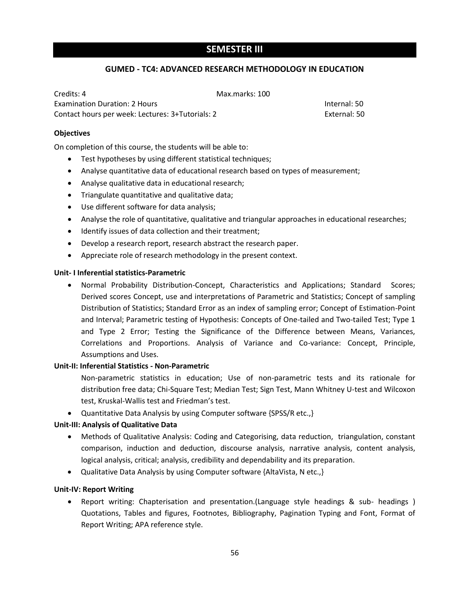# **SEMESTER III**

#### **GUMED - TC4: ADVANCED RESEARCH METHODOLOGY IN EDUCATION**

| Credits: 4                                       | Max.marks: 100 |              |
|--------------------------------------------------|----------------|--------------|
| <b>Examination Duration: 2 Hours</b>             |                | Internal: 50 |
| Contact hours per week: Lectures: 3+Tutorials: 2 |                | External: 50 |

#### **Objectives**

On completion of this course, the students will be able to:

- Test hypotheses by using different statistical techniques;
- Analyse quantitative data of educational research based on types of measurement;
- Analyse qualitative data in educational research;
- Triangulate quantitative and qualitative data;
- Use different software for data analysis;
- Analyse the role of quantitative, qualitative and triangular approaches in educational researches;
- Identify issues of data collection and their treatment;
- Develop a research report, research abstract the research paper.
- Appreciate role of research methodology in the present context.

#### **Unit- I Inferential statistics-Parametric**

 Normal Probability Distribution-Concept, Characteristics and Applications; Standard Scores; Derived scores Concept, use and interpretations of Parametric and Statistics; Concept of sampling Distribution of Statistics; Standard Error as an index of sampling error; Concept of Estimation-Point and Interval; Parametric testing of Hypothesis: Concepts of One-tailed and Two-tailed Test; Type 1 and Type 2 Error; Testing the Significance of the Difference between Means, Variances, Correlations and Proportions. Analysis of Variance and Co-variance: Concept, Principle, Assumptions and Uses.

### **Unit-II: Inferential Statistics - Non-Parametric**

Non-parametric statistics in education; Use of non-parametric tests and its rationale for distribution free data; Chi-Square Test; Median Test; Sign Test, Mann Whitney U-test and Wilcoxon test, Kruskal-Wallis test and Friedman's test.

• Quantitative Data Analysis by using Computer software {SPSS/R etc.,}

### **Unit-III: Analysis of Qualitative Data**

- Methods of Qualitative Analysis: Coding and Categorising, data reduction, triangulation, constant comparison, induction and deduction, discourse analysis, narrative analysis, content analysis, logical analysis, critical; analysis, credibility and dependability and its preparation.
- Qualitative Data Analysis by using Computer software {AltaVista, N etc., }

### **Unit-IV: Report Writing**

 Report writing: Chapterisation and presentation.(Language style headings & sub- headings ) Quotations, Tables and figures, Footnotes, Bibliography, Pagination Typing and Font, Format of Report Writing; APA reference style.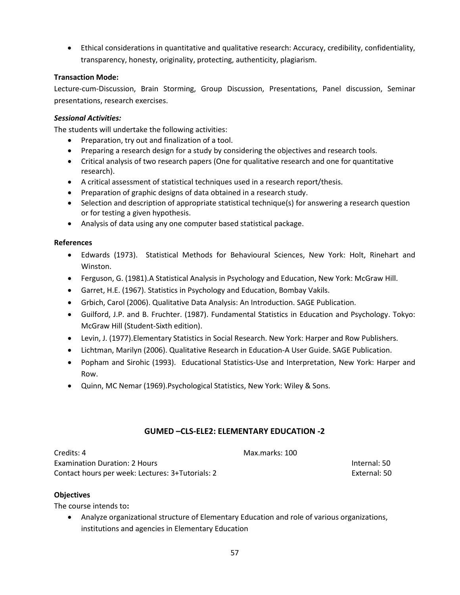Ethical considerations in quantitative and qualitative research: Accuracy, credibility, confidentiality, transparency, honesty, originality, protecting, authenticity, plagiarism.

### **Transaction Mode:**

Lecture-cum-Discussion, Brain Storming, Group Discussion, Presentations, Panel discussion, Seminar presentations, research exercises.

### *Sessional Activities:*

The students will undertake the following activities:

- Preparation, try out and finalization of a tool.
- Preparing a research design for a study by considering the objectives and research tools.
- Critical analysis of two research papers (One for qualitative research and one for quantitative research).
- A critical assessment of statistical techniques used in a research report/thesis.
- Preparation of graphic designs of data obtained in a research study.
- Selection and description of appropriate statistical technique(s) for answering a research question or for testing a given hypothesis.
- Analysis of data using any one computer based statistical package.

### **References**

- Edwards (1973). Statistical Methods for Behavioural Sciences, New York: Holt, Rinehart and Winston.
- Ferguson, G. (1981).A Statistical Analysis in Psychology and Education, New York: McGraw Hill.
- Garret, H.E. (1967). Statistics in Psychology and Education, Bombay Vakils.
- Grbich, Carol (2006). Qualitative Data Analysis: An Introduction. SAGE Publication.
- Guilford, J.P. and B. Fruchter. (1987). Fundamental Statistics in Education and Psychology. Tokyo: McGraw Hill (Student-Sixth edition).
- Levin, J. (1977).Elementary Statistics in Social Research. New York: Harper and Row Publishers.
- Lichtman, Marilyn (2006). Qualitative Research in Education-A User Guide. SAGE Publication.
- Popham and Sirohic (1993). Educational Statistics-Use and Interpretation, New York: Harper and Row.
- Quinn, MC Nemar (1969).Psychological Statistics, New York: Wiley & Sons.

# **GUMED –CLS-ELE2: ELEMENTARY EDUCATION -2**

Credits: 4 Max.marks: 100 Examination Duration: 2 Hours Internal: 50 Contact hours per week: Lectures: 3+Tutorials: 2 External: 50

### **Objectives**

The course intends to**:** 

 Analyze organizational structure of Elementary Education and role of various organizations, institutions and agencies in Elementary Education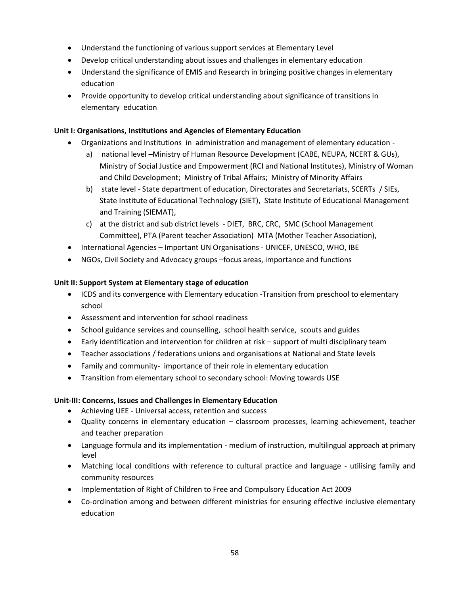- Understand the functioning of various support services at Elementary Level
- Develop critical understanding about issues and challenges in elementary education
- Understand the significance of EMIS and Research in bringing positive changes in elementary education
- Provide opportunity to develop critical understanding about significance of transitions in elementary education

### **Unit I: Organisations, Institutions and Agencies of Elementary Education**

- Organizations and Institutions in administration and management of elementary education
	- a) national level –Ministry of Human Resource Development (CABE, NEUPA, NCERT & GUs), Ministry of Social Justice and Empowerment (RCI and National Institutes), Ministry of Woman and Child Development; Ministry of Tribal Affairs; Ministry of Minority Affairs
	- b) state level State department of education, Directorates and Secretariats, SCERTs / SIEs, State Institute of Educational Technology (SIET), State Institute of Educational Management and Training (SIEMAT),
	- c) at the district and sub district levels DIET, BRC, CRC, SMC (School Management Committee), PTA (Parent teacher Association) MTA (Mother Teacher Association),
- International Agencies Important UN Organisations UNICEF, UNESCO, WHO, IBE
- NGOs, Civil Society and Advocacy groups –focus areas, importance and functions

### **Unit II: Support System at Elementary stage of education**

- ICDS and its convergence with Elementary education -Transition from preschool to elementary school
- Assessment and intervention for school readiness
- School guidance services and counselling, school health service, scouts and guides
- Early identification and intervention for children at risk support of multi disciplinary team
- Teacher associations / federations unions and organisations at National and State levels
- Family and community- importance of their role in elementary education
- Transition from elementary school to secondary school: Moving towards USE

## **Unit-III: Concerns, Issues and Challenges in Elementary Education**

- Achieving UEE Universal access, retention and success
- Quality concerns in elementary education classroom processes, learning achievement, teacher and teacher preparation
- Language formula and its implementation medium of instruction, multilingual approach at primary level
- Matching local conditions with reference to cultural practice and language utilising family and community resources
- Implementation of Right of Children to Free and Compulsory Education Act 2009
- Co-ordination among and between different ministries for ensuring effective inclusive elementary education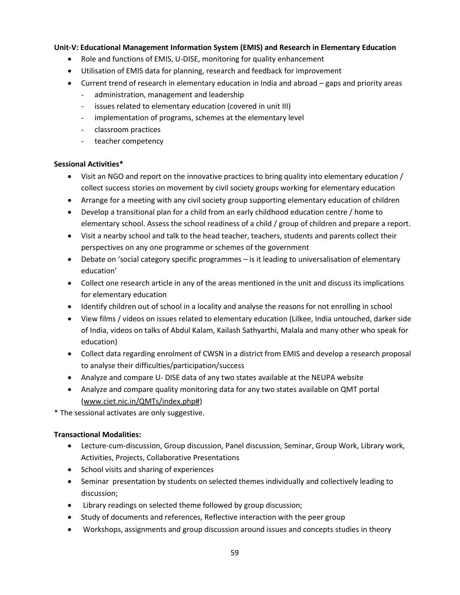### **Unit-V: Educational Management Information System (EMIS) and Research in Elementary Education**

- Role and functions of EMIS, U-DISE, monitoring for quality enhancement
- Utilisation of EMIS data for planning, research and feedback for improvement
- Current trend of research in elementary education in India and abroad gaps and priority areas
	- administration, management and leadership
	- issues related to elementary education (covered in unit III)
	- implementation of programs, schemes at the elementary level
	- classroom practices
	- teacher competency

#### **Sessional Activities\***

- Visit an NGO and report on the innovative practices to bring quality into elementary education / collect success stories on movement by civil society groups working for elementary education
- Arrange for a meeting with any civil society group supporting elementary education of children
- Develop a transitional plan for a child from an early childhood education centre / home to elementary school. Assess the school readiness of a child / group of children and prepare a report.
- Visit a nearby school and talk to the head teacher, teachers, students and parents collect their perspectives on any one programme or schemes of the government
- Debate on 'social category specific programmes is it leading to universalisation of elementary education'
- Collect one research article in any of the areas mentioned in the unit and discuss its implications for elementary education
- Identify children out of school in a locality and analyse the reasons for not enrolling in school
- View films / videos on issues related to elementary education (Lilkee, India untouched, darker side of India, videos on talks of Abdul Kalam, Kailash Sathyarthi, Malala and many other who speak for education)
- Collect data regarding enrolment of CWSN in a district from EMIS and develop a research proposal to analyse their difficulties/participation/success
- Analyze and compare U- DISE data of any two states available at the NEUPA website
- Analyze and compare quality monitoring data for any two states available on QMT portal [\(www.ciet.nic.in/QMTs/index.php#\)](http://www.ciet.nic.in/QMTs/index.php)

\* The sessional activates are only suggestive.

### **Transactional Modalities:**

- Lecture-cum-discussion, Group discussion, Panel discussion, Seminar, Group Work, Library work, Activities, Projects, Collaborative Presentations
- School visits and sharing of experiences
- Seminar presentation by students on selected themes individually and collectively leading to discussion;
- Library readings on selected theme followed by group discussion;
- Study of documents and references, Reflective interaction with the peer group
- Workshops, assignments and group discussion around issues and concepts studies in theory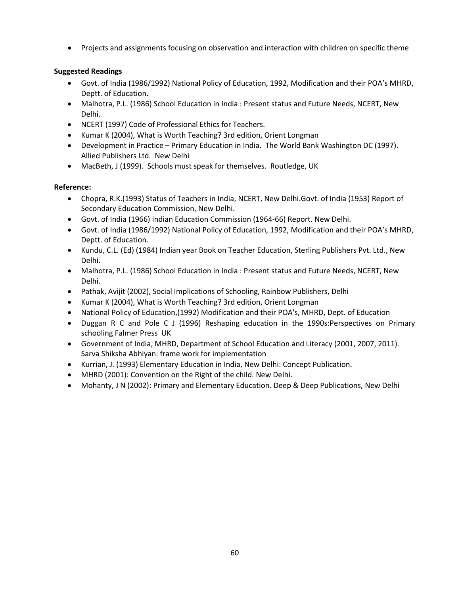Projects and assignments focusing on observation and interaction with children on specific theme

## **Suggested Readings**

- Govt. of India (1986/1992) National Policy of Education, 1992, Modification and their POA's MHRD, Deptt. of Education.
- Malhotra, P.L. (1986) School Education in India : Present status and Future Needs, NCERT, New Delhi.
- NCERT (1997) Code of Professional Ethics for Teachers.
- Kumar K (2004), What is Worth Teaching? 3rd edition, Orient Longman
- Development in Practice Primary Education in India. The World Bank Washington DC (1997). Allied Publishers Ltd. New Delhi
- MacBeth, J (1999). Schools must speak for themselves. Routledge, UK

### **Reference:**

- Chopra, R.K.(1993) Status of Teachers in India, NCERT, New Delhi.Govt. of India (1953) Report of Secondary Education Commission, New Delhi.
- Govt. of India (1966) Indian Education Commission (1964-66) Report. New Delhi.
- Govt. of India (1986/1992) National Policy of Education, 1992, Modification and their POA's MHRD, Deptt. of Education.
- Kundu, C.L. (Ed) (1984) Indian year Book on Teacher Education, Sterling Publishers Pvt. Ltd., New Delhi.
- Malhotra, P.L. (1986) School Education in India : Present status and Future Needs, NCERT, New Delhi.
- Pathak, Avijit (2002), Social Implications of Schooling, Rainbow Publishers, Delhi
- Kumar K (2004), What is Worth Teaching? 3rd edition, Orient Longman
- National Policy of Education,(1992) Modification and their POA's, MHRD, Dept. of Education
- Duggan R C and Pole C J (1996) Reshaping education in the 1990s:Perspectives on Primary schooling Falmer Press UK
- Government of India, MHRD, Department of School Education and Literacy (2001, 2007, 2011). Sarva Shiksha Abhiyan: frame work for implementation
- Kurrian, J. (1993) Elementary Education in India, New Delhi: Concept Publication.
- MHRD (2001): Convention on the Right of the child. New Delhi.
- Mohanty, J N (2002): Primary and Elementary Education. Deep & Deep Publications, New Delhi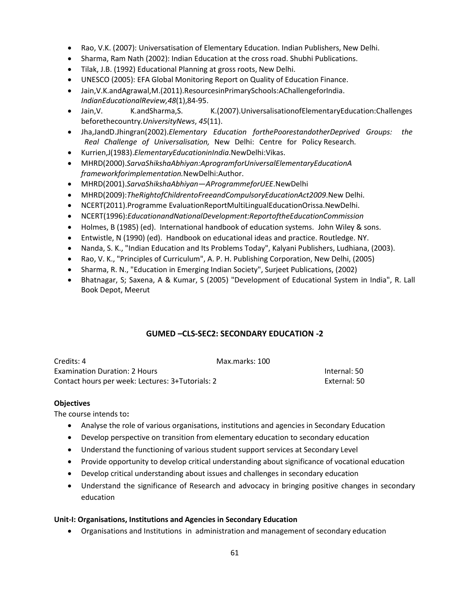- Rao, V.K. (2007): Universatisation of Elementary Education. Indian Publishers, New Delhi.
- Sharma, Ram Nath (2002): Indian Education at the cross road. Shubhi Publications.
- Tilak, J.B. (1992) Educational Planning at gross roots, New Delhi.
- UNESCO (2005): EFA Global Monitoring Report on Quality of Education Finance.
- Jain,V.K.andAgrawal,M.(2011).ResourcesinPrimarySchools:AChallengeforIndia. *IndianEducationalReview,48*(1),84-95.
- Jain,V. K.andSharma,S. K.(2007).UniversalisationofElementaryEducation:Challenges beforethecountry.*UniversityNews*, *45*(11).
- Jha,JandD.Jhingran(2002).*Elementary Education forthePoorestandotherDeprived Groups: the Real Challenge of Universalisation,* New Delhi: Centre for Policy Research.
- Kurrien,J(1983).*ElementaryEducationinIndia*.NewDelhi:Vikas.
- MHRD(2000).*SarvaShikshaAbhiyan:AprogramforUniversalElementaryEducationA frameworkforimplementation.*NewDelhi:Author.
- MHRD(2001).*SarvaShikshaAbhiyan—AProgrammeforUEE*.NewDelhi
- MHRD(2009):*TheRightofChildrentoFreeandCompulsoryEducationAct2009*.New Delhi.
- NCERT(2011).Programme EvaluationReportMultiLingualEducationOrissa.NewDelhi.
- NCERT(1996):*EducationandNationalDevelopment:ReportoftheEducationCommission*
- Holmes, B (1985) (ed). International handbook of education systems. John Wiley & sons.
- Entwistle, N (1990) (ed). Handbook on educational ideas and practice. Routledge. NY.
- Nanda, S. K., "Indian Education and Its Problems Today", Kalyani Publishers, Ludhiana, (2003).
- Rao, V. K., "Principles of Curriculum", A. P. H. Publishing Corporation, New Delhi, (2005)
- Sharma, R. N., "Education in Emerging Indian Society", Surjeet Publications, (2002)
- Bhatnagar, S; Saxena, A & Kumar, S (2005) "Development of Educational System in India", R. Lall Book Depot, Meerut

## **GUMED –CLS-SEC2: SECONDARY EDUCATION -2**

| Credits: 4                                       | Max.marks: 100 |              |
|--------------------------------------------------|----------------|--------------|
| <b>Examination Duration: 2 Hours</b>             |                | Internal: 50 |
| Contact hours per week: Lectures: 3+Tutorials: 2 |                | External: 50 |

#### **Objectives**

The course intends to**:** 

- Analyse the role of various organisations, institutions and agencies in Secondary Education
- Develop perspective on transition from elementary education to secondary education
- Understand the functioning of various student support services at Secondary Level
- Provide opportunity to develop critical understanding about significance of vocational education
- Develop critical understanding about issues and challenges in secondary education
- Understand the significance of Research and advocacy in bringing positive changes in secondary education

### **Unit-I: Organisations, Institutions and Agencies in Secondary Education**

Organisations and Institutions in administration and management of secondary education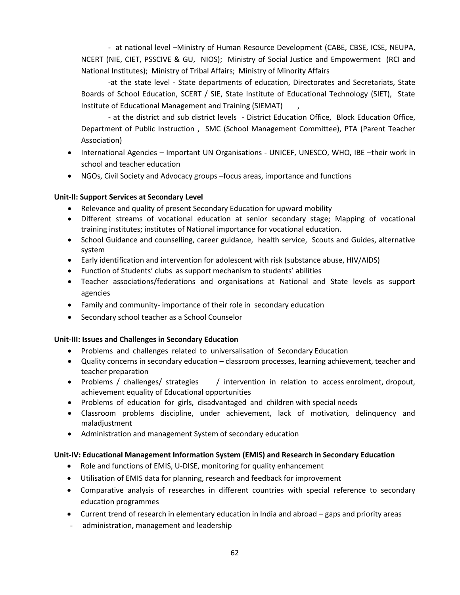- at national level –Ministry of Human Resource Development (CABE, CBSE, ICSE, NEUPA, NCERT (NIE, CIET, PSSCIVE & GU, NIOS); Ministry of Social Justice and Empowerment (RCI and National Institutes); Ministry of Tribal Affairs; Ministry of Minority Affairs

-at the state level - State departments of education, Directorates and Secretariats, State Boards of School Education, SCERT / SIE, State Institute of Educational Technology (SIET), State Institute of Educational Management and Training (SIEMAT)

- at the district and sub district levels - District Education Office, Block Education Office, Department of Public Instruction , SMC (School Management Committee), PTA (Parent Teacher Association)

- International Agencies Important UN Organisations UNICEF, UNESCO, WHO, IBE -their work in school and teacher education
- NGOs, Civil Society and Advocacy groups –focus areas, importance and functions

## **Unit-II: Support Services at Secondary Level**

- Relevance and quality of present Secondary Education for upward mobility
- Different streams of vocational education at senior secondary stage; Mapping of vocational training institutes; institutes of National importance for vocational education.
- School Guidance and counselling, career guidance, health service, Scouts and Guides, alternative system
- Early identification and intervention for adolescent with risk (substance abuse, HIV/AIDS)
- Function of Students' clubs as support mechanism to students' abilities
- Teacher associations/federations and organisations at National and State levels as support agencies
- Family and community- importance of their role in secondary education
- Secondary school teacher as a School Counselor

## **Unit-III: Issues and Challenges in Secondary Education**

- Problems and challenges related to universalisation of Secondary Education
- Quality concerns in secondary education classroom processes, learning achievement, teacher and teacher preparation
- Problems / challenges/ strategies / intervention in relation to access enrolment, dropout, achievement equality of Educational opportunities
- Problems of education for girls, disadvantaged and children with special needs
- Classroom problems discipline, under achievement, lack of motivation, delinquency and maladjustment
- Administration and management System of secondary education

## **Unit-IV: Educational Management Information System (EMIS) and Research in Secondary Education**

- Role and functions of EMIS, U-DISE, monitoring for quality enhancement
- Utilisation of EMIS data for planning, research and feedback for improvement
- Comparative analysis of researches in different countries with special reference to secondary education programmes
- Current trend of research in elementary education in India and abroad gaps and priority areas
- administration, management and leadership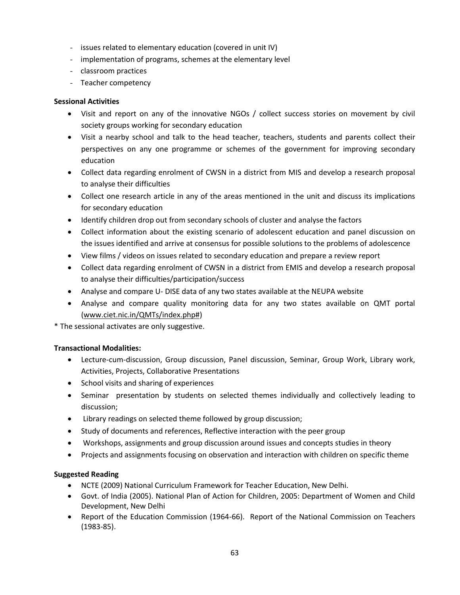- issues related to elementary education (covered in unit IV)
- implementation of programs, schemes at the elementary level
- classroom practices
- Teacher competency

### **Sessional Activities**

- Visit and report on any of the innovative NGOs / collect success stories on movement by civil society groups working for secondary education
- Visit a nearby school and talk to the head teacher, teachers, students and parents collect their perspectives on any one programme or schemes of the government for improving secondary education
- Collect data regarding enrolment of CWSN in a district from MIS and develop a research proposal to analyse their difficulties
- Collect one research article in any of the areas mentioned in the unit and discuss its implications for secondary education
- Identify children drop out from secondary schools of cluster and analyse the factors
- Collect information about the existing scenario of adolescent education and panel discussion on the issues identified and arrive at consensus for possible solutions to the problems of adolescence
- View films / videos on issues related to secondary education and prepare a review report
- Collect data regarding enrolment of CWSN in a district from EMIS and develop a research proposal to analyse their difficulties/participation/success
- Analyse and compare U- DISE data of any two states available at the NEUPA website
- Analyse and compare quality monitoring data for any two states available on QMT portal [\(www.ciet.nic.in/QMTs/index.php#\)](http://www.ciet.nic.in/QMTs/index.php)

\* The sessional activates are only suggestive.

### **Transactional Modalities:**

- Lecture-cum-discussion, Group discussion, Panel discussion, Seminar, Group Work, Library work, Activities, Projects, Collaborative Presentations
- School visits and sharing of experiences
- Seminar presentation by students on selected themes individually and collectively leading to discussion;
- Library readings on selected theme followed by group discussion;
- Study of documents and references, Reflective interaction with the peer group
- Workshops, assignments and group discussion around issues and concepts studies in theory
- Projects and assignments focusing on observation and interaction with children on specific theme

### **Suggested Reading**

- NCTE (2009) National Curriculum Framework for Teacher Education, New Delhi.
- Govt. of India (2005). National Plan of Action for Children, 2005: Department of Women and Child Development, New Delhi
- Report of the Education Commission (1964-66). Report of the National Commission on Teachers (1983-85).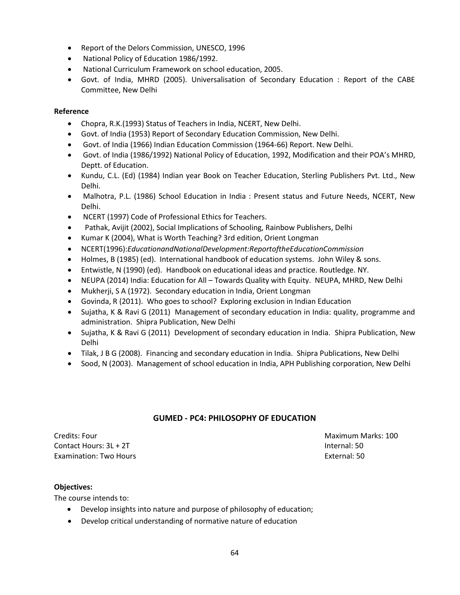- Report of the Delors Commission, UNESCO, 1996
- National Policy of Education 1986/1992.
- National Curriculum Framework on school education, 2005.
- Govt. of India, MHRD (2005). Universalisation of Secondary Education : Report of the CABE Committee, New Delhi

### **Reference**

- Chopra, R.K.(1993) Status of Teachers in India, NCERT, New Delhi.
- Govt. of India (1953) Report of Secondary Education Commission, New Delhi.
- Govt. of India (1966) Indian Education Commission (1964-66) Report. New Delhi.
- Govt. of India (1986/1992) National Policy of Education, 1992, Modification and their POA's MHRD, Deptt. of Education.
- Kundu, C.L. (Ed) (1984) Indian year Book on Teacher Education, Sterling Publishers Pvt. Ltd., New Delhi.
- Malhotra, P.L. (1986) School Education in India : Present status and Future Needs, NCERT, New Delhi.
- NCERT (1997) Code of Professional Ethics for Teachers.
- Pathak, Avijit (2002), Social Implications of Schooling, Rainbow Publishers, Delhi
- Kumar K (2004), What is Worth Teaching? 3rd edition, Orient Longman
- NCERT(1996):*EducationandNationalDevelopment:ReportoftheEducationCommission*
- Holmes, B (1985) (ed). International handbook of education systems. John Wiley & sons.
- Entwistle, N (1990) (ed). Handbook on educational ideas and practice. Routledge. NY.
- NEUPA (2014) India: Education for All Towards Quality with Equity. NEUPA, MHRD, New Delhi
- Mukherji, S A (1972). Secondary education in India, Orient Longman
- Govinda, R (2011). Who goes to school? Exploring exclusion in Indian Education
- Sujatha, K & Ravi G (2011) Management of secondary education in India: quality, programme and administration. Shipra Publication, New Delhi
- Sujatha, K & Ravi G (2011) Development of secondary education in India. Shipra Publication, New Delhi
- Tilak, J B G (2008). Financing and secondary education in India. Shipra Publications, New Delhi
- Sood, N (2003). Management of school education in India, APH Publishing corporation, New Delhi

## **GUMED - PC4: PHILOSOPHY OF EDUCATION**

Credits: Four Maximum Marks: 100 Contact Hours: 3L + 2T Internal: 50 Examination: Two Hours External: 50

## **Objectives:**

The course intends to:

- Develop insights into nature and purpose of philosophy of education;
- Develop critical understanding of normative nature of education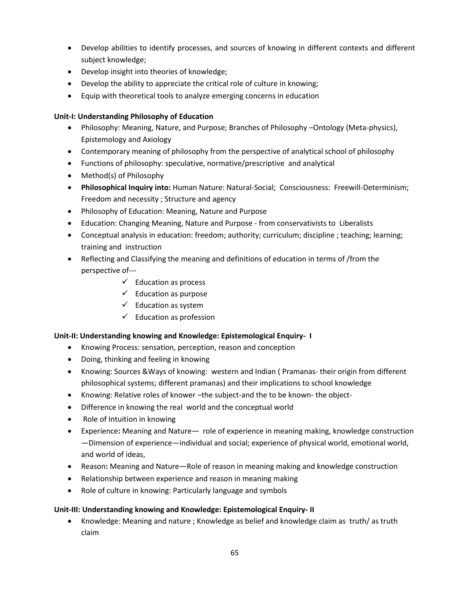- Develop abilities to identify processes, and sources of knowing in different contexts and different subject knowledge;
- Develop insight into theories of knowledge;
- Develop the ability to appreciate the critical role of culture in knowing;
- Equip with theoretical tools to analyze emerging concerns in education

## **Unit-I: Understanding Philosophy of Education**

- Philosophy: Meaning, Nature, and Purpose; Branches of Philosophy –Ontology (Meta-physics), Epistemology and Axiology
- Contemporary meaning of philosophy from the perspective of analytical school of philosophy
- Functions of philosophy: speculative, normative/prescriptive and analytical
- Method(s) of Philosophy
- **Philosophical Inquiry into:** Human Nature: Natural-Social; Consciousness: Freewill-Determinism; Freedom and necessity ; Structure and agency
- Philosophy of Education: Meaning, Nature and Purpose
- Education: Changing Meaning, Nature and Purpose from conservativists to Liberalists
- Conceptual analysis in education: freedom; authority; curriculum; discipline ; teaching; learning; training and instruction
- Reflecting and Classifying the meaning and definitions of education in terms of /from the perspective of---
	- $\checkmark$  Education as process
	- $\checkmark$  Education as purpose
	- $\checkmark$  Education as system
	- $\checkmark$  Education as profession

## **Unit-II: Understanding knowing and Knowledge: Epistemological Enquiry- I**

- Knowing Process: sensation, perception, reason and conception
- Doing, thinking and feeling in knowing
- Knowing: Sources &Ways of knowing: western and Indian ( Pramanas- their origin from different philosophical systems; different pramanas) and their implications to school knowledge
- Knowing: Relative roles of knower –the subject-and the to be known- the object-
- Difference in knowing the real world and the conceptual world
- Role of Intuition in knowing
- Experience**:** Meaning and Nature— role of experience in meaning making, knowledge construction —Dimension of experience—individual and social; experience of physical world, emotional world, and world of ideas,
- Reason**:** Meaning and Nature—Role of reason in meaning making and knowledge construction
- Relationship between experience and reason in meaning making
- Role of culture in knowing: Particularly language and symbols

### **Unit-III: Understanding knowing and Knowledge: Epistemological Enquiry- II**

 Knowledge: Meaning and nature ; Knowledge as belief and knowledge claim as truth/ as truth claim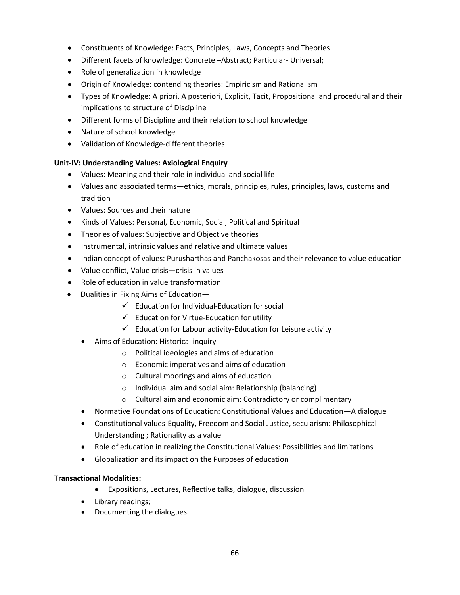- Constituents of Knowledge: Facts, Principles, Laws, Concepts and Theories
- Different facets of knowledge: Concrete –Abstract; Particular- Universal;
- Role of generalization in knowledge
- Origin of Knowledge: contending theories: Empiricism and Rationalism
- Types of Knowledge: A priori, A posteriori, Explicit, Tacit, Propositional and procedural and their implications to structure of Discipline
- Different forms of Discipline and their relation to school knowledge
- Nature of school knowledge
- Validation of Knowledge-different theories

## **Unit-IV: Understanding Values: Axiological Enquiry**

- Values: Meaning and their role in individual and social life
- Values and associated terms—ethics, morals, principles, rules, principles, laws, customs and tradition
- Values: Sources and their nature
- Kinds of Values: Personal, Economic, Social, Political and Spiritual
- Theories of values: Subjective and Objective theories
- Instrumental, intrinsic values and relative and ultimate values
- Indian concept of values: Purusharthas and Panchakosas and their relevance to value education
- Value conflict, Value crisis—crisis in values
- Role of education in value transformation
- Dualities in Fixing Aims of Education—
	- $\checkmark$  Education for Individual-Education for social
	- $\checkmark$  Education for Virtue-Education for utility
	- $\checkmark$  Education for Labour activity-Education for Leisure activity
	- Aims of Education: Historical inquiry
		- o Political ideologies and aims of education
		- o Economic imperatives and aims of education
		- o Cultural moorings and aims of education
		- o Individual aim and social aim: Relationship (balancing)
		- o Cultural aim and economic aim: Contradictory or complimentary
	- Normative Foundations of Education: Constitutional Values and Education—A dialogue
	- Constitutional values-Equality, Freedom and Social Justice, secularism: Philosophical Understanding ; Rationality as a value
	- Role of education in realizing the Constitutional Values: Possibilities and limitations
	- Globalization and its impact on the Purposes of education

## **Transactional Modalities:**

- Expositions, Lectures, Reflective talks, dialogue, discussion
- Library readings;
- Documenting the dialogues.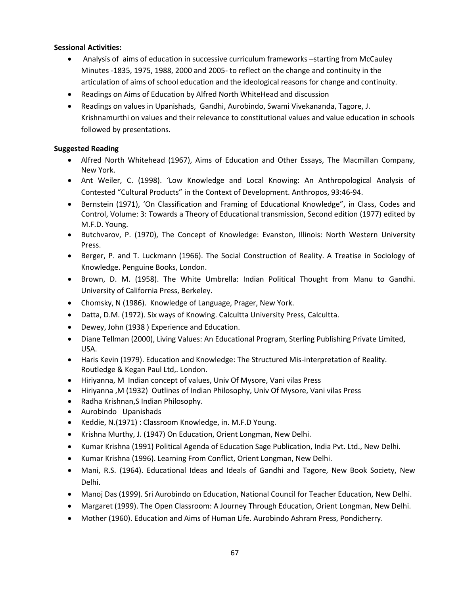### **Sessional Activities:**

- Analysis of aims of education in successive curriculum frameworks –starting from McCauley Minutes -1835, 1975, 1988, 2000 and 2005- to reflect on the change and continuity in the articulation of aims of school education and the ideological reasons for change and continuity.
- Readings on Aims of Education by Alfred North WhiteHead and discussion
- Readings on values in Upanishads, Gandhi, Aurobindo, Swami Vivekananda, Tagore, J. Krishnamurthi on values and their relevance to constitutional values and value education in schools followed by presentations.

### **Suggested Reading**

- Alfred North Whitehead (1967), Aims of Education and Other Essays, The Macmillan Company, New York.
- Ant Weiler, C. (1998). 'Low Knowledge and Local Knowing: An Anthropological Analysis of Contested "Cultural Products" in the Context of Development. Anthropos, 93:46-94.
- Bernstein (1971), 'On Classification and Framing of Educational Knowledge", in Class, Codes and Control, Volume: 3: Towards a Theory of Educational transmission, Second edition (1977) edited by M.F.D. Young.
- Butchvarov, P. (1970), The Concept of Knowledge: Evanston, Illinois: North Western University Press.
- Berger, P. and T. Luckmann (1966). The Social Construction of Reality. A Treatise in Sociology of Knowledge. Penguine Books, London.
- Brown, D. M. (1958). The White Umbrella: Indian Political Thought from Manu to Gandhi. University of California Press, Berkeley.
- Chomsky, N (1986). Knowledge of Language, Prager, New York.
- Datta, D.M. (1972). Six ways of Knowing. Calcultta University Press, Calcultta.
- Dewey, John (1938 ) Experience and Education.
- Diane Tellman (2000), Living Values: An Educational Program, Sterling Publishing Private Limited, USA.
- Haris Kevin (1979). Education and Knowledge: The Structured Mis-interpretation of Reality. Routledge & Kegan Paul Ltd,. London.
- Hiriyanna, M Indian concept of values, Univ Of Mysore, Vani vilas Press
- Hiriyanna ,M (1932) Outlines of Indian Philosophy, Univ Of Mysore, Vani vilas Press
- Radha Krishnan,S Indian Philosophy.
- Aurobindo Upanishads
- Keddie, N.(1971) : Classroom Knowledge, in. M.F.D Young.
- Krishna Murthy, J. (1947) On Education, Orient Longman, New Delhi.
- Kumar Krishna (1991) Political Agenda of Education Sage Publication, India Pvt. Ltd., New Delhi.
- Kumar Krishna (1996). Learning From Conflict, Orient Longman, New Delhi.
- Mani, R.S. (1964). Educational Ideas and Ideals of Gandhi and Tagore, New Book Society, New Delhi.
- Manoj Das (1999). Sri Aurobindo on Education, National Council for Teacher Education, New Delhi.
- Margaret (1999). The Open Classroom: A Journey Through Education, Orient Longman, New Delhi.
- Mother (1960). Education and Aims of Human Life. Aurobindo Ashram Press, Pondicherry.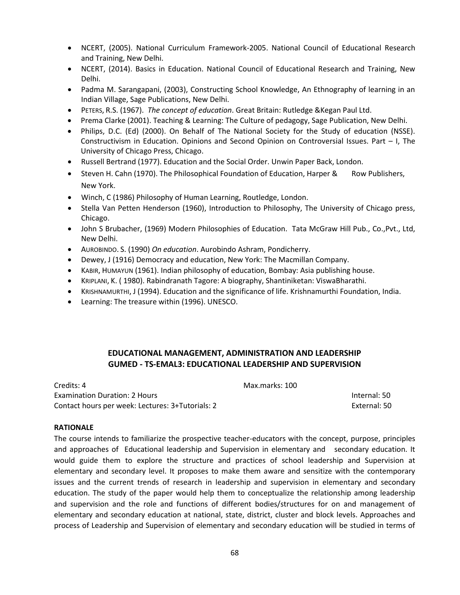- NCERT, (2005). National Curriculum Framework-2005. National Council of Educational Research and Training, New Delhi.
- NCERT, (2014). Basics in Education. National Council of Educational Research and Training, New Delhi.
- Padma M. Sarangapani, (2003), Constructing School Knowledge, An Ethnography of learning in an Indian Village, Sage Publications, New Delhi.
- PETERS, R.S. (1967). *The concept of education*. Great Britain: Rutledge &Kegan Paul Ltd.
- Prema Clarke (2001). Teaching & Learning: The Culture of pedagogy, Sage Publication, New Delhi.
- Philips, D.C. (Ed) (2000). On Behalf of The National Society for the Study of education (NSSE). Constructivism in Education. Opinions and Second Opinion on Controversial Issues. Part – I, The University of Chicago Press, Chicago.
- Russell Bertrand (1977). Education and the Social Order. Unwin Paper Back, London.
- Steven H. Cahn (1970). The Philosophical Foundation of Education, Harper & Row Publishers, New York.
- Winch, C (1986) Philosophy of Human Learning, Routledge, London.
- Stella Van Petten Henderson (1960), Introduction to Philosophy, The University of Chicago press, Chicago.
- John S Brubacher, (1969) Modern Philosophies of Education. Tata McGraw Hill Pub., Co.,Pvt., Ltd, New Delhi.
- AUROBINDO. S. (1990) *On education*. Aurobindo Ashram, Pondicherry.
- Dewey, J (1916) Democracy and education, New York: The Macmillan Company.
- KABIR, HUMAYUN (1961). Indian philosophy of education, Bombay: Asia publishing house.
- KRIPLANI, K. ( 1980). Rabindranath Tagore: A biography, Shantiniketan: ViswaBharathi.
- KRISHNAMURTHI, J (1994). Education and the significance of life. Krishnamurthi Foundation, India.
- Learning: The treasure within (1996). UNESCO.

## **EDUCATIONAL MANAGEMENT, ADMINISTRATION AND LEADERSHIP GUMED - TS-EMAL3: EDUCATIONAL LEADERSHIP AND SUPERVISION**

Credits: 4 Max.marks: 100 Examination Duration: 2 Hours Internal: 50 Contact hours per week: Lectures: 3+Tutorials: 2 External: 50

#### **RATIONALE**

The course intends to familiarize the prospective teacher-educators with the concept, purpose, principles and approaches of Educational leadership and Supervision in elementary and secondary education. It would guide them to explore the structure and practices of school leadership and Supervision at elementary and secondary level. It proposes to make them aware and sensitize with the contemporary issues and the current trends of research in leadership and supervision in elementary and secondary education. The study of the paper would help them to conceptualize the relationship among leadership and supervision and the role and functions of different bodies/structures for on and management of elementary and secondary education at national, state, district, cluster and block levels. Approaches and process of Leadership and Supervision of elementary and secondary education will be studied in terms of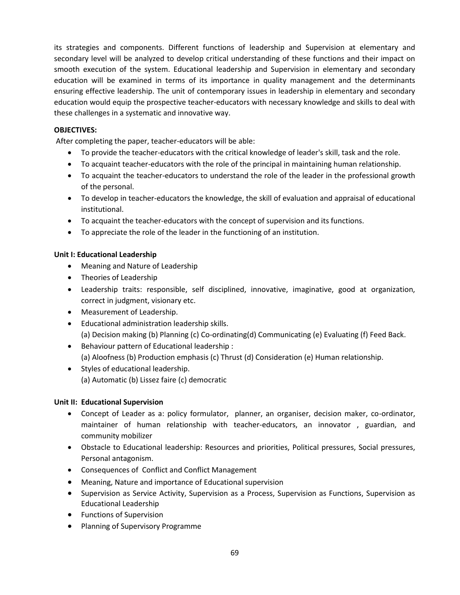its strategies and components. Different functions of leadership and Supervision at elementary and secondary level will be analyzed to develop critical understanding of these functions and their impact on smooth execution of the system. Educational leadership and Supervision in elementary and secondary education will be examined in terms of its importance in quality management and the determinants ensuring effective leadership. The unit of contemporary issues in leadership in elementary and secondary education would equip the prospective teacher-educators with necessary knowledge and skills to deal with these challenges in a systematic and innovative way.

### **OBJECTIVES:**

After completing the paper, teacher-educators will be able:

- To provide the teacher-educators with the critical knowledge of leader's skill, task and the role.
- To acquaint teacher-educators with the role of the principal in maintaining human relationship.
- To acquaint the teacher-educators to understand the role of the leader in the professional growth of the personal.
- To develop in teacher-educators the knowledge, the skill of evaluation and appraisal of educational institutional.
- To acquaint the teacher-educators with the concept of supervision and its functions.
- To appreciate the role of the leader in the functioning of an institution.

### **Unit I: Educational Leadership**

- Meaning and Nature of Leadership
- Theories of Leadership
- Leadership traits: responsible, self disciplined, innovative, imaginative, good at organization, correct in judgment, visionary etc.
- Measurement of Leadership.
- Educational administration leadership skills. (a) Decision making (b) Planning (c) Co-ordinating(d) Communicating (e) Evaluating (f) Feed Back.
- Behaviour pattern of Educational leadership : (a) Aloofness (b) Production emphasis (c) Thrust (d) Consideration (e) Human relationship.
- Styles of educational leadership. (a) Automatic (b) Lissez faire (c) democratic

### **Unit II: Educational Supervision**

- Concept of Leader as a: policy formulator, planner, an organiser, decision maker, co-ordinator, maintainer of human relationship with teacher-educators, an innovator , guardian, and community mobilizer
- Obstacle to Educational leadership: Resources and priorities, Political pressures, Social pressures, Personal antagonism.
- Consequences of Conflict and Conflict Management
- Meaning, Nature and importance of Educational supervision
- Supervision as Service Activity, Supervision as a Process, Supervision as Functions, Supervision as Educational Leadership
- Functions of Supervision
- Planning of Supervisory Programme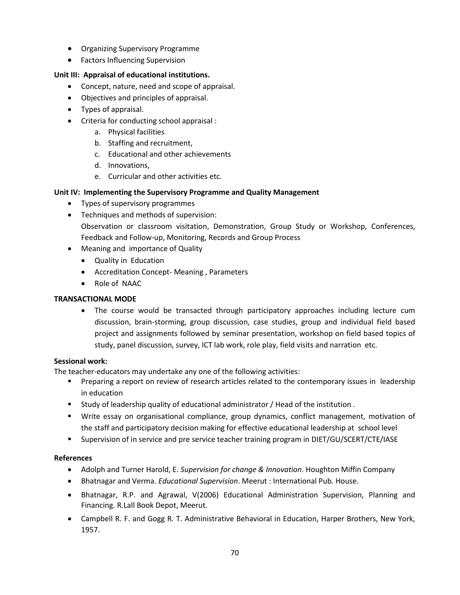- Organizing Supervisory Programme
- Factors Influencing Supervision

### **Unit III: Appraisal of educational institutions.**

- Concept, nature, need and scope of appraisal.
- Objectives and principles of appraisal.
- Types of appraisal.
- Criteria for conducting school appraisal :
	- a. Physical facilities
	- b. Staffing and recruitment,
	- c. Educational and other achievements
	- d. Innovations,
	- e. Curricular and other activities etc.

### **Unit IV: Implementing the Supervisory Programme and Quality Management**

- Types of supervisory programmes
- Techniques and methods of supervision: Observation or classroom visitation, Demonstration, Group Study or Workshop, Conferences, Feedback and Follow-up, Monitoring, Records and Group Process
- Meaning and importance of Quality
	- Quality in Education
	- Accreditation Concept- Meaning , Parameters
	- Role of NAAC

### **TRANSACTIONAL MODE**

• The course would be transacted through participatory approaches including lecture cum discussion, brain-storming, group discussion, case studies, group and individual field based project and assignments followed by seminar presentation, workshop on field based topics of study, panel discussion, survey, ICT lab work, role play, field visits and narration etc.

### **Sessional work:**

The teacher-educators may undertake any one of the following activities:

- **Preparing a report on review of research articles related to the contemporary issues in leadership** in education
- Study of leadership quality of educational administrator / Head of the institution .
- Write essay on organisational compliance, group dynamics, conflict management, motivation of the staff and participatory decision making for effective educational leadership at school level
- Supervision of in service and pre service teacher training program in DIET/GU/SCERT/CTE/IASE

## **References**

- Adolph and Turner Harold, E. *Supervision for change & Innovation*. Houghton Miffin Company
- Bhatnagar and Verma. *Educational Supervision*. Meerut : International Pub. House.
- Bhatnagar, R.P. and Agrawal, V(2006) Educational Administration Supervision, Planning and Financing. R.Lall Book Depot, Meerut.
- Campbell R. F. and Gogg R. T. Administrative Behavioral in Education, Harper Brothers, New York, 1957.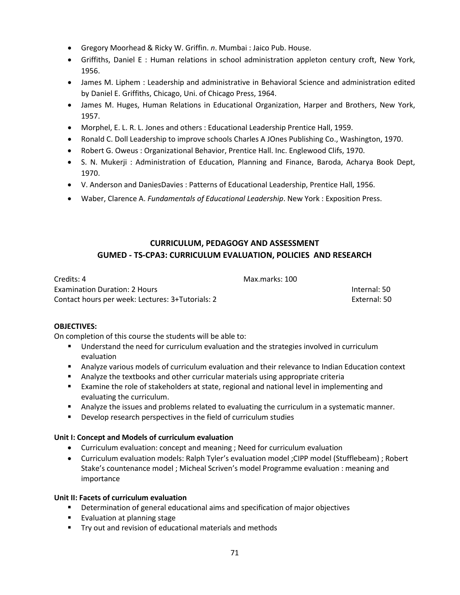- Gregory Moorhead & Ricky W. Griffin. *n*. Mumbai : Jaico Pub. House.
- Griffiths, Daniel E : Human relations in school administration appleton century croft, New York, 1956.
- James M. Liphem : Leadership and administrative in Behavioral Science and administration edited by Daniel E. Griffiths, Chicago, Uni. of Chicago Press, 1964.
- James M. Huges, Human Relations in Educational Organization, Harper and Brothers, New York, 1957.
- Morphel, E. L. R. L. Jones and others : Educational Leadership Prentice Hall, 1959.
- Ronald C. Doll Leadership to improve schools Charles A JOnes Publishing Co., Washington, 1970.
- Robert G. Oweus : Organizational Behavior, Prentice Hall. Inc. Englewood Clifs, 1970.
- S. N. Mukerji : Administration of Education, Planning and Finance, Baroda, Acharya Book Dept, 1970.
- V. Anderson and DaniesDavies : Patterns of Educational Leadership, Prentice Hall, 1956.
- Waber, Clarence A. *Fundamentals of Educational Leadership*. New York : Exposition Press.

# **CURRICULUM, PEDAGOGY AND ASSESSMENT GUMED - TS-CPA3: CURRICULUM EVALUATION, POLICIES AND RESEARCH**

| Credits: 4                                       | Max.marks: 100 |              |
|--------------------------------------------------|----------------|--------------|
| <b>Examination Duration: 2 Hours</b>             |                | Internal: 50 |
| Contact hours per week: Lectures: 3+Tutorials: 2 |                | External: 50 |

### **OBJECTIVES:**

On completion of this course the students will be able to:

- **Understand the need for curriculum evaluation and the strategies involved in curriculum** evaluation
- Analyze various models of curriculum evaluation and their relevance to Indian Education context
- Analyze the textbooks and other curricular materials using appropriate criteria
- Examine the role of stakeholders at state, regional and national level in implementing and evaluating the curriculum.
- **Analyze the issues and problems related to evaluating the curriculum in a systematic manner.**
- **Develop research perspectives in the field of curriculum studies**

### **Unit I: Concept and Models of curriculum evaluation**

- Curriculum evaluation: concept and meaning ; Need for curriculum evaluation
- Curriculum evaluation models: Ralph Tyler's evaluation model ; CIPP model (Stufflebeam) ; Robert Stake's countenance model ; Micheal Scriven's model Programme evaluation : meaning and importance

### **Unit II: Facets of curriculum evaluation**

- **•** Determination of general educational aims and specification of major objectives
- **Evaluation at planning stage**
- **Try out and revision of educational materials and methods**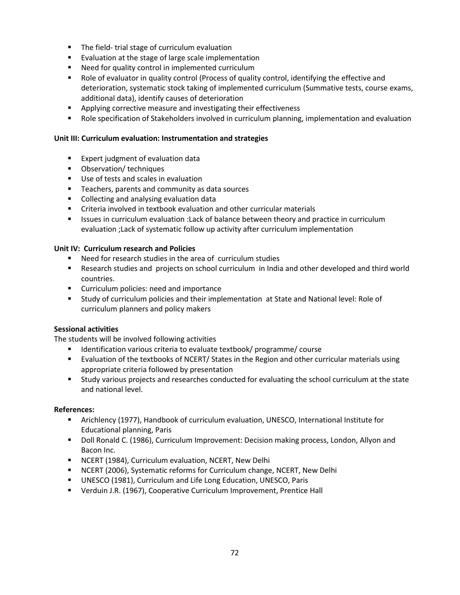- **The field- trial stage of curriculum evaluation**
- **EXALUATE:** Evaluation at the stage of large scale implementation
- Need for quality control in implemented curriculum
- Role of evaluator in quality control (Process of quality control, identifying the effective and deterioration, systematic stock taking of implemented curriculum (Summative tests, course exams, additional data), identify causes of deterioration
- **•** Applying corrective measure and investigating their effectiveness
- **Role specification of Stakeholders involved in curriculum planning, implementation and evaluation**

### **Unit III: Curriculum evaluation: Instrumentation and strategies**

- **Expert judgment of evaluation data**
- **•** Observation/ techniques
- Use of tests and scales in evaluation
- **Teachers, parents and community as data sources**
- **Collecting and analysing evaluation data**
- Criteria involved in textbook evaluation and other curricular materials
- **In Itsues in curriculum evaluation :Lack of balance between theory and practice in curriculum** evaluation ;Lack of systematic follow up activity after curriculum implementation

### **Unit IV: Curriculum research and Policies**

- Need for research studies in the area of curriculum studies
- Research studies and projects on school curriculum in India and other developed and third world countries.
- **EXECUTE: Curriculum policies: need and importance**
- Study of curriculum policies and their implementation at State and National level: Role of curriculum planners and policy makers

### **Sessional activities**

The students will be involved following activities

- Identification various criteria to evaluate textbook/ programme/ course
- **Exaluation of the textbooks of NCERT/ States in the Region and other curricular materials using** appropriate criteria followed by presentation
- Study various projects and researches conducted for evaluating the school curriculum at the state and national level.

### **References:**

- Arichlency (1977), Handbook of curriculum evaluation, UNESCO, International Institute for Educational planning, Paris
- Doll Ronald C. (1986), Curriculum Improvement: Decision making process, London, Allyon and Bacon Inc.
- **NCERT (1984), Curriculum evaluation, NCERT, New Delhi**
- **NCERT (2006), Systematic reforms for Curriculum change, NCERT, New Delhi**
- UNESCO (1981), Curriculum and Life Long Education, UNESCO, Paris
- Verduin J.R. (1967), Cooperative Curriculum Improvement, Prentice Hall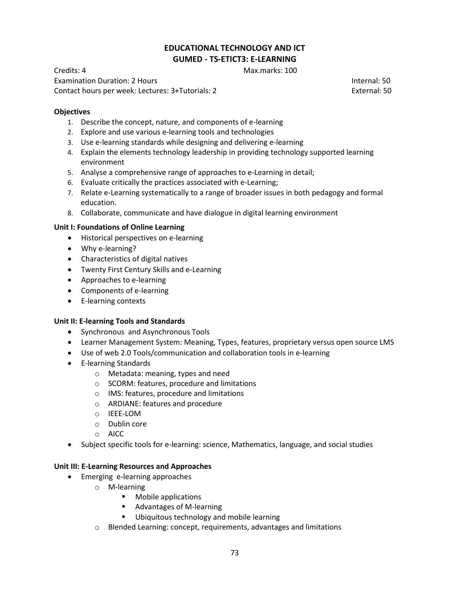## **EDUCATIONAL TECHNOLOGY AND ICT GUMED - TS-ETICT3: E-LEARNING**

Credits: 4 Max.marks: 100

Examination Duration: 2 Hours Internal: 50 Contact hours per week: Lectures: 3+Tutorials: 2 External: 50

**Objectives** 

- 1. Describe the concept, nature, and components of e-learning
- 2. Explore and use various e-learning tools and technologies
- 3. Use e-learning standards while designing and delivering e-learning
- 4. Explain the elements technology leadership in providing technology supported learning environment
- 5. Analyse a comprehensive range of approaches to e-Learning in detail;
- 6. Evaluate critically the practices associated with e-Learning;
- 7. Relate e-Learning systematically to a range of broader issues in both pedagogy and formal education.
- 8. Collaborate, communicate and have dialogue in digital learning environment

## **Unit I: Foundations of Online Learning**

- Historical perspectives on e-learning
- Why e-learning?
- Characteristics of digital natives
- Twenty First Century Skills and e-Learning
- Approaches to e-learning
- Components of e-learning
- E-learning contexts

## **Unit II: E-learning Tools and Standards**

- Synchronous and Asynchronous Tools
- Learner Management System: Meaning, Types, features, proprietary versus open source LMS
- Use of web 2.0 Tools/communication and collaboration tools in e-learning
- E-learning Standards
	- o Metadata: meaning, types and need
	- o SCORM: features, procedure and limitations
	- o IMS: features, procedure and limitations
	- o ARDIANE: features and procedure
	- o IEEE-LOM
	- o Dublin core
	- o AICC
- Subject specific tools for e-learning: science, Mathematics, language, and social studies

## **Unit III: E-Learning Resources and Approaches**

- Emerging e-learning approaches
	- o M-learning
		- **•** Mobile applications
		- Advantages of M-learning
		- **Ubiquitous technology and mobile learning**
	- o Blended Learning: concept, requirements, advantages and limitations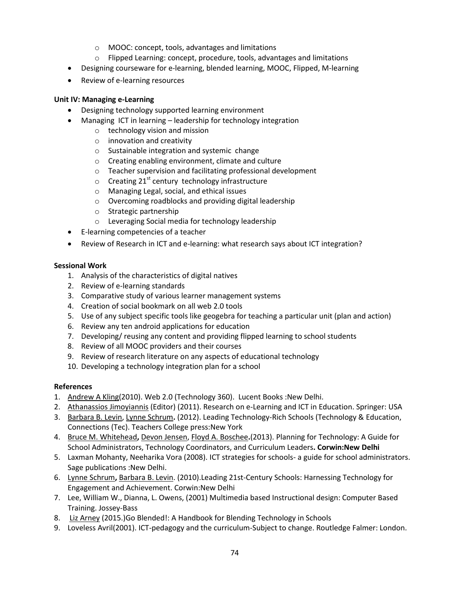- o MOOC: concept, tools, advantages and limitations
- o Flipped Learning: concept, procedure, tools, advantages and limitations
- Designing courseware for e-learning, blended learning, MOOC, Flipped, M-learning
- Review of e-learning resources

## **Unit IV: Managing e-Learning**

- Designing technology supported learning environment
	- Managing ICT in learning leadership for technology integration
		- o technology vision and mission
			- o innovation and creativity
			- o Sustainable integration and systemic change
			- o Creating enabling environment, climate and culture
			- o Teacher supervision and facilitating professional development
			- $\circ$  Creating 21<sup>st</sup> century technology infrastructure
			- o Managing Legal, social, and ethical issues
			- o Overcoming roadblocks and providing digital leadership
			- o Strategic partnership
			- o Leveraging Social media for technology leadership
- E-learning competencies of a teacher
- Review of Research in ICT and e-learning: what research says about ICT integration?

## **Sessional Work**

- 1. Analysis of the characteristics of digital natives
- 2. Review of e-learning standards
- 3. Comparative study of various learner management systems
- 4. Creation of social bookmark on all web 2.0 tools
- 5. Use of any subject specific tools like geogebra for teaching a particular unit (plan and action)
- 6. Review any ten android applications for education
- 7. Developing/ reusing any content and providing flipped learning to school students
- 8. Review of all MOOC providers and their courses
- 9. Review of research literature on any aspects of educational technology
- 10. Developing a technology integration plan for a school

## **References**

- 1. [Andrew A Kling\(](http://www.amazon.in/s/ref=dp_byline_sr_book_1?ie=UTF8&field-author=Andrew+A+Kling&search-alias=stripbooks)2010). Web 2.0 (Technology 360). Lucent Books :New Delhi.
- 2. [Athanassios Jimoyiannis](http://www.amazon.com/s/ref=dp_byline_sr_book_1?ie=UTF8&field-author=Athanassios+Jimoyiannis&search-alias=books&text=Athanassios+Jimoyiannis&sort=relevancerank) (Editor) (2011). Research on e-Learning and ICT in Education. Springer: USA
- 3. [Barbara B. Levin,](http://www.amazon.com/Barbara-B.-Levin/e/B001KIQMCQ/ref=dp_byline_cont_book_1) [Lynne Schrum](http://www.amazon.com/s/ref=dp_byline_sr_book_2?ie=UTF8&field-author=Lynne+Schrum&search-alias=books&text=Lynne+Schrum&sort=relevancerank)**.** (2012). Leading Technology-Rich Schools (Technology & Education, Connections (Tec). Teachers College press:New York
- 4. [Bruce M. Whitehead](http://www.amazon.com/Bruce-M.-Whitehead/e/B00BFXIXNW/ref=dp_byline_cont_book_1)**,** [Devon Jensen,](http://www.amazon.com/Devon-Jensen/e/B00N73832Y/ref=dp_byline_cont_book_2) [Floyd A. Boschee](http://www.amazon.com/s/ref=dp_byline_sr_book_3?ie=UTF8&field-author=Floyd+A.+Boschee&search-alias=books&text=Floyd+A.+Boschee&sort=relevancerank)**.**(2013). Planning for Technology: A Guide for School Administrators, Technology Coordinators, and Curriculum Leaders**. Corwin:New Delhi**
- 5. Laxman Mohanty, Neeharika Vora (2008). ICT strategies for schools- a guide for school administrators. Sage publications :New Delhi.
- 6. [Lynne Schrum](http://www.amazon.com/Lynne-Schrum/e/B002UAF7YM/ref=dp_byline_cont_book_1)**,** [Barbara B. Levin.](http://www.amazon.com/s/ref=dp_byline_sr_book_2?ie=UTF8&field-author=Barbara+B.+Levin&search-alias=books&text=Barbara+B.+Levin&sort=relevancerank) (2010).Leading 21st-Century Schools: Harnessing Technology for Engagement and Achievement. Corwin:New Delhi
- 7. Lee, William W., Dianna, L. Owens, (2001) Multimedia based Instructional design: Computer Based Training. Jossey-Bass
- 8. [Liz Arney](http://www.amazon.com/Liz-Arney/e/B00LORIBKE/ref=dp_byline_cont_book_1) (2015.)Go Blended!: A Handbook for Blending Technology in Schools
- 9. Loveless Avril(2001). ICT-pedagogy and the curriculum-Subject to change. Routledge Falmer: London.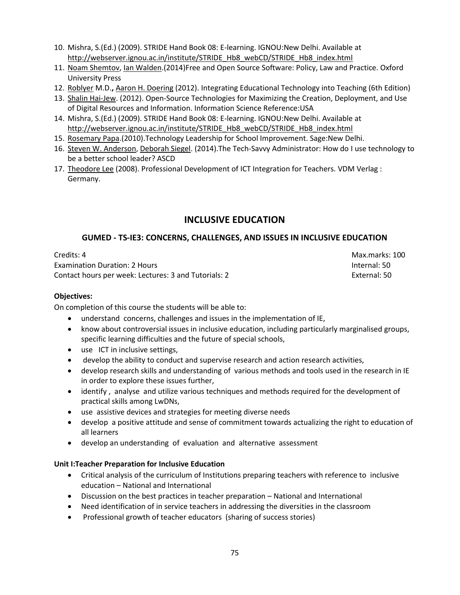- 10. Mishra, S.(Ed.) (2009). STRIDE Hand Book 08: E-learning. IGNOU:New Delhi. Available at [http://webserver.ignou.ac.in/institute/STRIDE\\_Hb8\\_webCD/STRIDE\\_Hb8\\_index.html](http://webserver.ignou.ac.in/institute/STRIDE_Hb8_webCD/STRIDE_Hb8_index.html)
- 11. [Noam Shemtov,](http://www.amazon.com/Noam-Shemtov/e/B00J549PFI/ref=dp_byline_cont_book_1) [Ian Walden.](http://www.amazon.com/s/ref=dp_byline_sr_book_2?ie=UTF8&field-author=Ian+Walden&search-alias=books&text=Ian+Walden&sort=relevancerank)(2014)Free and Open Source Software: Policy, Law and Practice. Oxford University Press
- 12. [Roblyer M](http://www.amazon.com/M.-D.-Roblyer/e/B001IGHIDW/ref=dp_byline_cont_book_1).D.**,** [Aaron H. Doering](http://www.amazon.com/s/ref=dp_byline_sr_book_2?ie=UTF8&field-author=Aaron+H.+Doering&search-alias=books&text=Aaron+H.+Doering&sort=relevancerank) (2012). Integrating Educational Technology into Teaching (6th Edition)
- 13. [Shalin Hai-Jew.](http://www.amazon.com/Shalin-Hai-Jew/e/B003DASUWO/ref=dp_byline_cont_book_1) (2012). Open-Source Technologies for Maximizing the Creation, Deployment, and Use of Digital Resources and Information. Information Science Reference:USA
- 14. Mishra, S.(Ed.) (2009). STRIDE Hand Book 08: E-learning. IGNOU:New Delhi. Available at [http://webserver.ignou.ac.in/institute/STRIDE\\_Hb8\\_webCD/STRIDE\\_Hb8\\_index.html](http://webserver.ignou.ac.in/institute/STRIDE_Hb8_webCD/STRIDE_Hb8_index.html)
- 15. [Rosemary Papa.](http://www.amazon.com/s/ref=dp_byline_sr_book_1?ie=UTF8&field-author=Rosemary+Papa&search-alias=books&text=Rosemary+Papa&sort=relevancerank)(2010).Technology Leadership for School Improvement. Sage:New Delhi.
- 16. [Steven W. Anderson,](http://www.amazon.com/s/ref=dp_byline_sr_book_1?ie=UTF8&field-author=Steven+W.+Anderson&search-alias=books&text=Steven+W.+Anderson&sort=relevancerank) [Deborah Siegel.](http://www.amazon.com/s/ref=dp_byline_sr_book_2?ie=UTF8&field-author=Deborah+Siegel&search-alias=books&text=Deborah+Siegel&sort=relevancerank) (2014).The Tech-Savvy Administrator: How do I use technology to be a better school leader? ASCD
- 17. [Theodore Lee \(](http://www.amazon.in/s/ref=dp_byline_sr_book_1?ie=UTF8&field-author=Theodore+Lee&search-alias=stripbooks)2008). Professional Development of ICT Integration for Teachers. VDM Verlag : Germany.

# **INCLUSIVE EDUCATION**

## **GUMED - TS-IE3: CONCERNS, CHALLENGES, AND ISSUES IN INCLUSIVE EDUCATION**

Credits: 4 Max.marks: 100 Examination Duration: 2 Hours Internal: 50 Contact hours per week: Lectures: 3 and Tutorials: 2 External: 50

## **Objectives:**

On completion of this course the students will be able to:

- understand concerns, challenges and issues in the implementation of IE,
- know about controversial issues in inclusive education, including particularly marginalised groups, specific learning difficulties and the future of special schools,
- use ICT in inclusive settings,
- develop the ability to conduct and supervise research and action research activities,
- develop research skills and understanding of various methods and tools used in the research in IE in order to explore these issues further,
- identify , analyse and utilize various techniques and methods required for the development of practical skills among LwDNs,
- use assistive devices and strategies for meeting diverse needs
- develop a positive attitude and sense of commitment towards actualizing the right to education of all learners
- develop an understanding of evaluation and alternative assessment

## **Unit I:Teacher Preparation for Inclusive Education**

- Critical analysis of the curriculum of Institutions preparing teachers with reference to inclusive education – National and International
- Discussion on the best practices in teacher preparation National and International
- Need identification of in service teachers in addressing the diversities in the classroom
- Professional growth of teacher educators (sharing of success stories)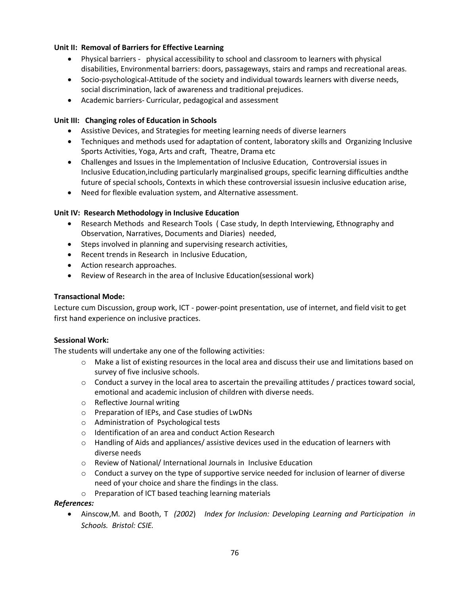## **Unit II: Removal of Barriers for Effective Learning**

- Physical barriers physical accessibility to school and classroom to learners with physical disabilities, Environmental barriers: doors, passageways, stairs and ramps and recreational areas.
- Socio-psychological-Attitude of the society and individual towards learners with diverse needs, social discrimination, lack of awareness and traditional prejudices.
- Academic barriers- Curricular, pedagogical and assessment

## **Unit III: Changing roles of Education in Schools**

- Assistive Devices, and Strategies for meeting learning needs of diverse learners
- Techniques and methods used for adaptation of content, laboratory skills and Organizing Inclusive Sports Activities, Yoga, Arts and craft, Theatre, Drama etc
- Challenges and Issues in the Implementation of Inclusive Education, Controversial issues in Inclusive Education,including particularly marginalised groups, specific learning difficulties andthe future of special schools, Contexts in which these controversial issuesin inclusive education arise,
- Need for flexible evaluation system, and Alternative assessment.

## **Unit IV: Research Methodology in Inclusive Education**

- Research Methods and Research Tools ( Case study, In depth Interviewing, Ethnography and Observation, Narratives, Documents and Diaries) needed,
- Steps involved in planning and supervising research activities,
- Recent trends in Research in Inclusive Education,
- Action research approaches.
- Review of Research in the area of Inclusive Education(sessional work)

#### **Transactional Mode:**

Lecture cum Discussion, group work, ICT - power-point presentation, use of internet, and field visit to get first hand experience on inclusive practices.

## **Sessional Work:**

The students will undertake any one of the following activities:

- o Make a list of existing resources in the local area and discuss their use and limitations based on survey of five inclusive schools.
- $\circ$  Conduct a survey in the local area to ascertain the prevailing attitudes / practices toward social, emotional and academic inclusion of children with diverse needs.
- o Reflective Journal writing
- o Preparation of IEPs, and Case studies of LwDNs
- o Administration of Psychological tests
- o Identification of an area and conduct Action Research
- $\circ$  Handling of Aids and appliances/ assistive devices used in the education of learners with diverse needs
- o Review of National/ International Journals in Inclusive Education
- $\circ$  Conduct a survey on the type of supportive service needed for inclusion of learner of diverse need of your choice and share the findings in the class.
- o Preparation of ICT based teaching learning materials

## *References:*

 Ainscow,M*.* and Booth, T *(2002*) *Index for Inclusion: Developing Learning and Participation in Schools. Bristol: CSIE.*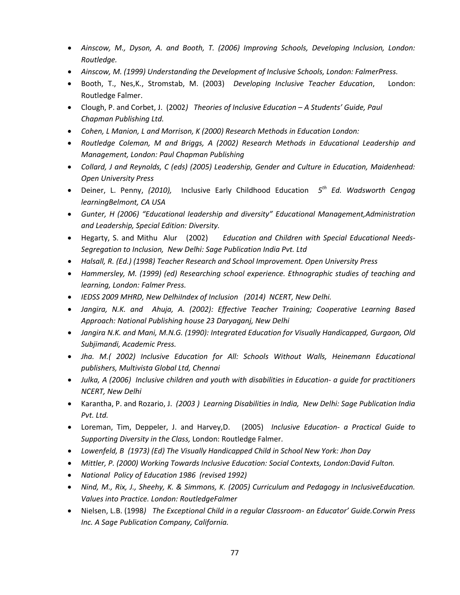- *Ainscow, M., Dyson, A. and Booth, T. (2006) Improving Schools, Developing Inclusion, London: Routledge.*
- *Ainscow, M. (1999) Understanding the Development of Inclusive Schools, London: FalmerPress.*
- Booth, T., Nes,K., Stromstab, M. (2003) *Developing Inclusive Teacher Education*, London: Routledge Falmer.
- Clough, P. and Corbet, J. (2002*) Theories of Inclusive Education – A Students' Guide, Paul Chapman Publishing Ltd.*
- *Cohen, L Manion, L and Morrison, K (2000) Research Methods in Education London:*
- *Routledge Coleman, M and Briggs, A (2002) Research Methods in Educational Leadership and Management, London: Paul Chapman Publishing*
- *Collard, J and Reynolds, C (eds) (2005) Leadership, Gender and Culture in Education, Maidenhead: Open University Press*
- Deiner, L. Penny, *(2010),* Inclusive Early Childhood Education *5 th Ed. Wadsworth Cengag learningBelmont, CA USA*
- Gunter, H (2006) "Educational leadership and diversity" Educational Management,Administration *and Leadership, Special Edition: Diversity.*
- Hegarty, S. and Mithu Alur (2002) *Education and Children with Special Educational Needs-Segregation to Inclusion, New Delhi: Sage Publication India Pvt. Ltd*
- *Halsall, R. (Ed.) (1998) Teacher Research and School Improvement. Open University Press*
- *Hammersley, M. (1999) (ed) Researching school experience. Ethnographic studies of teaching and learning, London: Falmer Press.*
- *IEDSS 2009 MHRD, New DelhiIndex of Inclusion (2014) NCERT, New Delhi.*
- *Jangira, N.K. and Ahuja, A. (2002): Effective Teacher Training; Cooperative Learning Based Approach: National Publishing house 23 Daryaganj, New Delhi*
- *Jangira N.K. and Mani, M.N.G. (1990): Integrated Education for Visually Handicapped, Gurgaon, Old Subjimandi, Academic Press.*
- *Jha. M.( 2002) Inclusive Education for All: Schools Without Walls, Heinemann Educational publishers, Multivista Global Ltd, Chennai*
- *Julka, A (2006) Inclusive children and youth with disabilities in Education- a guide for practitioners NCERT, New Delhi*
- Karantha, P. and Rozario, J. *(2003 ) Learning Disabilities in India, New Delhi: Sage Publication India Pvt. Ltd.*
- Loreman, Tim, Deppeler, J. and Harvey,D. (2005) *Inclusive Education- a Practical Guide to Supporting Diversity in the Class,* London: Routledge Falmer.
- *Lowenfeld, B (1973) (Ed) The Visually Handicapped Child in School New York: Jhon Day*
- *Mittler, P. (2000) Working Towards Inclusive Education: Social Contexts, London:David Fulton.*
- *National Policy of Education 1986 (revised 1992)*
- *Nind, M., Rix, J., Sheehy, K. & Simmons, K. (2005) Curriculum and Pedagogy in InclusiveEducation. Values into Practice. London: RoutledgeFalmer*
- Nielsen, L.B. (1998*) The Exceptional Child in a regular Classroom- an Educator' Guide.Corwin Press Inc. A Sage Publication Company, California.*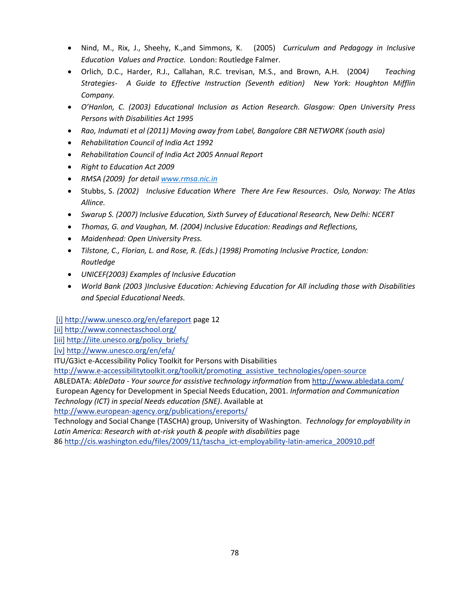- Nind, M., Rix, J., Sheehy, K.,and Simmons, K. (2005) *Curriculum and Pedagogy in Inclusive Education Values and Practice.* London: Routledge Falmer.
- Orlich, D.C., Harder, R.J., Callahan, R.C. trevisan, M.S., and Brown, A.H. (2004*) Teaching Strategies- A Guide to Effective Instruction (Seventh edition) New York: Houghton Mifflin Company.*
- *O'Hanlon, C. (2003) Educational Inclusion as Action Research. Glasgow: Open University Press Persons with Disabilities Act 1995*
- *Rao, Indumati et al (2011) Moving away from Label, Bangalore CBR NETWORK (south asia)*
- *Rehabilitation Council of India Act 1992*
- *Rehabilitation Council of India Act 2005 Annual Report*
- *Right to Education Act 2009*
- *RMSA (2009) for detail [www.rmsa.nic.in](http://www.rmsa.nic.in/)*
- Stubbs, S. *(2002) Inclusive Education Where There Are Few Resources*. *Oslo, Norway: The Atlas Allince.*
- *Swarup S. (2007) Inclusive Education, Sixth Survey of Educational Research, New Delhi: NCERT*
- *Thomas, G. and Vaughan, M. (2004) Inclusive Education: Readings and Reflections,*
- *Maidenhead: Open University Press.*
- *Tilstone, C., Florian, L. and Rose, R. (Eds.) (1998) Promoting Inclusive Practice, London: Routledge*
- *UNICEF(2003) Examples of Inclusive Education*
- *World Bank (2003 )Inclusive Education: Achieving Education for All including those with Disabilities and Special Educational Needs.*

[\[i\]](http://inova.snv.jussieu.fr/evenements/colloques/colloques/article.php?c=70&l=en&a=361#_ednref1) <http://www.unesco.org/en/efareport>page 12

[\[ii\]](http://inova.snv.jussieu.fr/evenements/colloques/colloques/article.php?c=70&l=en&a=361#_ednref2) <http://www.connectaschool.org/>

[\[iii\]](http://inova.snv.jussieu.fr/evenements/colloques/colloques/article.php?c=70&l=en&a=361#_ednref3) [http://iite.unesco.org/policy\\_briefs/](http://iite.unesco.org/policy_briefs/)

[\[iv\]](http://inova.snv.jussieu.fr/evenements/colloques/colloques/article.php?c=70&l=en&a=361#_ednref4) <http://www.unesco.org/en/efa/>

ITU/G3ict e-Accessibility Policy Toolkit for Persons with Disabilities

[http://www.e-accessibilitytoolkit.org/toolkit/promoting\\_assistive\\_technologies/open-source](http://www.e-accessibilitytoolkit.org/toolkit/promoting_assistive_technologies/open-source)

ABLEDATA: *AbleData - Your source for assistive technology information* fro[m http://www.abledata.com/](http://www.abledata.com/) European Agency for Development in Special Needs Education, 2001. *Information and Communication Technology (ICT) in special Needs education (SNE)*. Available at

<http://www.european-agency.org/publications/ereports/>

Technology and Social Change (TASCHA) group, University of Washington. *Technology for employability in*  Latin America: Research with at-risk youth & people with disabilities page

86 [http://cis.washington.edu/files/2009/11/tascha\\_ict-employability-latin-america\\_200910.pdf](http://cis.washington.edu/files/2009/11/tascha_ict-employability-latin-america_200910.pdf)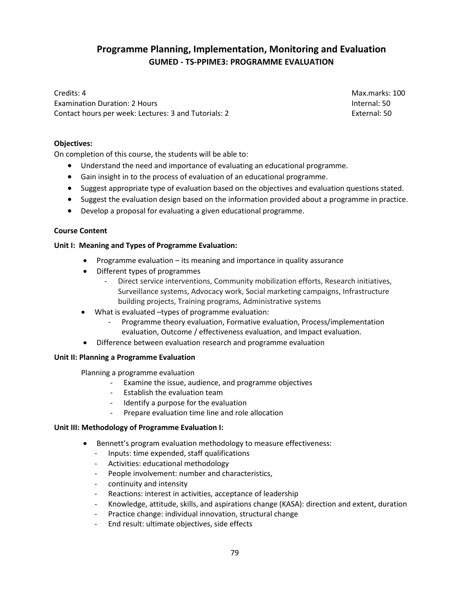# **Programme Planning, Implementation, Monitoring and Evaluation GUMED - TS-PPIME3: PROGRAMME EVALUATION**

Credits: 4 Max.marks: 100 Examination Duration: 2 Hours Internal: 50 Contact hours per week: Lectures: 3 and Tutorials: 2 External: 50

## **Objectives:**

On completion of this course, the students will be able to:

- Understand the need and importance of evaluating an educational programme.
- Gain insight in to the process of evaluation of an educational programme.
- Suggest appropriate type of evaluation based on the objectives and evaluation questions stated.
- Suggest the evaluation design based on the information provided about a programme in practice.
- Develop a proposal for evaluating a given educational programme.

## **Course Content**

## **Unit I: Meaning and Types of Programme Evaluation:**

- Programme evaluation its meaning and importance in quality assurance
- Different types of programmes
	- Direct service interventions, Community mobilization efforts, Research initiatives, Surveillance systems, Advocacy work, Social marketing campaigns, Infrastructure building projects, Training programs, Administrative systems
- What is evaluated –types of programme evaluation:
	- Programme theory evaluation, Formative evaluation, Process/implementation evaluation, Outcome / effectiveness evaluation, and Impact evaluation.
- Difference between evaluation research and programme evaluation

## **Unit II: Planning a Programme Evaluation**

Planning a programme evaluation

- Examine the issue, audience, and programme objectives
- Establish the evaluation team
- Identify a purpose for the evaluation
- Prepare evaluation time line and role allocation

## **Unit III: Methodology of Programme Evaluation I:**

- Bennett's program evaluation methodology to measure effectiveness:
	- Inputs: time expended, staff qualifications
	- Activities: educational methodology
	- People involvement: number and characteristics,
	- continuity and intensity
	- Reactions: interest in activities, acceptance of leadership
	- Knowledge, attitude, skills, and aspirations change (KASA): direction and extent, duration
	- Practice change: individual innovation, structural change
	- End result: ultimate objectives, side effects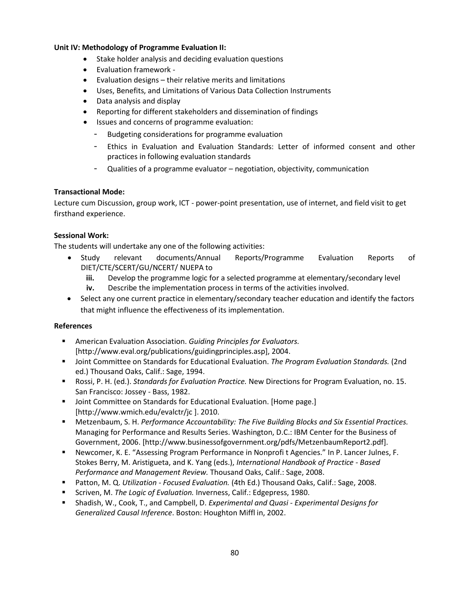## **Unit IV: Methodology of Programme Evaluation II:**

- Stake holder analysis and deciding evaluation questions
- Evaluation framework -
- Evaluation designs their relative merits and limitations
- Uses, Benefits, and Limitations of Various Data Collection Instruments
- Data analysis and display
- Reporting for different stakeholders and dissemination of findings
- Issues and concerns of programme evaluation:
	- Budgeting considerations for programme evaluation
	- Ethics in Evaluation and Evaluation Standards: Letter of informed consent and other practices in following evaluation standards
	- Qualities of a programme evaluator negotiation, objectivity, communication

## **Transactional Mode:**

Lecture cum Discussion, group work, ICT - power-point presentation, use of internet, and field visit to get firsthand experience.

## **Sessional Work:**

The students will undertake any one of the following activities:

- Study relevant documents/Annual Reports/Programme Evaluation Reports of DIET/CTE/SCERT/GU/NCERT/ NUEPA to
	- **iii.** Develop the programme logic for a selected programme at elementary/secondary level
	- **iv.** Describe the implementation process in terms of the activities involved.
- Select any one current practice in elementary/secondary teacher education and identify the factors that might influence the effectiveness of its implementation.

## **References**

- American Evaluation Association. *Guiding Principles for Evaluators.*  [http://www.eval.org/publications/guidingprinciples.asp], 2004.
- Joint Committee on Standards for Educational Evaluation. *The Program Evaluation Standards.* (2nd ed.) Thousand Oaks, Calif.: Sage, 1994.
- Rossi, P. H. (ed.). *Standards for Evaluation Practice.* New Directions for Program Evaluation, no. 15. San Francisco: Jossey - Bass, 1982.
- **Joint Committee on Standards for Educational Evaluation. [Home page.]** [http://www.wmich.edu/evalctr/jc ]. 2010.
- Metzenbaum, S. H. *Performance Accountability: The Five Building Blocks and Six Essential Practices.*  Managing for Performance and Results Series. Washington, D.C.: IBM Center for the Business of Government, 2006. [http://www.businessofgovernment.org/pdfs/MetzenbaumReport2.pdf].
- Newcomer, K. E. "Assessing Program Performance in Nonprofi t Agencies." In P. Lancer Julnes, F. Stokes Berry, M. Aristigueta, and K. Yang (eds.), *International Handbook of Practice - Based Performance and Management Review.* Thousand Oaks, Calif.: Sage, 2008.
- Patton, M. Q. *Utilization Focused Evaluation.* (4th Ed.) Thousand Oaks, Calif.: Sage, 2008.
- Scriven, M. *The Logic of Evaluation.* Inverness, Calif.: Edgepress, 1980.
- Shadish, W., Cook, T., and Campbell, D. *Experimental and Quasi Experimental Designs for Generalized Causal Inference*. Boston: Houghton Miffl in, 2002.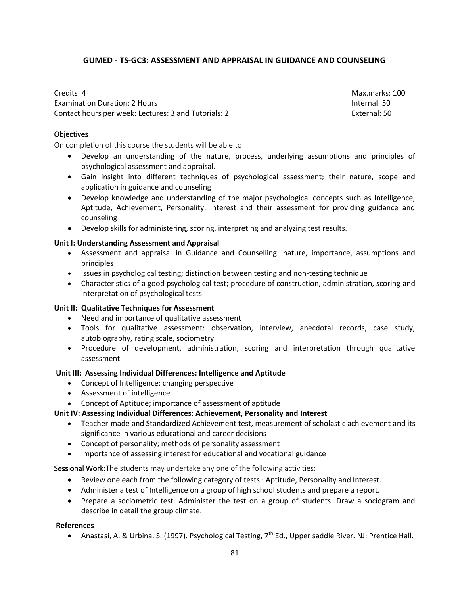## **GUMED - TS-GC3: ASSESSMENT AND APPRAISAL IN GUIDANCE AND COUNSELING**

Credits: 4 Max.marks: 100 Examination Duration: 2 Hours Internal: 50 Contact hours per week: Lectures: 3 and Tutorials: 2 External: 50

## **Objectives**

On completion of this course the students will be able to

- Develop an understanding of the nature, process, underlying assumptions and principles of psychological assessment and appraisal.
- Gain insight into different techniques of psychological assessment; their nature, scope and application in guidance and counseling
- Develop knowledge and understanding of the major psychological concepts such as Intelligence, Aptitude, Achievement, Personality, Interest and their assessment for providing guidance and counseling
- Develop skills for administering, scoring, interpreting and analyzing test results.

#### **Unit I: Understanding Assessment and Appraisal**

- Assessment and appraisal in Guidance and Counselling: nature, importance, assumptions and principles
- Issues in psychological testing; distinction between testing and non-testing technique
- Characteristics of a good psychological test; procedure of construction, administration, scoring and interpretation of psychological tests

## **Unit II: Qualitative Techniques for Assessment**

- Need and importance of qualitative assessment
- Tools for qualitative assessment: observation, interview, anecdotal records, case study, autobiography, rating scale, sociometry
- Procedure of development, administration, scoring and interpretation through qualitative assessment

## **Unit III: Assessing Individual Differences: Intelligence and Aptitude**

- Concept of Intelligence: changing perspective
- Assessment of intelligence
- Concept of Aptitude; importance of assessment of aptitude

## **Unit IV: Assessing Individual Differences: Achievement, Personality and Interest**

- Teacher-made and Standardized Achievement test, measurement of scholastic achievement and its significance in various educational and career decisions
- Concept of personality; methods of personality assessment
- Importance of assessing interest for educational and vocational guidance

Sessional Work: The students may undertake any one of the following activities:

- Review one each from the following category of tests : Aptitude, Personality and Interest.
- Administer a test of Intelligence on a group of high school students and prepare a report.
- Prepare a sociometric test. Administer the test on a group of students. Draw a sociogram and describe in detail the group climate.

## **References**

Anastasi, A. & Urbina, S. (1997). Psychological Testing,  $7<sup>th</sup>$  Ed., Upper saddle River. NJ: Prentice Hall.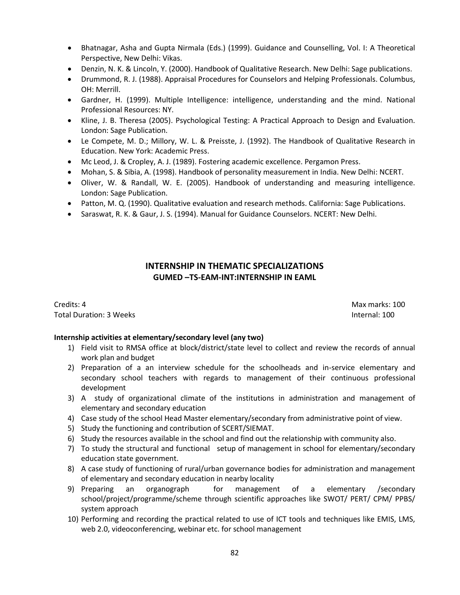- Bhatnagar, Asha and Gupta Nirmala (Eds.) (1999). Guidance and Counselling, Vol. I: A Theoretical Perspective, New Delhi: Vikas.
- Denzin, N. K. & Lincoln, Y. (2000). Handbook of Qualitative Research. New Delhi: Sage publications.
- Drummond, R. J. (1988). Appraisal Procedures for Counselors and Helping Professionals. Columbus, OH: Merrill.
- Gardner, H. (1999). Multiple Intelligence: intelligence, understanding and the mind. National Professional Resources: NY.
- Kline, J. B. Theresa (2005). Psychological Testing: A Practical Approach to Design and Evaluation. London: Sage Publication.
- Le Compete, M. D.; Millory, W. L. & Preisste, J. (1992). The Handbook of Qualitative Research in Education. New York: Academic Press.
- Mc Leod, J. & Cropley, A. J. (1989). Fostering academic excellence. Pergamon Press.
- Mohan, S. & Sibia, A. (1998). Handbook of personality measurement in India. New Delhi: NCERT.
- Oliver, W. & Randall, W. E. (2005). Handbook of understanding and measuring intelligence. London: Sage Publication.
- Patton, M. Q. (1990). Qualitative evaluation and research methods. California: Sage Publications.
- Saraswat, R. K. & Gaur, J. S. (1994). Manual for Guidance Counselors. NCERT: New Delhi.

# **INTERNSHIP IN THEMATIC SPECIALIZATIONS GUMED –TS-EAM-INT:INTERNSHIP IN EAML**

**Credits: 4** Max marks: 100 Total Duration: 3 Weeks **Internal: 100** 

## **Internship activities at elementary/secondary level (any two)**

- 1) Field visit to RMSA office at block/district/state level to collect and review the records of annual work plan and budget
- 2) Preparation of a an interview schedule for the schoolheads and in-service elementary and secondary school teachers with regards to management of their continuous professional development
- 3) A study of organizational climate of the institutions in administration and management of elementary and secondary education
- 4) Case study of the school Head Master elementary/secondary from administrative point of view.
- 5) Study the functioning and contribution of SCERT/SIEMAT.
- 6) Study the resources available in the school and find out the relationship with community also.
- 7) To study the structural and functional setup of management in school for elementary/secondary education state government.
- 8) A case study of functioning of rural/urban governance bodies for administration and management of elementary and secondary education in nearby locality
- 9) Preparing an organograph for management of a elementary /secondary school/project/programme/scheme through scientific approaches like SWOT/ PERT/ CPM/ PPBS/ system approach
- 10) Performing and recording the practical related to use of ICT tools and techniques like EMIS, LMS, web 2.0, videoconferencing, webinar etc. for school management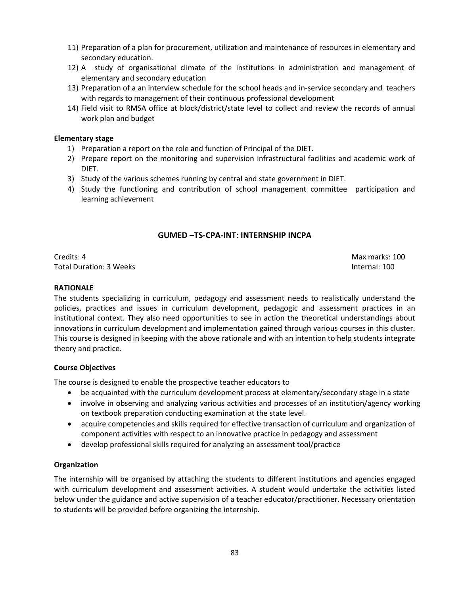- 11) Preparation of a plan for procurement, utilization and maintenance of resources in elementary and secondary education.
- 12) A study of organisational climate of the institutions in administration and management of elementary and secondary education
- 13) Preparation of a an interview schedule for the school heads and in-service secondary and teachers with regards to management of their continuous professional development
- 14) Field visit to RMSA office at block/district/state level to collect and review the records of annual work plan and budget

## **Elementary stage**

- 1) Preparation a report on the role and function of Principal of the DIET.
- 2) Prepare report on the monitoring and supervision infrastructural facilities and academic work of DIET.
- 3) Study of the various schemes running by central and state government in DIET.
- 4) Study the functioning and contribution of school management committee participation and learning achievement

## **GUMED –TS-CPA-INT: INTERNSHIP INCPA**

**Credits: 4** Max marks: 100 Total Duration: 3 Weeks **Internal: 100** 

## **RATIONALE**

The students specializing in curriculum, pedagogy and assessment needs to realistically understand the policies, practices and issues in curriculum development, pedagogic and assessment practices in an institutional context. They also need opportunities to see in action the theoretical understandings about innovations in curriculum development and implementation gained through various courses in this cluster. This course is designed in keeping with the above rationale and with an intention to help students integrate theory and practice.

## **Course Objectives**

The course is designed to enable the prospective teacher educators to

- be acquainted with the curriculum development process at elementary/secondary stage in a state
- involve in observing and analyzing various activities and processes of an institution/agency working on textbook preparation conducting examination at the state level.
- acquire competencies and skills required for effective transaction of curriculum and organization of component activities with respect to an innovative practice in pedagogy and assessment
- develop professional skills required for analyzing an assessment tool/practice

## **Organization**

The internship will be organised by attaching the students to different institutions and agencies engaged with curriculum development and assessment activities. A student would undertake the activities listed below under the guidance and active supervision of a teacher educator/practitioner. Necessary orientation to students will be provided before organizing the internship.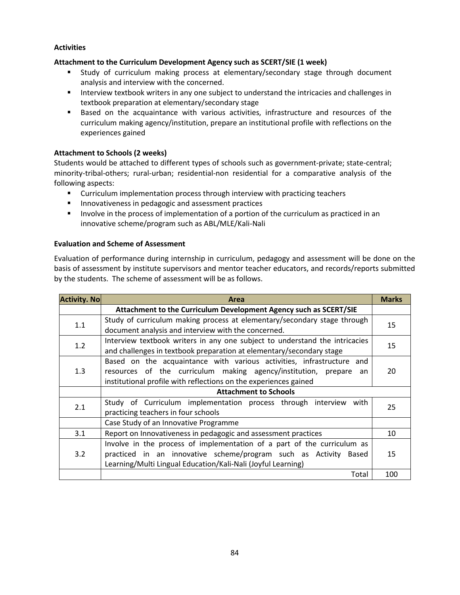## **Activities**

## **Attachment to the Curriculum Development Agency such as SCERT/SIE (1 week)**

- Study of curriculum making process at elementary/secondary stage through document analysis and interview with the concerned.
- **Interview textbook writers in any one subject to understand the intricacies and challenges in** textbook preparation at elementary/secondary stage
- Based on the acquaintance with various activities, infrastructure and resources of the curriculum making agency/institution, prepare an institutional profile with reflections on the experiences gained

## **Attachment to Schools (2 weeks)**

Students would be attached to different types of schools such as government-private; state-central; minority-tribal-others; rural-urban; residential-non residential for a comparative analysis of the following aspects:

- **EXECUTE:** Curriculum implementation process through interview with practicing teachers
- **Innovativeness in pedagogic and assessment practices**
- **Involve in the process of implementation of a portion of the curriculum as practiced in an** innovative scheme/program such as ABL/MLE/Kali-Nali

## **Evaluation and Scheme of Assessment**

Evaluation of performance during internship in curriculum, pedagogy and assessment will be done on the basis of assessment by institute supervisors and mentor teacher educators, and records/reports submitted by the students. The scheme of assessment will be as follows.

| <b>Activity. No</b> | Area                                                                                                                                                                                                              |     |  |  |  |
|---------------------|-------------------------------------------------------------------------------------------------------------------------------------------------------------------------------------------------------------------|-----|--|--|--|
|                     | Attachment to the Curriculum Development Agency such as SCERT/SIE                                                                                                                                                 |     |  |  |  |
| 1.1                 | Study of curriculum making process at elementary/secondary stage through<br>document analysis and interview with the concerned.                                                                                   |     |  |  |  |
| 1.2                 | Interview textbook writers in any one subject to understand the intricacies<br>and challenges in textbook preparation at elementary/secondary stage                                                               |     |  |  |  |
| 1.3                 | Based on the acquaintance with various activities, infrastructure and<br>resources of the curriculum making agency/institution, prepare<br>an<br>institutional profile with reflections on the experiences gained | 20  |  |  |  |
|                     | <b>Attachment to Schools</b>                                                                                                                                                                                      |     |  |  |  |
| 2.1                 | Study of Curriculum implementation process through interview with<br>practicing teachers in four schools                                                                                                          | 25  |  |  |  |
|                     | Case Study of an Innovative Programme                                                                                                                                                                             |     |  |  |  |
| 3.1                 | Report on Innovativeness in pedagogic and assessment practices                                                                                                                                                    |     |  |  |  |
| 3.2                 | Involve in the process of implementation of a part of the curriculum as<br>practiced in an innovative scheme/program such as Activity<br>Based<br>Learning/Multi Lingual Education/Kali-Nali (Joyful Learning)    | 15  |  |  |  |
|                     | Total                                                                                                                                                                                                             | 100 |  |  |  |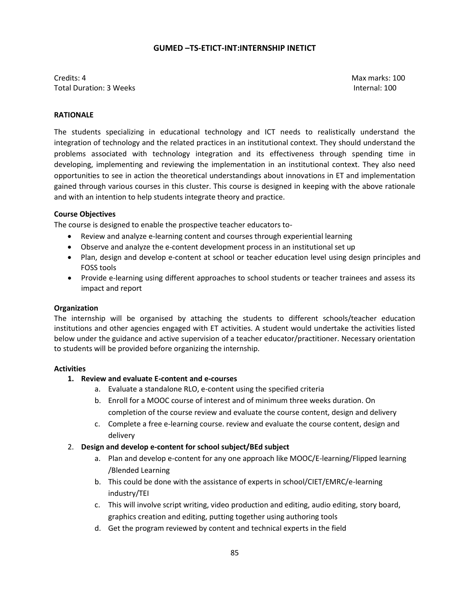#### **GUMED –TS-ETICT-INT:INTERNSHIP INETICT**

Credits: 4 Max marks: 100 Total Duration: 3 Weeks Internal: 100

#### **RATIONALE**

The students specializing in educational technology and ICT needs to realistically understand the integration of technology and the related practices in an institutional context. They should understand the problems associated with technology integration and its effectiveness through spending time in developing, implementing and reviewing the implementation in an institutional context. They also need opportunities to see in action the theoretical understandings about innovations in ET and implementation gained through various courses in this cluster. This course is designed in keeping with the above rationale and with an intention to help students integrate theory and practice.

#### **Course Objectives**

The course is designed to enable the prospective teacher educators to-

- Review and analyze e-learning content and courses through experiential learning
- Observe and analyze the e-content development process in an institutional set up
- Plan, design and develop e-content at school or teacher education level using design principles and FOSS tools
- Provide e-learning using different approaches to school students or teacher trainees and assess its impact and report

#### **Organization**

The internship will be organised by attaching the students to different schools/teacher education institutions and other agencies engaged with ET activities. A student would undertake the activities listed below under the guidance and active supervision of a teacher educator/practitioner. Necessary orientation to students will be provided before organizing the internship.

#### **Activities**

#### **1. Review and evaluate E-content and e-courses**

- a. Evaluate a standalone RLO, e-content using the specified criteria
- b. Enroll for a MOOC course of interest and of minimum three weeks duration. On completion of the course review and evaluate the course content, design and delivery
- c. Complete a free e-learning course. review and evaluate the course content, design and delivery
- 2. **Design and develop e-content for school subject/BEd subject**
	- a. Plan and develop e-content for any one approach like MOOC/E-learning/Flipped learning /Blended Learning
	- b. This could be done with the assistance of experts in school/CIET/EMRC/e-learning industry/TEI
	- c. This will involve script writing, video production and editing, audio editing, story board, graphics creation and editing, putting together using authoring tools
	- d. Get the program reviewed by content and technical experts in the field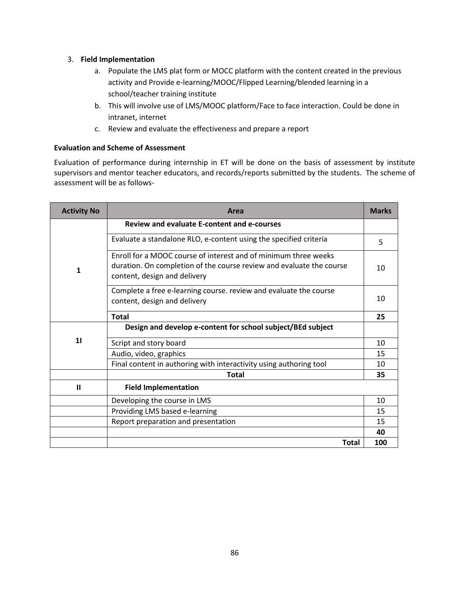## 3. **Field Implementation**

- a. Populate the LMS plat form or MOCC platform with the content created in the previous activity and Provide e-learning/MOOC/Flipped Learning/blended learning in a school/teacher training institute
- b. This will involve use of LMS/MOOC platform/Face to face interaction. Could be done in intranet, internet
- c. Review and evaluate the effectiveness and prepare a report

## **Evaluation and Scheme of Assessment**

Evaluation of performance during internship in ET will be done on the basis of assessment by institute supervisors and mentor teacher educators, and records/reports submitted by the students. The scheme of assessment will be as follows-

| <b>Activity No</b> | Area                                                                                                                                                                           | <b>Marks</b> |
|--------------------|--------------------------------------------------------------------------------------------------------------------------------------------------------------------------------|--------------|
|                    | <b>Review and evaluate E-content and e-courses</b>                                                                                                                             |              |
|                    | Evaluate a standalone RLO, e-content using the specified criteria                                                                                                              | 5            |
| 1                  | <b>Enroll for a MOOC course of interest and of minimum three weeks</b><br>duration. On completion of the course review and evaluate the course<br>content, design and delivery | 10           |
|                    | Complete a free e-learning course. review and evaluate the course<br>content, design and delivery                                                                              | 10           |
|                    | <b>Total</b>                                                                                                                                                                   | 25           |
|                    | Design and develop e-content for school subject/BEd subject                                                                                                                    |              |
| 11                 | Script and story board                                                                                                                                                         | 10           |
|                    | Audio, video, graphics                                                                                                                                                         | 15           |
|                    | Final content in authoring with interactivity using authoring tool                                                                                                             | 10           |
|                    | <b>Total</b>                                                                                                                                                                   | 35           |
| $\mathbf{u}$       | <b>Field Implementation</b>                                                                                                                                                    |              |
|                    | Developing the course in LMS                                                                                                                                                   | 10           |
|                    | Providing LMS based e-learning                                                                                                                                                 | 15           |
|                    | Report preparation and presentation                                                                                                                                            | 15           |
|                    |                                                                                                                                                                                | 40           |
|                    | <b>Total</b>                                                                                                                                                                   | 100          |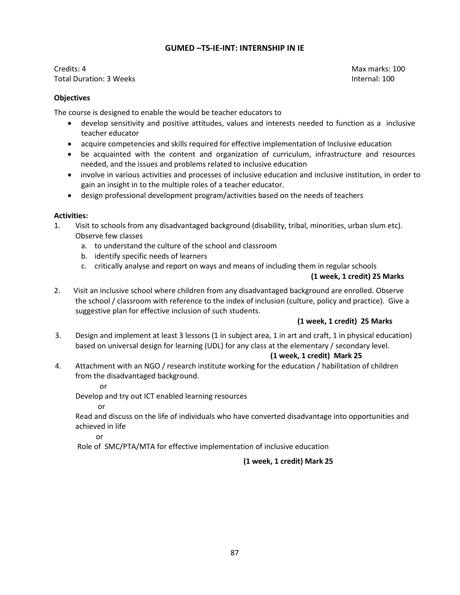## **GUMED –TS-IE-INT: INTERNSHIP IN IE**

Credits: 4 Max marks: 100 Total Duration: 3 Weeks Internal: 100

## **Objectives**

The course is designed to enable the would be teacher educators to

- develop sensitivity and positive attitudes, values and interests needed to function as a inclusive teacher educator
- acquire competencies and skills required for effective implementation of Inclusive education
- be acquainted with the content and organization of curriculum, infrastructure and resources needed, and the issues and problems related to inclusive education
- involve in various activities and processes of inclusive education and inclusive institution, in order to gain an insight in to the multiple roles of a teacher educator.
- design professional development program/activities based on the needs of teachers

## **Activities:**

- 1. Visit to schools from any disadvantaged background (disability, tribal, minorities, urban slum etc). Observe few classes
	- a. to understand the culture of the school and classroom
	- b. identify specific needs of learners
	- c. critically analyse and report on ways and means of including them in regular schools

## **(1 week, 1 credit) 25 Marks**

2. Visit an inclusive school where children from any disadvantaged background are enrolled. Observe the school / classroom with reference to the index of inclusion (culture, policy and practice). Give a suggestive plan for effective inclusion of such students.

## **(1 week, 1 credit) 25 Marks**

3. Design and implement at least 3 lessons (1 in subject area, 1 in art and craft, 1 in physical education) based on universal design for learning (UDL) for any class at the elementary / secondary level.

## **(1 week, 1 credit) Mark 25**

4. Attachment with an NGO / research institute working for the education / habilitation of children from the disadvantaged background.

or

Develop and try out ICT enabled learning resources

or

Read and discuss on the life of individuals who have converted disadvantage into opportunities and achieved in life

or

Role of SMC/PTA/MTA for effective implementation of inclusive education

## **(1 week, 1 credit) Mark 25**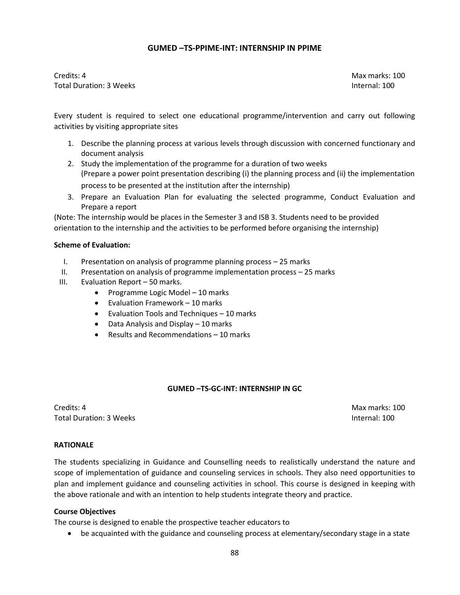## **GUMED –TS-PPIME-INT: INTERNSHIP IN PPIME**

Credits: 4 Max marks: 100 Total Duration: 3 Weeks Internal: 100

Every student is required to select one educational programme/intervention and carry out following activities by visiting appropriate sites

- 1. Describe the planning process at various levels through discussion with concerned functionary and document analysis
- 2. Study the implementation of the programme for a duration of two weeks (Prepare a power point presentation describing (i) the planning process and (ii) the implementation process to be presented at the institution after the internship)
- 3. Prepare an Evaluation Plan for evaluating the selected programme, Conduct Evaluation and Prepare a report

(Note: The internship would be places in the Semester 3 and ISB 3. Students need to be provided orientation to the internship and the activities to be performed before organising the internship)

#### **Scheme of Evaluation:**

- I. Presentation on analysis of programme planning process 25 marks
- II. Presentation on analysis of programme implementation process 25 marks
- III. Evaluation Report 50 marks.
	- Programme Logic Model  $-10$  marks
	- Evaluation Framework 10 marks
	- Evaluation Tools and Techniques 10 marks
	- Data Analysis and Display 10 marks
	- Results and Recommendations 10 marks

#### **GUMED –TS-GC-INT: INTERNSHIP IN GC**

**Credits: 4** Max marks: 100 Total Duration: 3 Weeks **Internal: 100** 

#### **RATIONALE**

The students specializing in Guidance and Counselling needs to realistically understand the nature and scope of implementation of guidance and counseling services in schools. They also need opportunities to plan and implement guidance and counseling activities in school. This course is designed in keeping with the above rationale and with an intention to help students integrate theory and practice.

#### **Course Objectives**

The course is designed to enable the prospective teacher educators to

be acquainted with the guidance and counseling process at elementary/secondary stage in a state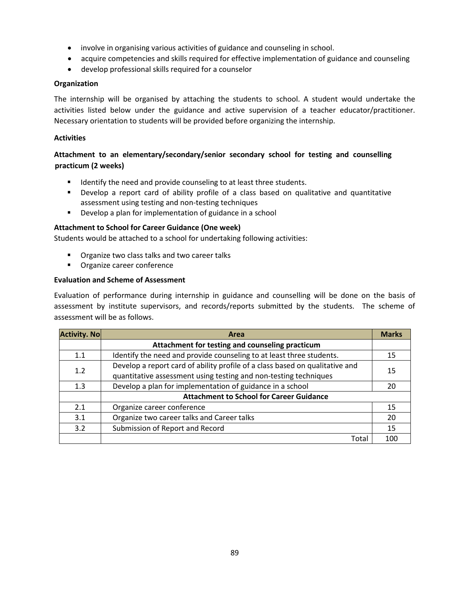- involve in organising various activities of guidance and counseling in school.
- acquire competencies and skills required for effective implementation of guidance and counseling
- develop professional skills required for a counselor

## **Organization**

The internship will be organised by attaching the students to school. A student would undertake the activities listed below under the guidance and active supervision of a teacher educator/practitioner. Necessary orientation to students will be provided before organizing the internship.

## **Activities**

## **Attachment to an elementary/secondary/senior secondary school for testing and counselling practicum (2 weeks)**

- **If all identify the need and provide counseling to at least three students.**
- Develop a report card of ability profile of a class based on qualitative and quantitative assessment using testing and non-testing techniques
- **Develop a plan for implementation of guidance in a school**

## **Attachment to School for Career Guidance (One week)**

Students would be attached to a school for undertaking following activities:

- **•** Organize two class talks and two career talks
- **•** Organize career conference

## **Evaluation and Scheme of Assessment**

Evaluation of performance during internship in guidance and counselling will be done on the basis of assessment by institute supervisors, and records/reports submitted by the students. The scheme of assessment will be as follows.

| <b>Activity. No</b> | Area                                                                         |     |  |  |
|---------------------|------------------------------------------------------------------------------|-----|--|--|
|                     | Attachment for testing and counseling practicum                              |     |  |  |
| 1.1                 | Identify the need and provide counseling to at least three students.         |     |  |  |
| 1.2                 | Develop a report card of ability profile of a class based on qualitative and |     |  |  |
|                     | quantitative assessment using testing and non-testing techniques             | 15  |  |  |
| 1.3                 | Develop a plan for implementation of guidance in a school                    | 20  |  |  |
|                     | <b>Attachment to School for Career Guidance</b>                              |     |  |  |
| 2.1                 | Organize career conference                                                   | 15  |  |  |
| 3.1                 | Organize two career talks and Career talks                                   | 20  |  |  |
| 3.2                 | Submission of Report and Record                                              | 15  |  |  |
|                     | Total                                                                        | 100 |  |  |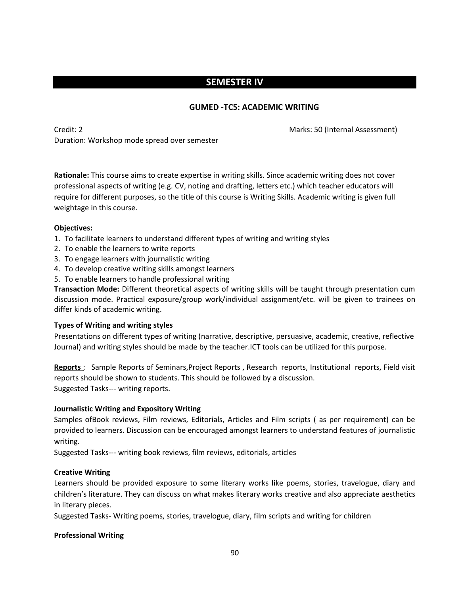# **SEMESTER IV**

## **GUMED -TC5: ACADEMIC WRITING**

Credit: 2 Marks: 50 (Internal Assessment) Duration: Workshop mode spread over semester

**Rationale:** This course aims to create expertise in writing skills. Since academic writing does not cover professional aspects of writing (e.g. CV, noting and drafting, letters etc.) which teacher educators will require for different purposes, so the title of this course is Writing Skills. Academic writing is given full weightage in this course.

## **Objectives:**

- 1. To facilitate learners to understand different types of writing and writing styles
- 2. To enable the learners to write reports
- 3. To engage learners with journalistic writing
- 4. To develop creative writing skills amongst learners
- 5. To enable learners to handle professional writing

**Transaction Mode:** Different theoretical aspects of writing skills will be taught through presentation cum discussion mode. Practical exposure/group work/individual assignment/etc. will be given to trainees on differ kinds of academic writing.

## **Types of Writing and writing styles**

Presentations on different types of writing (narrative, descriptive, persuasive, academic, creative, reflective Journal) and writing styles should be made by the teacher.ICT tools can be utilized for this purpose.

**Reports** ; Sample Reports of Seminars,Project Reports , Research reports, Institutional reports, Field visit reports should be shown to students. This should be followed by a discussion. Suggested Tasks--- writing reports.

## **Journalistic Writing and Expository Writing**

Samples ofBook reviews, Film reviews, Editorials, Articles and Film scripts ( as per requirement) can be provided to learners. Discussion can be encouraged amongst learners to understand features of journalistic writing.

Suggested Tasks--- writing book reviews, film reviews, editorials, articles

## **Creative Writing**

Learners should be provided exposure to some literary works like poems, stories, travelogue, diary and children's literature. They can discuss on what makes literary works creative and also appreciate aesthetics in literary pieces.

Suggested Tasks- Writing poems, stories, travelogue, diary, film scripts and writing for children

## **Professional Writing**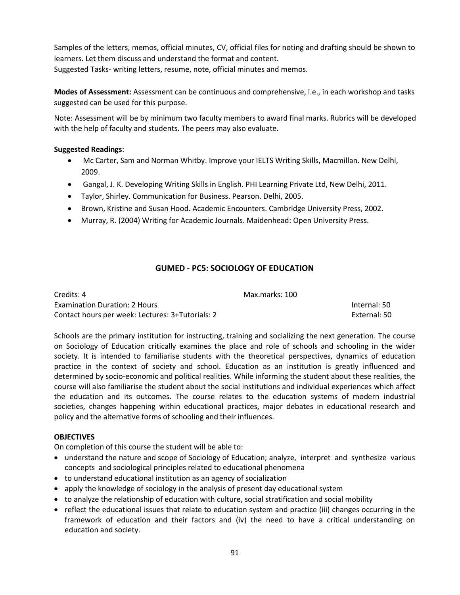Samples of the letters, memos, official minutes, CV, official files for noting and drafting should be shown to learners. Let them discuss and understand the format and content. Suggested Tasks- writing letters, resume, note, official minutes and memos.

**Modes of Assessment:** Assessment can be continuous and comprehensive, i.e., in each workshop and tasks suggested can be used for this purpose.

Note: Assessment will be by minimum two faculty members to award final marks. Rubrics will be developed with the help of faculty and students. The peers may also evaluate.

## **Suggested Readings**:

- Mc Carter, Sam and Norman Whitby. Improve your IELTS Writing Skills, Macmillan. New Delhi, 2009.
- Gangal, J. K. Developing Writing Skills in English. PHI Learning Private Ltd, New Delhi, 2011.
- Taylor, Shirley. Communication for Business. Pearson. Delhi, 2005.
- **Brown, Kristine and Susan Hood. Academic Encounters. Cambridge University Press, 2002.**
- Murray, R. (2004) Writing for Academic Journals. Maidenhead: Open University Press.

## **GUMED - PC5: SOCIOLOGY OF EDUCATION**

| Credits: 4                                       | Max.marks: 100 |              |
|--------------------------------------------------|----------------|--------------|
| <b>Examination Duration: 2 Hours</b>             |                | Internal: 50 |
| Contact hours per week: Lectures: 3+Tutorials: 2 |                | External: 50 |

Schools are the primary institution for instructing, training and socializing the next generation. The course on Sociology of Education critically examines the place and role of schools and schooling in the wider society. It is intended to familiarise students with the theoretical perspectives, dynamics of education practice in the context of society and school. Education as an institution is greatly influenced and determined by socio-economic and political realities. While informing the student about these realities, the course will also familiarise the student about the social institutions and individual experiences which affect the education and its outcomes. The course relates to the education systems of modern industrial societies, changes happening within educational practices, major debates in educational research and policy and the alternative forms of schooling and their influences.

## **OBJECTIVES**

On completion of this course the student will be able to:

- understand the nature and scope of Sociology of Education; analyze, interpret and synthesize various concepts and sociological principles related to educational phenomena
- to understand educational institution as an agency of socialization
- apply the knowledge of sociology in the analysis of present day educational system
- to analyze the relationship of education with culture, social stratification and social mobility
- reflect the educational issues that relate to education system and practice (iii) changes occurring in the framework of education and their factors and (iv) the need to have a critical understanding on education and society.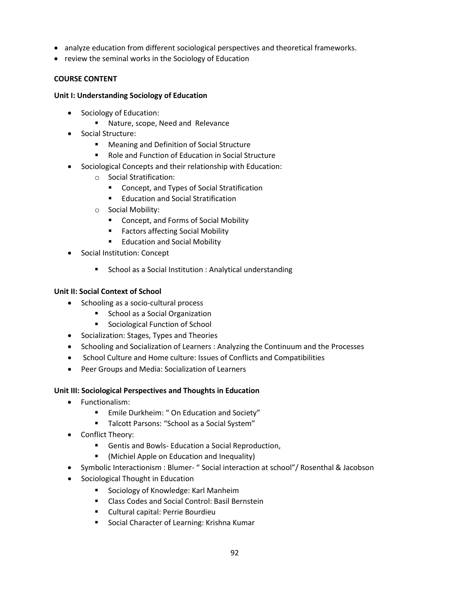- analyze education from different sociological perspectives and theoretical frameworks.
- review the seminal works in the Sociology of Education

## **COURSE CONTENT**

#### **Unit I: Understanding Sociology of Education**

- Sociology of Education:
	- **Nature, scope, Need and Relevance**
- Social Structure:
	- **Meaning and Definition of Social Structure**
	- Role and Function of Education in Social Structure
- Sociological Concepts and their relationship with Education:
	- o Social Stratification:
		- **Concept, and Types of Social Stratification**
		- **Education and Social Stratification**
	- o Social Mobility:
		- Concept, and Forms of Social Mobility
		- **Factors affecting Social Mobility**
		- **Education and Social Mobility**
- Social Institution: Concept
	- **School as a Social Institution : Analytical understanding**

## **Unit II: Social Context of School**

- Schooling as a socio-cultural process
	- **School as a Social Organization**
	- **Sociological Function of School**
- Socialization: Stages, Types and Theories
- Schooling and Socialization of Learners : Analyzing the Continuum and the Processes
- School Culture and Home culture: Issues of Conflicts and Compatibilities
- Peer Groups and Media: Socialization of Learners

## **Unit III: Sociological Perspectives and Thoughts in Education**

- Functionalism:
	- Emile Durkheim: " On Education and Society"
	- Talcott Parsons: "School as a Social System"
- Conflict Theory:
	- Gentis and Bowls- Education a Social Reproduction,
	- (Michiel Apple on Education and Inequality)
- Symbolic Interactionism : Blumer- " Social interaction at school"/ Rosenthal & Jacobson
- Sociological Thought in Education
	- **Sociology of Knowledge: Karl Manheim**
	- Class Codes and Social Control: Basil Bernstein
	- Cultural capital: Perrie Bourdieu
	- Social Character of Learning: Krishna Kumar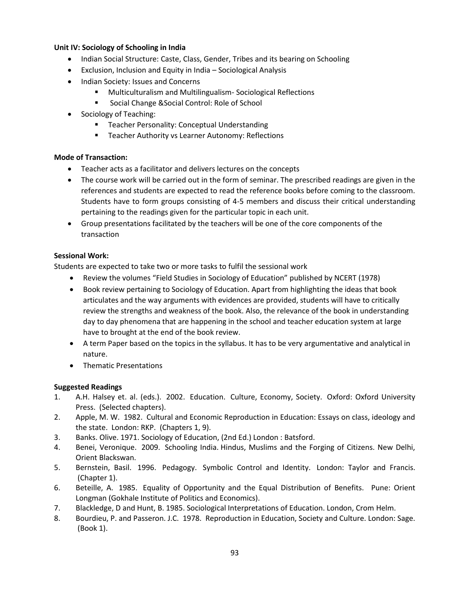## **Unit IV: Sociology of Schooling in India**

- Indian Social Structure: Caste, Class, Gender, Tribes and its bearing on Schooling
- Exclusion, Inclusion and Equity in India Sociological Analysis
- Indian Society: Issues and Concerns
	- **Multiculturalism and Multilingualism-Sociological Reflections**
	- **Social Change & Social Control: Role of School**
- Sociology of Teaching:
	- **Teacher Personality: Conceptual Understanding**
	- **Teacher Authority vs Learner Autonomy: Reflections**

## **Mode of Transaction:**

- Teacher acts as a facilitator and delivers lectures on the concepts
- The course work will be carried out in the form of seminar. The prescribed readings are given in the references and students are expected to read the reference books before coming to the classroom. Students have to form groups consisting of 4-5 members and discuss their critical understanding pertaining to the readings given for the particular topic in each unit.
- Group presentations facilitated by the teachers will be one of the core components of the transaction

## **Sessional Work:**

Students are expected to take two or more tasks to fulfil the sessional work

- Review the volumes "Field Studies in Sociology of Education" published by NCERT (1978)
- Book review pertaining to Sociology of Education. Apart from highlighting the ideas that book articulates and the way arguments with evidences are provided, students will have to critically review the strengths and weakness of the book. Also, the relevance of the book in understanding day to day phenomena that are happening in the school and teacher education system at large have to brought at the end of the book review.
- A term Paper based on the topics in the syllabus. It has to be very argumentative and analytical in nature.
- **•** Thematic Presentations

## **Suggested Readings**

- 1. A.H. Halsey et. al. (eds.). 2002. Education. Culture, Economy, Society. Oxford: Oxford University Press. (Selected chapters).
- 2. Apple, M. W. 1982. Cultural and Economic Reproduction in Education: Essays on class, ideology and the state. London: RKP. (Chapters 1, 9).
- 3. Banks. Olive. 1971. Sociology of Education, (2nd Ed.) London : Batsford.
- 4. Benei, Veronique. 2009. Schooling India. Hindus, Muslims and the Forging of Citizens. New Delhi, Orient Blackswan.
- 5. Bernstein, Basil. 1996. Pedagogy. Symbolic Control and Identity. London: Taylor and Francis. (Chapter 1).
- 6. Beteille, A. 1985. Equality of Opportunity and the Equal Distribution of Benefits. Pune: Orient Longman (Gokhale Institute of Politics and Economics).
- 7. Blackledge, D and Hunt, B. 1985. Sociological Interpretations of Education. London, Crom Helm.
- 8. Bourdieu, P. and Passeron. J.C. 1978. Reproduction in Education, Society and Culture. London: Sage. (Book 1).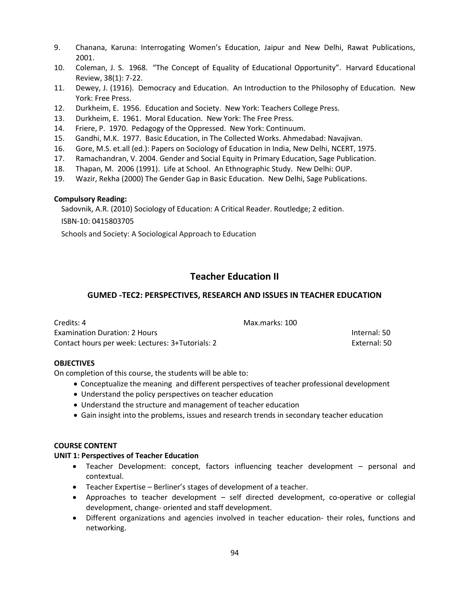- 9. Chanana, Karuna: Interrogating Women's Education, Jaipur and New Delhi, Rawat Publications, 2001.
- 10. Coleman, J. S. 1968. "The Concept of Equality of Educational Opportunity". Harvard Educational Review, 38(1): 7-22.
- 11. Dewey, J. (1916). Democracy and Education. An Introduction to the Philosophy of Education. New York: Free Press.
- 12. Durkheim, E. 1956. Education and Society. New York: Teachers College Press.
- 13. Durkheim, E. 1961. Moral Education. New York: The Free Press.
- 14. Friere, P. 1970. Pedagogy of the Oppressed. New York: Continuum.
- 15. Gandhi, M.K. 1977. Basic Education, in The Collected Works. Ahmedabad: Navajivan.
- 16. Gore, M.S. et.all (ed.): Papers on Sociology of Education in India, New Delhi, NCERT, 1975.
- 17. Ramachandran, V. 2004. Gender and Social Equity in Primary Education, Sage Publication.
- 18. Thapan, M. 2006 (1991). Life at School. An Ethnographic Study. New Delhi: OUP.
- 19. Wazir, Rekha (2000) The Gender Gap in Basic Education. New Delhi, Sage Publications.

#### **Compulsory Reading:**

Sadovnik, A.R. (2010) Sociology of Education: A Critical Reader. Routledge; 2 edition. ISBN-10: 0415803705

Schools and Society: A Sociological Approach to Education

# **Teacher Education II**

## **GUMED -TEC2: PERSPECTIVES, RESEARCH AND ISSUES IN TEACHER EDUCATION**

| Credits: 4                                       | Max.marks: 100 |              |
|--------------------------------------------------|----------------|--------------|
| Examination Duration: 2 Hours                    |                | Internal: 50 |
| Contact hours per week: Lectures: 3+Tutorials: 2 |                | External: 50 |

#### **OBJECTIVES**

On completion of this course, the students will be able to:

- Conceptualize the meaning and different perspectives of teacher professional development
- Understand the policy perspectives on teacher education
- Understand the structure and management of teacher education
- Gain insight into the problems, issues and research trends in secondary teacher education

#### **COURSE CONTENT**

#### **UNIT 1: Perspectives of Teacher Education**

- Teacher Development: concept, factors influencing teacher development personal and contextual.
- Teacher Expertise Berliner's stages of development of a teacher.
- Approaches to teacher development self directed development, co-operative or collegial development, change- oriented and staff development.
- Different organizations and agencies involved in teacher education- their roles, functions and networking.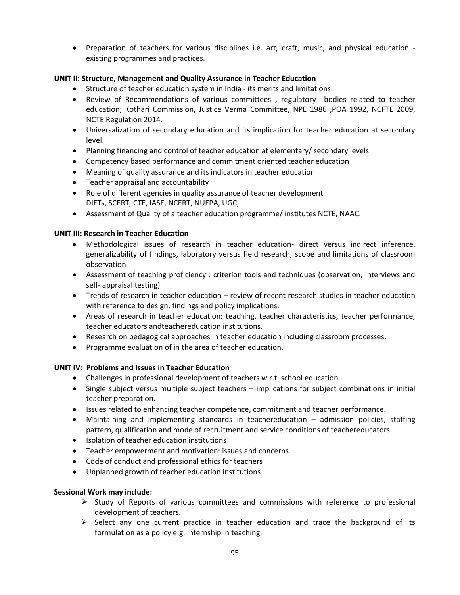Preparation of teachers for various disciplines i.e. art, craft, music, and physical education existing programmes and practices.

## **UNIT II: Structure, Management and Quality Assurance in Teacher Education**

- Structure of teacher education system in India its merits and limitations.
- Review of Recommendations of various committees , regulatory bodies related to teacher education; Kothari Commission, Justice Verma Committee, NPE 1986 ,POA 1992, NCFTE 2009, NCTE Regulation 2014.
- Universalization of secondary education and its implication for teacher education at secondary level.
- Planning financing and control of teacher education at elementary/ secondary levels
- Competency based performance and commitment oriented teacher education
- Meaning of quality assurance and its indicators in teacher education
- Teacher appraisal and accountability
- Role of different agencies in quality assurance of teacher development DIETs, SCERT, CTE, IASE, NCERT, NUEPA, UGC,
- Assessment of Quality of a teacher education programme/ institutes NCTE, NAAC.

## **UNIT III: Research in Teacher Education**

- Methodological issues of research in teacher education- direct versus indirect inference, generalizability of findings, laboratory versus field research, scope and limitations of classroom observation
- Assessment of teaching proficiency : criterion tools and techniques (observation, interviews and self- appraisal testing)
- Trends of research in teacher education review of recent research studies in teacher education with reference to design, findings and policy implications.
- Areas of research in teacher education: teaching, teacher characteristics, teacher performance, teacher educators andteachereducation institutions.
- Research on pedagogical approaches in teacher education including classroom processes.
- Programme evaluation of in the area of teacher education.

## **UNIT IV: Problems and Issues in Teacher Education**

- Challenges in professional development of teachers w.r.t. school education
- Single subject versus multiple subject teachers implications for subject combinations in initial teacher preparation.
- Issues related to enhancing teacher competence, commitment and teacher performance.
- Maintaining and implementing standards in teachereducation admission policies, staffing pattern, qualification and mode of recruitment and service conditions of teachereducators.
- Isolation of teacher education institutions
- Teacher empowerment and motivation: issues and concerns
- Code of conduct and professional ethics for teachers
- Unplanned growth of teacher education institutions

## **Sessional Work may include:**

- $\triangleright$  Study of Reports of various committees and commissions with reference to professional development of teachers.
- $\triangleright$  Select any one current practice in teacher education and trace the background of its formulation as a policy e.g. Internship in teaching.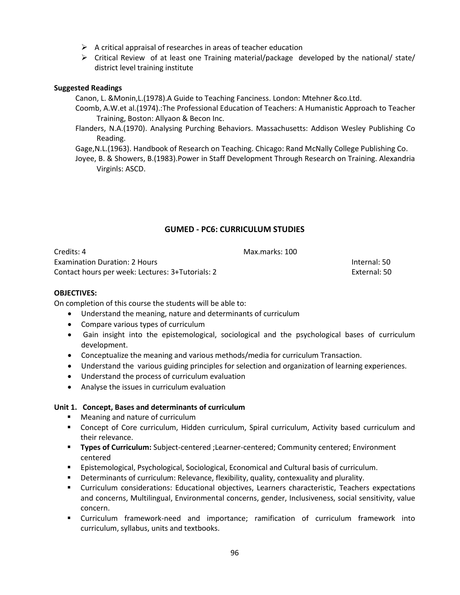- $\triangleright$  A critical appraisal of researches in areas of teacher education
- $\triangleright$  Critical Review of at least one Training material/package developed by the national/ state/ district level training institute

#### **Suggested Readings**

Canon, L. &Monin,L.(1978).A Guide to Teaching Fanciness. London: Mtehner &co.Ltd.

Coomb, A.W.et al.(1974).:The Professional Education of Teachers: A Humanistic Approach to Teacher Training, Boston: Allyaon & Becon Inc.

Flanders, N.A.(1970). Analysing Purching Behaviors. Massachusetts: Addison Wesley Publishing Co Reading.

Gage,N.L.(1963). Handbook of Research on Teaching. Chicago: Rand McNally College Publishing Co.

Joyee, B. & Showers, B.(1983).Power in Staff Development Through Research on Training. Alexandria Virginls: ASCD.

## **GUMED - PC6: CURRICULUM STUDIES**

Credits: 4 Max.marks: 100 Examination Duration: 2 Hours Internal: 50 Contact hours per week: Lectures: 3+Tutorials: 2 External: 50

#### **OBJECTIVES:**

On completion of this course the students will be able to:

- Understand the meaning, nature and determinants of curriculum
- Compare various types of curriculum
- Gain insight into the epistemological, sociological and the psychological bases of curriculum development.
- Conceptualize the meaning and various methods/media for curriculum Transaction.
- Understand the various guiding principles for selection and organization of learning experiences.
- Understand the process of curriculum evaluation
- Analyse the issues in curriculum evaluation

## **Unit 1. Concept, Bases and determinants of curri**c**ulum**

- **Meaning and nature of curriculum**
- Concept of Core curriculum, Hidden curriculum, Spiral curriculum, Activity based curriculum and their relevance.
- **Types of Curriculum:** Subject-centered ; Learner-centered; Community centered; Environment centered
- Epistemological, Psychological, Sociological, Economical and Cultural basis of curriculum.
- **Determinants of curriculum: Relevance, flexibility, quality, contexuality and plurality.**
- Curriculum considerations: Educational objectives, Learners characteristic, Teachers expectations and concerns, Multilingual, Environmental concerns, gender, Inclusiveness, social sensitivity, value concern.
- Curriculum framework-need and importance; ramification of curriculum framework into curriculum, syllabus, units and textbooks.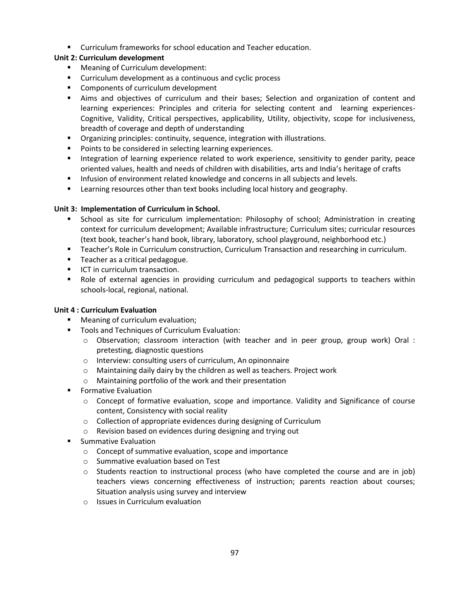Curriculum frameworks for school education and Teacher education.

## **Unit 2: Curriculum development**

- **Meaning of Curriculum development:**
- **Curriculum development as a continuous and cyclic process**
- **Components of curriculum development**
- Aims and objectives of curriculum and their bases; Selection and organization of content and learning experiences: Principles and criteria for selecting content and learning experiences-Cognitive, Validity, Critical perspectives, applicability, Utility, objectivity, scope for inclusiveness, breadth of coverage and depth of understanding
- **•** Organizing principles: continuity, sequence, integration with illustrations.
- **Points to be considered in selecting learning experiences.**
- Integration of learning experience related to work experience, sensitivity to gender parity, peace oriented values, health and needs of children with disabilities, arts and India's heritage of crafts
- **Infusion of environment related knowledge and concerns in all subjects and levels.**
- **EXECT** Learning resources other than text books including local history and geography.

## **Unit 3: Implementation of Curriculum in School.**

- **School as site for curriculum implementation: Philosophy of school; Administration in creating** context for curriculum development; Available infrastructure; Curriculum sites; curricular resources (text book, teacher͛s hand book, library, laboratory, school playground, neighborhood etc.)
- **Teacher's Role in Curriculum construction, Curriculum Transaction and researching in curriculum.**
- **Teacher as a critical pedagogue.**
- **ICT in curriculum transaction.**
- **•** Role of external agencies in providing curriculum and pedagogical supports to teachers within schools-local, regional, national.

## **Unit 4 : Curriculum Evaluation**

- Meaning of curriculum evaluation;
- **Tools and Techniques of Curriculum Evaluation:** 
	- o Observation; classroom interaction (with teacher and in peer group, group work) Oral : pretesting, diagnostic questions
	- o Interview: consulting users of curriculum, An opinonnaire
	- $\circ$  Maintaining daily dairy by the children as well as teachers. Project work
	- o Maintaining portfolio of the work and their presentation
- **F** Formative Evaluation
	- o Concept of formative evaluation, scope and importance. Validity and Significance of course content, Consistency with social reality
	- o Collection of appropriate evidences during designing of Curriculum
	- o Revision based on evidences during designing and trying out
- Summative Evaluation
	- o Concept of summative evaluation, scope and importance
	- o Summative evaluation based on Test
	- $\circ$  Students reaction to instructional process (who have completed the course and are in job) teachers views concerning effectiveness of instruction; parents reaction about courses; Situation analysis using survey and interview
	- o Issues in Curriculum evaluation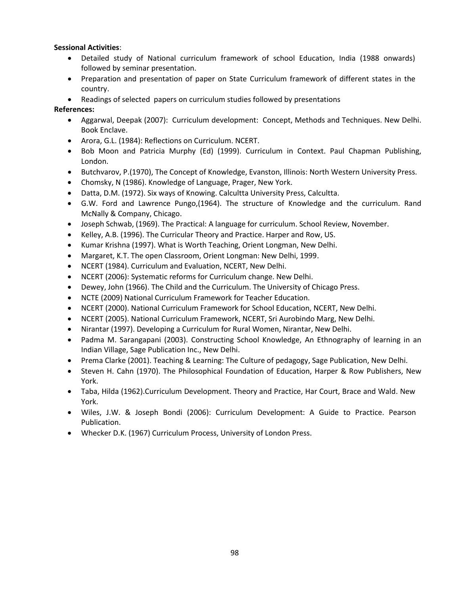## **Sessional Activities**:

- Detailed study of National curriculum framework of school Education, India (1988 onwards) followed by seminar presentation.
- Preparation and presentation of paper on State Curriculum framework of different states in the country.
- Readings of selected papers on curriculum studies followed by presentations

## **References:**

- Aggarwal, Deepak (2007): Curriculum development: Concept, Methods and Techniques. New Delhi. Book Enclave.
- Arora, G.L. (1984): Reflections on Curriculum. NCERT.
- Bob Moon and Patricia Murphy (Ed) (1999). Curriculum in Context. Paul Chapman Publishing, London.
- Butchvarov, P.(1970), The Concept of Knowledge, Evanston, Illinois: North Western University Press.
- Chomsky, N (1986). Knowledge of Language, Prager, New York.
- Datta, D.M. (1972). Six ways of Knowing. Calcultta University Press, Calcultta.
- G.W. Ford and Lawrence Pungo,(1964). The structure of Knowledge and the curriculum. Rand McNally & Company, Chicago.
- Joseph Schwab, (1969). The Practical: A language for curriculum. School Review, November.
- Kelley, A.B. (1996). The Curricular Theory and Practice. Harper and Row, US.
- Kumar Krishna (1997). What is Worth Teaching, Orient Longman, New Delhi.
- Margaret, K.T. The open Classroom, Orient Longman: New Delhi, 1999.
- NCERT (1984). Curriculum and Evaluation, NCERT, New Delhi.
- NCERT (2006): Systematic reforms for Curriculum change. New Delhi.
- Dewey, John (1966). The Child and the Curriculum. The University of Chicago Press.
- NCTE (2009) National Curriculum Framework for Teacher Education.
- NCERT (2000). National Curriculum Framework for School Education, NCERT, New Delhi.
- NCERT (2005). National Curriculum Framework, NCERT, Sri Aurobindo Marg, New Delhi.
- Nirantar (1997). Developing a Curriculum for Rural Women, Nirantar, New Delhi.
- Padma M. Sarangapani (2003). Constructing School Knowledge, An Ethnography of learning in an Indian Village, Sage Publication Inc., New Delhi.
- Prema Clarke (2001). Teaching & Learning: The Culture of pedagogy, Sage Publication, New Delhi.
- Steven H. Cahn (1970). The Philosophical Foundation of Education, Harper & Row Publishers, New York.
- Taba, Hilda (1962).Curriculum Development. Theory and Practice, Har Court, Brace and Wald. New York.
- Wiles, J.W. & Joseph Bondi (2006): Curriculum Development: A Guide to Practice. Pearson Publication.
- Whecker D.K. (1967) Curriculum Process, University of London Press.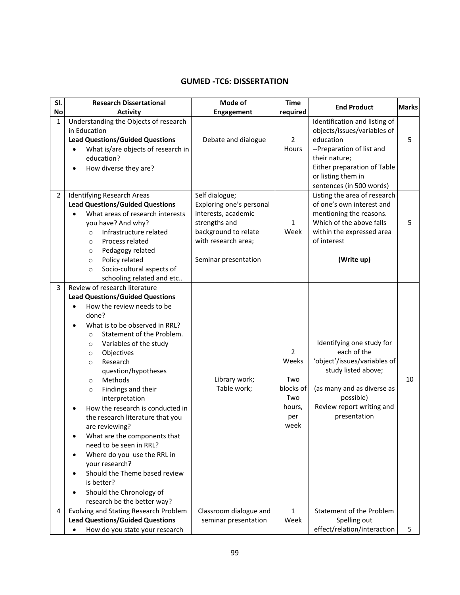## **GUMED -TC6: DISSERTATION**

| SI.            | <b>Research Dissertational</b>                                                                                                                                                                                                                                                                                                                                                                                                                                                                                                                                                                                                                                                                                                                    | Mode of                                                                                                                           | <b>Time</b>                                                                 |                                                                                                                                                                                                          | <b>Marks</b> |
|----------------|---------------------------------------------------------------------------------------------------------------------------------------------------------------------------------------------------------------------------------------------------------------------------------------------------------------------------------------------------------------------------------------------------------------------------------------------------------------------------------------------------------------------------------------------------------------------------------------------------------------------------------------------------------------------------------------------------------------------------------------------------|-----------------------------------------------------------------------------------------------------------------------------------|-----------------------------------------------------------------------------|----------------------------------------------------------------------------------------------------------------------------------------------------------------------------------------------------------|--------------|
| No             | <b>Activity</b>                                                                                                                                                                                                                                                                                                                                                                                                                                                                                                                                                                                                                                                                                                                                   | Engagement                                                                                                                        | required                                                                    | <b>End Product</b>                                                                                                                                                                                       |              |
| $\mathbf 1$    | Understanding the Objects of research<br>in Education<br><b>Lead Questions/Guided Questions</b><br>What is/are objects of research in<br>education?<br>How diverse they are?<br>$\bullet$                                                                                                                                                                                                                                                                                                                                                                                                                                                                                                                                                         | Debate and dialogue                                                                                                               | $\overline{2}$<br>Hours                                                     | Identification and listing of<br>objects/issues/variables of<br>education<br>--Preparation of list and<br>their nature;<br>Either preparation of Table<br>or listing them in<br>sentences (in 500 words) | 5            |
| $\overline{2}$ | <b>Identifying Research Areas</b><br><b>Lead Questions/Guided Questions</b><br>What areas of research interests<br>you have? And why?<br>Infrastructure related<br>$\circ$<br>Process related<br>$\circ$<br>Pedagogy related<br>$\circ$                                                                                                                                                                                                                                                                                                                                                                                                                                                                                                           | Self dialogue;<br>Exploring one's personal<br>interests, academic<br>strengths and<br>background to relate<br>with research area; | $\mathbf{1}$<br>Week                                                        | Listing the area of research<br>of one's own interest and<br>mentioning the reasons.<br>Which of the above falls<br>within the expressed area<br>of interest                                             | 5            |
|                | Policy related<br>$\circ$<br>Socio-cultural aspects of<br>$\circ$<br>schooling related and etc                                                                                                                                                                                                                                                                                                                                                                                                                                                                                                                                                                                                                                                    | Seminar presentation                                                                                                              |                                                                             | (Write up)                                                                                                                                                                                               |              |
| 3              | Review of research literature<br><b>Lead Questions/Guided Questions</b><br>How the review needs to be<br>done?<br>What is to be observed in RRL?<br>$\bullet$<br>Statement of the Problem.<br>$\circ$<br>Variables of the study<br>$\circ$<br>Objectives<br>$\circ$<br>Research<br>$\circ$<br>question/hypotheses<br>Methods<br>$\circ$<br>Findings and their<br>$\circ$<br>interpretation<br>How the research is conducted in<br>the research literature that you<br>are reviewing?<br>What are the components that<br>need to be seen in RRL?<br>Where do you use the RRL in<br>$\bullet$<br>your research?<br>Should the Theme based review<br>$\bullet$<br>is better?<br>Should the Chronology of<br>$\bullet$<br>research be the better way? | Library work;<br>Table work;                                                                                                      | $\overline{2}$<br>Weeks<br>Two<br>blocks of<br>Two<br>hours,<br>per<br>week | Identifying one study for<br>each of the<br>'object'/issues/variables of<br>study listed above;<br>(as many and as diverse as<br>possible)<br>Review report writing and<br>presentation                  | 10           |
| 4              | <b>Evolving and Stating Research Problem</b><br><b>Lead Questions/Guided Questions</b><br>How do you state your research                                                                                                                                                                                                                                                                                                                                                                                                                                                                                                                                                                                                                          | Classroom dialogue and<br>seminar presentation                                                                                    | $\mathbf{1}$<br>Week                                                        | Statement of the Problem<br>Spelling out<br>effect/relation/interaction                                                                                                                                  | 5            |